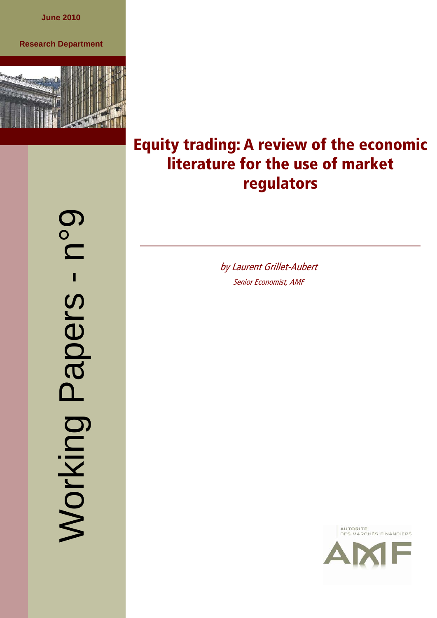**June 2010** 

### **Research Department**



p°q Working Papers - n°9  $\blacksquare$ Working Papers

# **Equity trading: A review of the economic literature for the use of market regulators**

by Laurent Grillet-Aubert Senior Economist, AMF

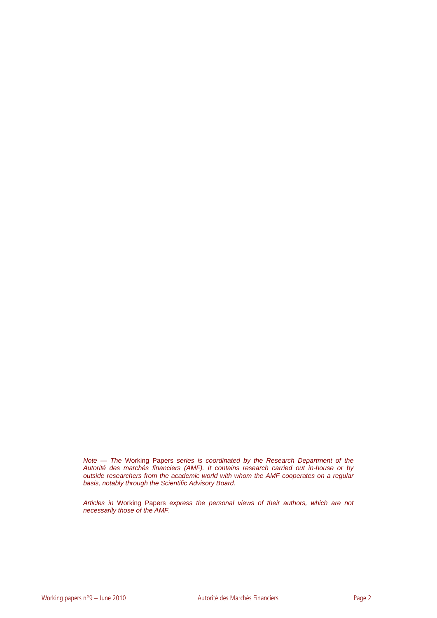*Note — The* Working Papers *series is coordinated by the Research Department of the Autorité des marchés financiers (AMF). It contains research carried out in-house or by outside researchers from the academic world with whom the AMF cooperates on a regular basis, notably through the Scientific Advisory Board.* 

*Articles in* Working Papers *express the personal views of their authors, which are not necessarily those of the AMF.*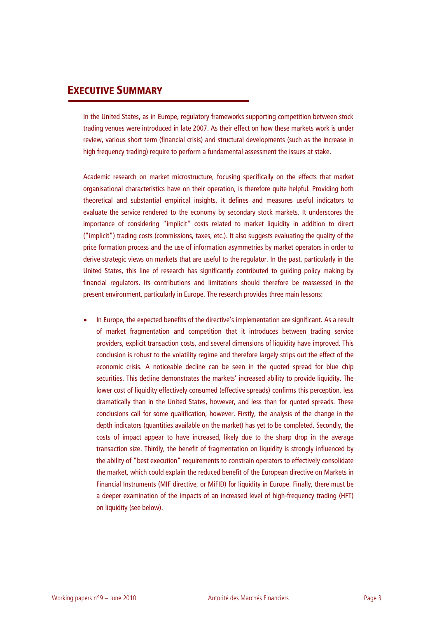## **EXECUTIVE SUMMARY**

In the United States, as in Europe, regulatory frameworks supporting competition between stock trading venues were introduced in late 2007. As their effect on how these markets work is under review, various short term (financial crisis) and structural developments (such as the increase in high frequency trading) require to perform a fundamental assessment the issues at stake.

Academic research on market microstructure, focusing specifically on the effects that market organisational characteristics have on their operation, is therefore quite helpful. Providing both theoretical and substantial empirical insights, it defines and measures useful indicators to evaluate the service rendered to the economy by secondary stock markets. It underscores the importance of considering "implicit" costs related to market liquidity in addition to direct ("implicit") trading costs (commissions, taxes, etc.). It also suggests evaluating the quality of the price formation process and the use of information asymmetries by market operators in order to derive strategic views on markets that are useful to the regulator. In the past, particularly in the United States, this line of research has significantly contributed to guiding policy making by financial regulators. Its contributions and limitations should therefore be reassessed in the present environment, particularly in Europe. The research provides three main lessons:

• In Europe, the expected benefits of the directive's implementation are significant. As a result of market fragmentation and competition that it introduces between trading service providers, explicit transaction costs, and several dimensions of liquidity have improved. This conclusion is robust to the volatility regime and therefore largely strips out the effect of the economic crisis. A noticeable decline can be seen in the quoted spread for blue chip securities. This decline demonstrates the markets' increased ability to provide liquidity. The lower cost of liquidity effectively consumed (effective spreads) confirms this perception, less dramatically than in the United States, however, and less than for quoted spreads. These conclusions call for some qualification, however. Firstly, the analysis of the change in the depth indicators (quantities available on the market) has yet to be completed. Secondly, the costs of impact appear to have increased, likely due to the sharp drop in the average transaction size. Thirdly, the benefit of fragmentation on liquidity is strongly influenced by the ability of "best execution" requirements to constrain operators to effectively consolidate the market, which could explain the reduced benefit of the European directive on Markets in Financial Instruments (MIF directive, or MiFID) for liquidity in Europe. Finally, there must be a deeper examination of the impacts of an increased level of high-frequency trading (HFT) on liquidity (see below).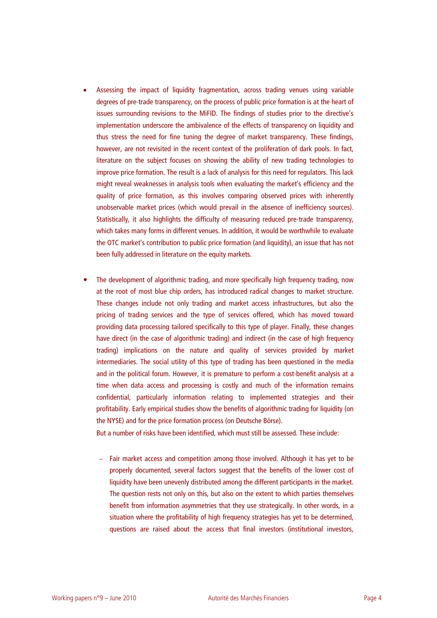- Assessing the impact of liquidity fragmentation, across trading venues using variable degrees of pre-trade transparency, on the process of public price formation is at the heart of issues surrounding revisions to the MiFID. The findings of studies prior to the directive's implementation underscore the ambivalence of the effects of transparency on liquidity and thus stress the need for fine tuning the degree of market transparency. These findings, however, are not revisited in the recent context of the proliferation of dark pools. In fact, literature on the subject focuses on showing the ability of new trading technologies to improve price formation. The result is a lack of analysis for this need for regulators. This lack might reveal weaknesses in analysis tools when evaluating the market's efficiency and the quality of price formation, as this involves comparing observed prices with inherently unobservable market prices (which would prevail in the absence of inefficiency sources). Statistically, it also highlights the difficulty of measuring reduced pre-trade transparency, which takes many forms in different venues. In addition, it would be worthwhile to evaluate the OTC market's contribution to public price formation (and liquidity), an issue that has not been fully addressed in literature on the equity markets.
- The development of algorithmic trading, and more specifically high frequency trading, now at the root of most blue chip orders, has introduced radical changes to market structure. These changes include not only trading and market access infrastructures, but also the pricing of trading services and the type of services offered, which has moved toward providing data processing tailored specifically to this type of player. Finally, these changes have direct (in the case of algorithmic trading) and indirect (in the case of high frequency trading) implications on the nature and quality of services provided by market intermediaries. The social utility of this type of trading has been questioned in the media and in the political forum. However, it is premature to perform a cost-benefit analysis at a time when data access and processing is costly and much of the information remains confidential, particularly information relating to implemented strategies and their profitability. Early empirical studies show the benefits of algorithmic trading for liquidity (on the NYSE) and for the price formation process (on Deutsche Börse).

But a number of risks have been identified, which must still be assessed. These include:

– Fair market access and competition among those involved. Although it has yet to be properly documented, several factors suggest that the benefits of the lower cost of liquidity have been unevenly distributed among the different participants in the market. The question rests not only on this, but also on the extent to which parties themselves benefit from information asymmetries that they use strategically. In other words, in a situation where the profitability of high frequency strategies has yet to be determined, questions are raised about the access that final investors (institutional investors,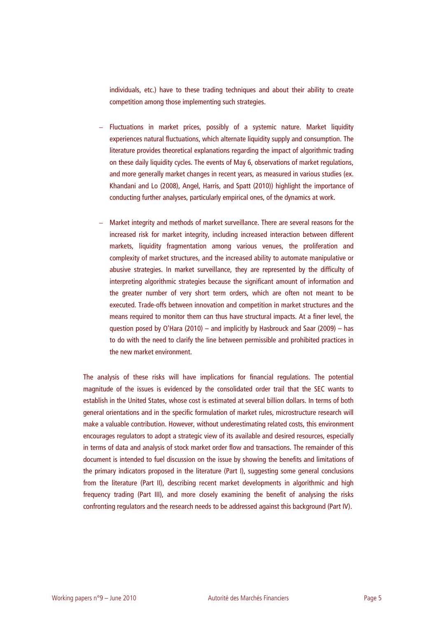individuals, etc.) have to these trading techniques and about their ability to create competition among those implementing such strategies.

- Fluctuations in market prices, possibly of a systemic nature. Market liquidity experiences natural fluctuations, which alternate liquidity supply and consumption. The literature provides theoretical explanations regarding the impact of algorithmic trading on these daily liquidity cycles. The events of May 6, observations of market regulations, and more generally market changes in recent years, as measured in various studies (ex. Khandani and Lo (2008), Angel, Harris, and Spatt (2010)) highlight the importance of conducting further analyses, particularly empirical ones, of the dynamics at work.
- Market integrity and methods of market surveillance. There are several reasons for the increased risk for market integrity, including increased interaction between different markets, liquidity fragmentation among various venues, the proliferation and complexity of market structures, and the increased ability to automate manipulative or abusive strategies. In market surveillance, they are represented by the difficulty of interpreting algorithmic strategies because the significant amount of information and the greater number of very short term orders, which are often not meant to be executed. Trade-offs between innovation and competition in market structures and the means required to monitor them can thus have structural impacts. At a finer level, the question posed by O'Hara (2010) – and implicitly by Hasbrouck and Saar (2009) – has to do with the need to clarify the line between permissible and prohibited practices in the new market environment.

The analysis of these risks will have implications for financial regulations. The potential magnitude of the issues is evidenced by the consolidated order trail that the SEC wants to establish in the United States, whose cost is estimated at several billion dollars. In terms of both general orientations and in the specific formulation of market rules, microstructure research will make a valuable contribution. However, without underestimating related costs, this environment encourages regulators to adopt a strategic view of its available and desired resources, especially in terms of data and analysis of stock market order flow and transactions. The remainder of this document is intended to fuel discussion on the issue by showing the benefits and limitations of the primary indicators proposed in the literature (Part I), suggesting some general conclusions from the literature (Part II), describing recent market developments in algorithmic and high frequency trading (Part III), and more closely examining the benefit of analysing the risks confronting regulators and the research needs to be addressed against this background (Part IV).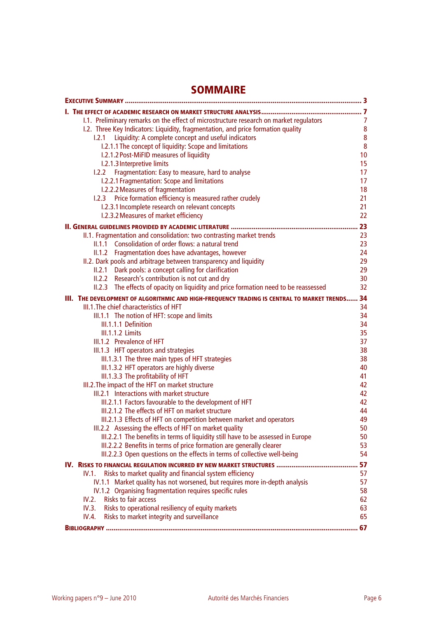# **SOMMAIRE**

|                                                                                                                                           | 7               |
|-------------------------------------------------------------------------------------------------------------------------------------------|-----------------|
| 1.1. Preliminary remarks on the effect of microstructure research on market regulators                                                    | $\overline{7}$  |
| I.2. Three Key Indicators: Liquidity, fragmentation, and price formation quality                                                          | $\bf 8$         |
| Liquidity: A complete concept and useful indicators<br>1.2.1                                                                              | ${\bf 8}$       |
| I.2.1.1 The concept of liquidity: Scope and limitations                                                                                   | $\bf 8$         |
| I.2.1.2 Post-MiFID measures of liquidity                                                                                                  | 10 <sup>1</sup> |
| I.2.1.3 Interpretive limits                                                                                                               | 15              |
| Fragmentation: Easy to measure, hard to analyse<br>1.2.2                                                                                  | 17              |
| I.2.2.1 Fragmentation: Scope and limitations                                                                                              | 17              |
| I.2.2.2 Measures of fragmentation                                                                                                         | 18              |
| Price formation efficiency is measured rather crudely<br>1.2.3                                                                            | 21              |
| I.2.3.1 Incomplete research on relevant concepts                                                                                          | 21<br>22        |
| I.2.3.2 Measures of market efficiency                                                                                                     |                 |
|                                                                                                                                           | 23              |
| II.1. Fragmentation and consolidation: two contrasting market trends                                                                      | 23              |
| II.1.1 Consolidation of order flows: a natural trend                                                                                      | 23              |
| Fragmentation does have advantages, however<br>II.1.2                                                                                     | 24              |
| II.2. Dark pools and arbitrage between transparency and liquidity                                                                         | 29<br>29        |
| II.2.1 Dark pools: a concept calling for clarification                                                                                    | 30              |
| II.2.2 Research's contribution is not cut and dry<br>II.2.3 The effects of opacity on liquidity and price formation need to be reassessed | 32              |
|                                                                                                                                           |                 |
| III. THE DEVELOPMENT OF ALGORITHMIC AND HIGH-FREQUENCY TRADING IS CENTRAL TO MARKET TRENDS                                                | 34              |
| III.1. The chief characteristics of HFT                                                                                                   | 34<br>34        |
| III.1.1 The notion of HFT: scope and limits<br>III.1.1.1 Definition                                                                       | 34              |
| <b>III.1.1.2 Limits</b>                                                                                                                   | 35              |
| III.1.2 Prevalence of HFT                                                                                                                 | 37              |
| III.1.3 HFT operators and strategies                                                                                                      | 38              |
| III.1.3.1 The three main types of HFT strategies                                                                                          | 38              |
| III.1.3.2 HFT operators are highly diverse                                                                                                | 40              |
| III.1.3.3 The profitability of HFT                                                                                                        | 41              |
| III.2. The impact of the HFT on market structure                                                                                          | 42              |
| III.2.1 Interactions with market structure                                                                                                | 42              |
| III.2.1.1 Factors favourable to the development of HFT                                                                                    | 42              |
| III.2.1.2 The effects of HFT on market structure                                                                                          | 44              |
| III.2.1.3 Effects of HFT on competition between market and operators                                                                      | 49              |
| III.2.2 Assessing the effects of HFT on market quality                                                                                    | 50              |
| III.2.2.1 The benefits in terms of liquidity still have to be assessed in Europe                                                          | 50              |
| III.2.2.2 Benefits in terms of price formation are generally clearer                                                                      | 53              |
| III.2.2.3 Open questions on the effects in terms of collective well-being                                                                 | 54              |
|                                                                                                                                           | 57              |
| Risks to market quality and financial system efficiency<br>IV.1.                                                                          | 57              |
| IV.1.1 Market quality has not worsened, but requires more in-depth analysis                                                               | 57              |
| IV.1.2 Organising fragmentation requires specific rules                                                                                   | 58              |
| Risks to fair access<br>IV.2.                                                                                                             | 62              |
| IV.3.<br>Risks to operational resiliency of equity markets                                                                                | 63              |
| IV.4.<br>Risks to market integrity and surveillance                                                                                       | 65              |
|                                                                                                                                           | .67             |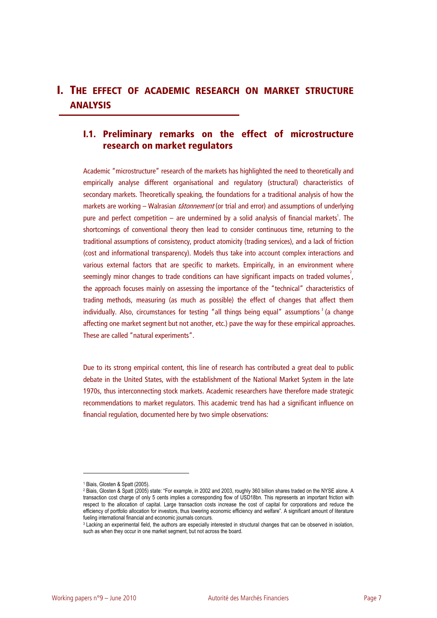## **I. THE EFFECT OF ACADEMIC RESEARCH ON MARKET STRUCTURE ANALYSIS**

## **I.1. Preliminary remarks on the effect of microstructure research on market regulators**

Academic "microstructure" research of the markets has highlighted the need to theoretically and empirically analyse different organisational and regulatory (structural) characteristics of secondary markets. Theoretically speaking, the foundations for a traditional analysis of how the markets are working – Walrasian *tâtonnement* (or trial and error) and assumptions of underlying pure and perfect competition  $-$  are undermined by a solid analysis of financial markets<sup>1</sup>. The shortcomings of conventional theory then lead to consider continuous time, returning to the traditional assumptions of consistency, product atomicity (trading services), and a lack of friction (cost and informational transparency). Models thus take into account complex interactions and various external factors that are specific to markets. Empirically, in an environment where seemingly minor changes to trade conditions can have significant impacts on traded volumes<sup>2</sup>, the approach focuses mainly on assessing the importance of the "technical" characteristics of trading methods, measuring (as much as possible) the effect of changes that affect them individually. Also, circumstances for testing "all things being equal" assumptions<sup>3</sup> (a change affecting one market segment but not another, etc.) pave the way for these empirical approaches. These are called "natural experiments".

Due to its strong empirical content, this line of research has contributed a great deal to public debate in the United States, with the establishment of the National Market System in the late 1970s, thus interconnecting stock markets. Academic researchers have therefore made strategic recommendations to market regulators. This academic trend has had a significant influence on financial regulation, documented here by two simple observations:

<sup>1</sup> Biais, Glosten & Spatt (2005).

<sup>2</sup> Biais, Glosten & Spatt (2005) state: "For example, in 2002 and 2003, roughly 360 billion shares traded on the NYSE alone. A transaction cost charge of only 5 cents implies a corresponding flow of USD18bn. This represents an important friction with respect to the allocation of capital. Large transaction costs increase the cost of capital for corporations and reduce the efficiency of portfolio allocation for investors, thus lowering economic efficiency and welfare". A significant amount of literature fueling international financial and economic journals concurs.

<sup>&</sup>lt;sup>3</sup> Lacking an experimental field, the authors are especially interested in structural changes that can be observed in isolation, such as when they occur in one market segment, but not across the board.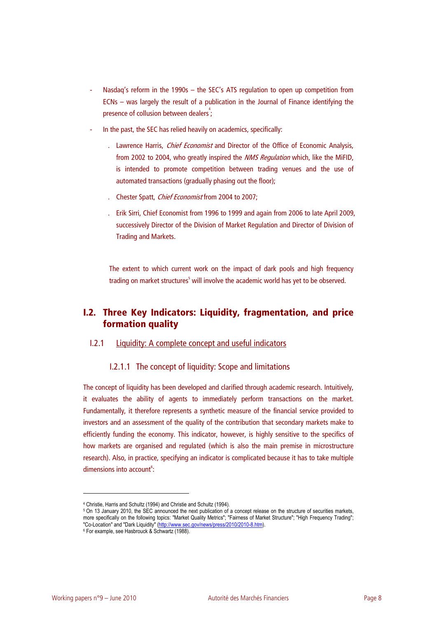- Nasdaq's reform in the 1990s the SEC's ATS regulation to open up competition from ECNs – was largely the result of a publication in the Journal of Finance identifying the presence of collusion between dealers<sup>4</sup>;
- In the past, the SEC has relied heavily on academics, specifically:
	- Lawrence Harris, *Chief Economist* and Director of the Office of Economic Analysis, from 2002 to 2004, who greatly inspired the *NMS Regulation* which, like the MiFID, is intended to promote competition between trading venues and the use of automated transactions (gradually phasing out the floor);
	- Chester Spatt, *Chief Economist* from 2004 to 2007;
	- . Erik Sirri, Chief Economist from 1996 to 1999 and again from 2006 to late April 2009, successively Director of the Division of Market Regulation and Director of Division of Trading and Markets.

The extent to which current work on the impact of dark pools and high frequency trading on market structures<sup>5</sup> will involve the academic world has yet to be observed.

## **I.2. Three Key Indicators: Liquidity, fragmentation, and price formation quality**

### I.2.1 Liquidity: A complete concept and useful indicators

### I.2.1.1 The concept of liquidity: Scope and limitations

The concept of liquidity has been developed and clarified through academic research. Intuitively, it evaluates the ability of agents to immediately perform transactions on the market. Fundamentally, it therefore represents a synthetic measure of the financial service provided to investors and an assessment of the quality of the contribution that secondary markets make to efficiently funding the economy. This indicator, however, is highly sensitive to the specifics of how markets are organised and regulated (which is also the main premise in microstructure research). Also, in practice, specifying an indicator is complicated because it has to take multiple dimensions into account<sup>6</sup>:

<sup>4</sup> Christie, Harris and Schultz (1994) and Christie and Schultz (1994). 5 On 13 January 2010, the structure of securities markets. more specifically on the following topics: "Market Quality Metrics"; "Fairness of Market Structure"; "High Frequency Trading"; "Co-Location" and "Dark Liquidity" (http://www.sec.gov/news/press/2010/2010-8.htm).<br><sup>6</sup> For example, see Hasbrouck & Schwartz (1988).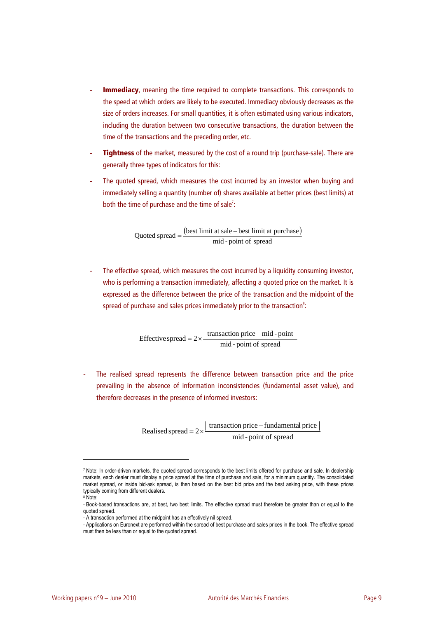- **Immediacy**, meaning the time required to complete transactions. This corresponds to the speed at which orders are likely to be executed. Immediacy obviously decreases as the size of orders increases. For small quantities, it is often estimated using various indicators, including the duration between two consecutive transactions, the duration between the time of the transactions and the preceding order, etc.
- **Tightness** of the market, measured by the cost of a round trip (purchase-sale). There are generally three types of indicators for this:
- The quoted spread, which measures the cost incurred by an investor when buying and immediately selling a quantity (number of) shares available at better prices (best limits) at both the time of purchase and the time of sale<sup>7</sup>:

(best limit at sale – best limit at purchase)  $Quoted spread = \frac{(best limit at sale - best limit at purchase mid - point of spread)}{mid - point of spread}$ 

The effective spread, which measures the cost incurred by a liquidity consuming investor, who is performing a transaction immediately, affecting a quoted price on the market. It is expressed as the difference between the price of the transaction and the midpoint of the spread of purchase and sales prices immediately prior to the transaction<sup>8</sup>:

Effective spread =  $2 \times \frac{\text{transaction price} - \text{mid} - \text{point}}{\text{mid} - \text{point of spread}}$ 

The realised spread represents the difference between transaction price and the price prevailing in the absence of information inconsistencies (fundamental asset value), and therefore decreases in the presence of informed investors:

Realised spread =  $2 \times \frac{\text{transaction price} - \text{fundamental price}}{\text{mid} - \text{point of spread}}$ 

<sup>7</sup> Note: In order-driven markets, the quoted spread corresponds to the best limits offered for purchase and sale. In dealership markets, each dealer must display a price spread at the time of purchase and sale, for a minimum quantity. The consolidated market spread, or inside bid-ask spread, is then based on the best bid price and the best asking price, with these prices typically coming from different dealers.

<sup>8</sup> Note:

<sup>-</sup> Book-based transactions are, at best, two best limits. The effective spread must therefore be greater than or equal to the quoted spread.

<sup>-</sup> A transaction performed at the midpoint has an effectively nil spread.

<sup>-</sup> Applications on Euronext are performed within the spread of best purchase and sales prices in the book. The effective spread must then be less than or equal to the quoted spread.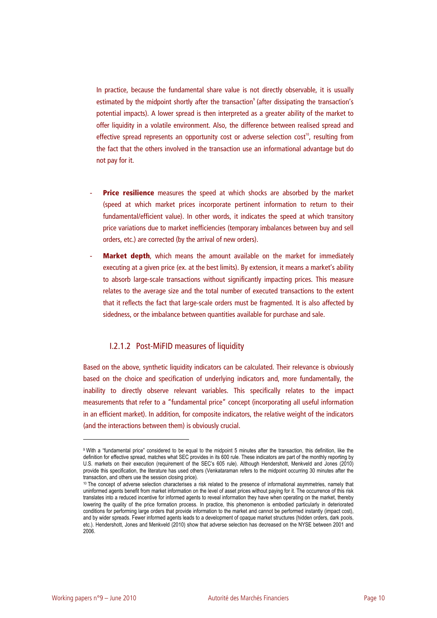In practice, because the fundamental share value is not directly observable, it is usually estimated by the midpoint shortly after the transaction<sup>9</sup> (after dissipating the transaction's potential impacts). A lower spread is then interpreted as a greater ability of the market to offer liquidity in a volatile environment. Also, the difference between realised spread and effective spread represents an opportunity cost or adverse selection cost<sup>10</sup>, resulting from the fact that the others involved in the transaction use an informational advantage but do not pay for it.

- **Price resilience** measures the speed at which shocks are absorbed by the market (speed at which market prices incorporate pertinent information to return to their fundamental/efficient value). In other words, it indicates the speed at which transitory price variations due to market inefficiencies (temporary imbalances between buy and sell orders, etc.) are corrected (by the arrival of new orders).
- **Market depth**, which means the amount available on the market for immediately executing at a given price (ex. at the best limits). By extension, it means a market's ability to absorb large-scale transactions without significantly impacting prices. This measure relates to the average size and the total number of executed transactions to the extent that it reflects the fact that large-scale orders must be fragmented. It is also affected by sidedness, or the imbalance between quantities available for purchase and sale.

### I.2.1.2 Post-MiFID measures of liquidity

Based on the above, synthetic liquidity indicators can be calculated. Their relevance is obviously based on the choice and specification of underlying indicators and, more fundamentally, the inability to directly observe relevant variables. This specifically relates to the impact measurements that refer to a "fundamental price" concept (incorporating all useful information in an efficient market). In addition, for composite indicators, the relative weight of the indicators (and the interactions between them) is obviously crucial.

<sup>9</sup> With a "fundamental price" considered to be equal to the midpoint 5 minutes after the transaction, this definition, like the definition for effective spread, matches what SEC provides in its 600 rule. These indicators are part of the monthly reporting by U.S. markets on their execution (requirement of the SEC's 605 rule). Although Hendershott, Menkveld and Jones (2010) provide this specification, the literature has used others (Venkataraman refers to the midpoint occurring 30 minutes after the transaction, and others use the session closing price).<br><sup>10</sup> The concept of adverse selection characterises a risk related to the presence of informational asymmetries, namely that

uninformed agents benefit from market information on the level of asset prices without paying for it. The occurrence of this risk translates into a reduced incentive for informed agents to reveal information they have when operating on the market, thereby lowering the quality of the price formation process. In practice, this phenomenon is embodied particularly in deteriorated conditions for performing large orders that provide information to the market and cannot be performed instantly (impact cost), and by wider spreads. Fewer informed agents leads to a development of opaque market structures (hidden orders, dark pools, etc.). Hendershott, Jones and Menkveld (2010) show that adverse selection has decreased on the NYSE between 2001 and 2006.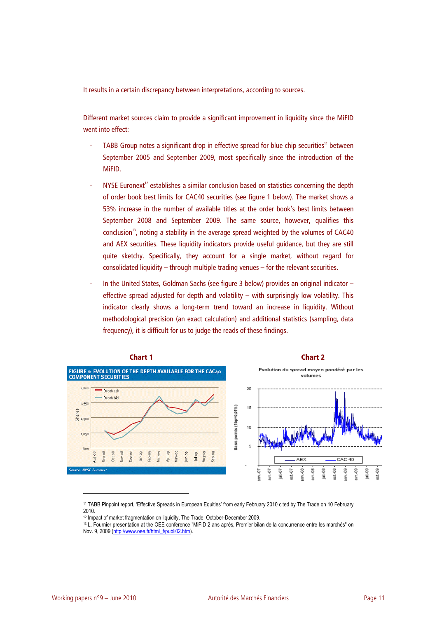It results in a certain discrepancy between interpretations, according to sources.

Different market sources claim to provide a significant improvement in liquidity since the MiFID went into effect:

- TABB Group notes a significant drop in effective spread for blue chip securities<sup>11</sup> between September 2005 and September 2009, most specifically since the introduction of the MiFID.
- NYSE Euronext<sup>12</sup> establishes a similar conclusion based on statistics concerning the depth of order book best limits for CAC40 securities (see figure 1 below). The market shows a 53% increase in the number of available titles at the order book's best limits between September 2008 and September 2009. The same source, however, qualifies this  $\alpha$ conclusion<sup>13</sup>, noting a stability in the average spread weighted by the volumes of CAC40 and AEX securities. These liquidity indicators provide useful guidance, but they are still quite sketchy. Specifically, they account for a single market, without regard for consolidated liquidity – through multiple trading venues – for the relevant securities.
- In the United States, Goldman Sachs (see figure 3 below) provides an original indicator effective spread adjusted for depth and volatility – with surprisingly low volatility. This indicator clearly shows a long-term trend toward an increase in liquidity. Without methodological precision (an exact calculation) and additional statistics (sampling, data frequency), it is difficult for us to judge the reads of these findings.



<sup>11</sup> TABB Pinpoint report, 'Effective Spreads in European Equities' from early February 2010 cited by The Trade on 10 February 2010.<br><sup>12</sup> Impact of market fragmentation on liquidity, The Trade, October-December 2009.

<sup>&</sup>lt;sup>13</sup> L. Fournier presentation at the OEE conference "MiFID 2 ans après, Premier bilan de la concurrence entre les marchés" on Nov. 9, 2009 (http://www.oee.fr/html\_f/publi02.htm).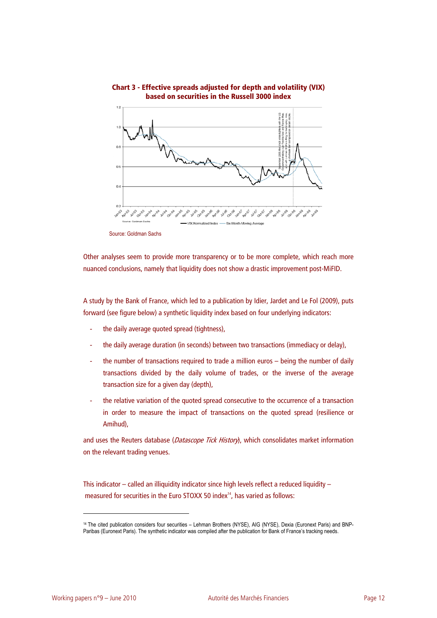

### **Chart 3 - Effective spreads adjusted for depth and volatility (VIX) based on securities in the Russell 3000 index**

Source: Goldman Sachs

Other analyses seem to provide more transparency or to be more complete, which reach more nuanced conclusions, namely that liquidity does not show a drastic improvement post-MiFID.

A study by the Bank of France, which led to a publication by Idier, Jardet and Le Fol (2009), puts forward (see figure below) a synthetic liquidity index based on four underlying indicators:

- the daily average quoted spread (tightness),
- the daily average duration (in seconds) between two transactions (immediacy or delay),
- the number of transactions required to trade a million euros being the number of daily transactions divided by the daily volume of trades, or the inverse of the average transaction size for a given day (depth),
- the relative variation of the quoted spread consecutive to the occurrence of a transaction in order to measure the impact of transactions on the quoted spread (resilience or Amihud),

and uses the Reuters database (Datascope Tick History), which consolidates market information on the relevant trading venues.

This indicator – called an illiquidity indicator since high levels reflect a reduced liquidity – measured for securities in the Euro STOXX 50 index<sup>14</sup>, has varied as follows:

<sup>14</sup> The cited publication considers four securities – Lehman Brothers (NYSE), AIG (NYSE), Dexia (Euronext Paris) and BNP-Paribas (Euronext Paris). The synthetic indicator was compiled after the publication for Bank of France's tracking needs.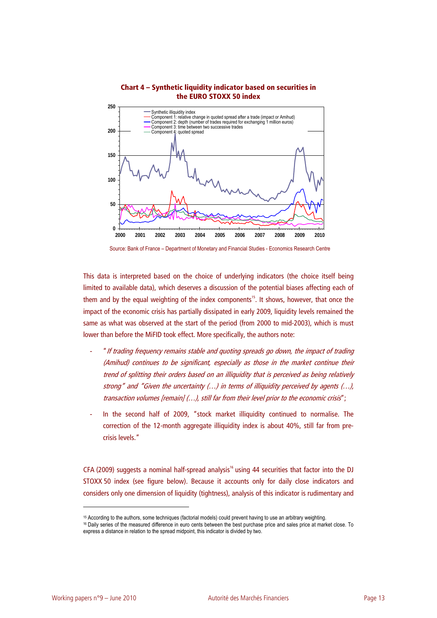



Source: Bank of France – Department of Monetary and Financial Studies - Economics Research Centre

This data is interpreted based on the choice of underlying indicators (the choice itself being limited to available data), which deserves a discussion of the potential biases affecting each of them and by the equal weighting of the index components<sup>15</sup>. It shows, however, that once the impact of the economic crisis has partially dissipated in early 2009, liquidity levels remained the same as what was observed at the start of the period (from 2000 to mid-2003), which is must lower than before the MiFID took effect. More specifically, the authors note:

- "If trading frequency remains stable and quoting spreads go down, the impact of trading (Amihud) continues to be significant, especially as those in the market continue their trend of splitting their orders based on an illiquidity that is perceived as being relatively strong" and "Given the uncertainty (…) in terms of illiquidity perceived by agents (…), transaction volumes [remain] (…), still far from their level prior to the economic crisis";
- In the second half of 2009, "stock market illiquidity continued to normalise. The correction of the 12-month aggregate illiquidity index is about 40%, still far from precrisis levels."

CFA (2009) suggests a nominal half-spread analysis<sup>16</sup> using 44 securities that factor into the DJ STOXX 50 index (see figure below). Because it accounts only for daily close indicators and considers only one dimension of liquidity (tightness), analysis of this indicator is rudimentary and

<sup>&</sup>lt;sup>15</sup> According to the authors, some techniques (factorial models) could prevent having to use an arbitrary weighting.<br><sup>16</sup> Daily series of the measured difference in euro cents between the best purchase price and sales pri express a distance in relation to the spread midpoint, this indicator is divided by two.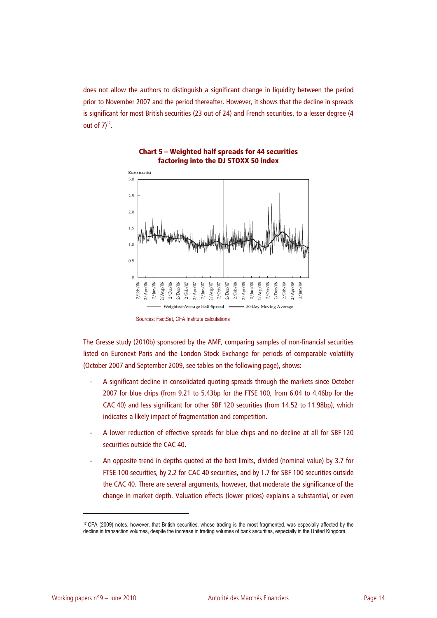does not allow the authors to distinguish a significant change in liquidity between the period prior to November 2007 and the period thereafter. However, it shows that the decline in spreads is significant for most British securities (23 out of 24) and French securities, to a lesser degree (4 out of  $7)^{17}$ .



**Chart 5 – Weighted half spreads for 44 securities factoring into the DJ STOXX 50 index**

The Gresse study (2010b) sponsored by the AMF, comparing samples of non-financial securities listed on Euronext Paris and the London Stock Exchange for periods of comparable volatility (October 2007 and September 2009, see tables on the following page), shows:

- A significant decline in consolidated quoting spreads through the markets since October 2007 for blue chips (from 9.21 to 5.43bp for the FTSE 100, from 6.04 to 4.46bp for the CAC 40) and less significant for other SBF 120 securities (from 14.52 to 11.98bp), which indicates a likely impact of fragmentation and competition.
- A lower reduction of effective spreads for blue chips and no decline at all for SBF 120 securities outside the CAC 40.
- An opposite trend in depths quoted at the best limits, divided (nominal value) by 3.7 for FTSE 100 securities, by 2.2 for CAC 40 securities, and by 1.7 for SBF 100 securities outside the CAC 40. There are several arguments, however, that moderate the significance of the change in market depth. Valuation effects (lower prices) explains a substantial, or even

Sources: FactSet, CFA Institute calculations

<sup>17</sup> CFA (2009) notes, however, that British securities, whose trading is the most fragmented, was especially affected by the decline in transaction volumes, despite the increase in trading volumes of bank securities, especially in the United Kingdom.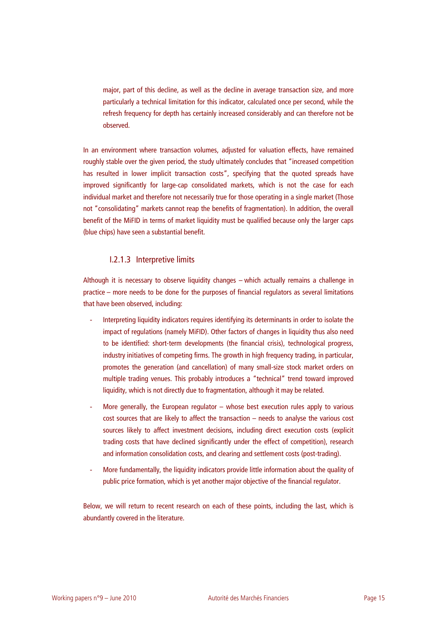major, part of this decline, as well as the decline in average transaction size, and more particularly a technical limitation for this indicator, calculated once per second, while the refresh frequency for depth has certainly increased considerably and can therefore not be observed.

In an environment where transaction volumes, adjusted for valuation effects, have remained roughly stable over the given period, the study ultimately concludes that "increased competition has resulted in lower implicit transaction costs", specifying that the quoted spreads have improved significantly for large-cap consolidated markets, which is not the case for each individual market and therefore not necessarily true for those operating in a single market (Those not "consolidating" markets cannot reap the benefits of fragmentation). In addition, the overall benefit of the MiFID in terms of market liquidity must be qualified because only the larger caps (blue chips) have seen a substantial benefit.

### I.2.1.3 Interpretive limits

Although it is necessary to observe liquidity changes – which actually remains a challenge in practice – more needs to be done for the purposes of financial regulators as several limitations that have been observed, including:

- Interpreting liquidity indicators requires identifying its determinants in order to isolate the impact of regulations (namely MiFID). Other factors of changes in liquidity thus also need to be identified: short-term developments (the financial crisis), technological progress, industry initiatives of competing firms. The growth in high frequency trading, in particular, promotes the generation (and cancellation) of many small-size stock market orders on multiple trading venues. This probably introduces a "technical" trend toward improved liquidity, which is not directly due to fragmentation, although it may be related.
- More generally, the European regulator whose best execution rules apply to various cost sources that are likely to affect the transaction – needs to analyse the various cost sources likely to affect investment decisions, including direct execution costs (explicit trading costs that have declined significantly under the effect of competition), research and information consolidation costs, and clearing and settlement costs (post-trading).
- More fundamentally, the liquidity indicators provide little information about the quality of public price formation, which is yet another major objective of the financial regulator.

Below, we will return to recent research on each of these points, including the last, which is abundantly covered in the literature.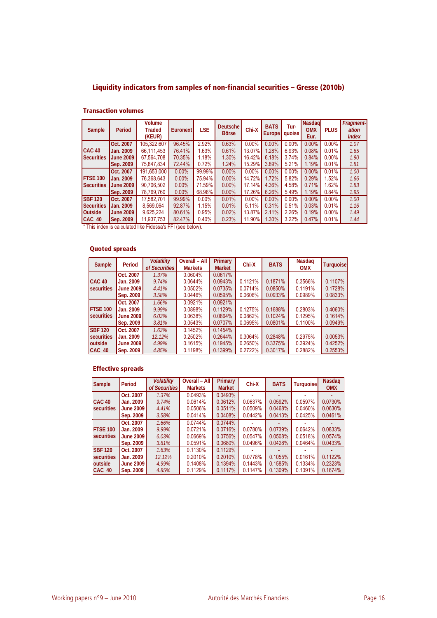## **Liquidity indicators from samples of non-financial securities – Gresse (2010b)**

#### **Transaction volumes**

| Sample            | Period           | <b>Volume</b><br>Traded<br>(KEUR) | Euronext | <b>LSE</b> | Deutsche<br><b>Börse</b> | Chi-X    | <b>BATS</b><br><b>Europe</b> | Tur-<br>quoise | <b>Nasdagl</b><br><b>OMX</b><br>Eur. | <b>PLUS</b> | Fragment-<br>ation<br><i><b>Index</b></i> |
|-------------------|------------------|-----------------------------------|----------|------------|--------------------------|----------|------------------------------|----------------|--------------------------------------|-------------|-------------------------------------------|
|                   | Oct. 2007        | 105.322.607                       | 96.45%   | 2.92%      | 0.63%                    | $0.00\%$ | $0.00\%$                     | 0.00%          | $0.00\%$                             | 0.00%       | 1.07                                      |
| CAC <sub>40</sub> | Jan. 2009        | 66.111.453                        | 76.41%   | 1.63%      | 0.61%                    | 13.07%   | 1.28%                        | 6.93%          | 0.08%                                | 0.01%       | 1.65                                      |
| <b>Securities</b> | <b>June 2009</b> | 67,564,708                        | 70.35%   | 1.18%      | 1.30%                    | 16.42%   | 6.18%                        | 3.74%          | 0.84%                                | $0.00\%$    | 1.90                                      |
|                   | Sep. 2009        | 75,847,834                        | 72.44%   | 0.72%      | 1.24%                    | 15.29%   | 3.89%                        | 5.21%          | 1.19%                                | 0.01%       | 1.81                                      |
|                   | Oct. 2007        | 191.653.000                       | 0.00%    | 99.99%     | $0.00\%$                 | $0.00\%$ | $0.00\%$                     | $0.00\%$       | $0.00\%$                             | 0.01%       | 1.00                                      |
| <b>FTSE 100</b>   | Jan. 2009        | 76.368.643                        | 0.00%    | 75.94%     | $0.00\%$                 | 14.72%   | 1.72%                        | 5.82%          | 0.29%                                | 1.52%       | 1.66                                      |
| <b>Securities</b> | <b>June 2009</b> | 90.706.502                        | $0.00\%$ | 71.59%     | $0.00\%$                 | 17.14%   | 4.36%                        | 4.58%          | 0.71%                                | 1.62%       | 1.83                                      |
|                   | <b>Sep. 2009</b> | 78,769,760                        | 0.00%    | 68.96%     | $0.00\%$                 | 17.26%   | 6.26%                        | 5.49%          | 1.19%                                | 0.84%       | 1.95                                      |
| <b>SBF 120</b>    | Oct. 2007        | 17.582.701                        | 99.99%   | 0.00%      | 0.01%                    | $0.00\%$ | $0.00\%$                     | $0.00\%$       | $0.00\%$                             | 0.00%       | 1.00                                      |
| <b>Securities</b> | Jan. 2009        | 8.569.064                         | 92.87%   | 1.15%      | 0.01%                    | 5.11%    | 0.31%                        | 0.51%          | 0.03%                                | 0.01%       | 1.16                                      |
| <b>Outside</b>    | <b>June 2009</b> | 9.625.224                         | 80.61%   | 0.95%      | 0.02%                    | 13.87%   | 2.11%                        | 2.26%          | 0.19%                                | $0.00\%$    | 1.49                                      |
| CAC 40            | <b>Sep. 2009</b> | 11,937,753                        | 82.47%   | 0.40%      | 0.23%                    | 11.90%   | 1.30%                        | 3.22%          | 0.47%                                | 0.01%       | 1.44                                      |

\* This index is calculated like Fidessa's FFI (see below).

### **Quoted spreads**

| <b>Sample</b>     | Period           | <b>Volatility</b><br>of Securities | Overall - All<br><b>Markets</b> | Primary<br><b>Market</b> | Chi-X   | <b>BATS</b> | Nasdag<br><b>OMX</b> | <b>Turquoise</b> |
|-------------------|------------------|------------------------------------|---------------------------------|--------------------------|---------|-------------|----------------------|------------------|
|                   | Oct. 2007        | 1.37%                              | 0.0604%                         | 0.0617%                  |         |             |                      |                  |
| CAC <sub>40</sub> | Jan. 2009        | 9.74%                              | 0.0644%                         | 0.0943%                  | 0.1121% | 0.1871%     | 0.3566%              | 0.1107%          |
| securities        | June 2009        | 4.41%                              | 0.0502%                         | 0.0735%                  | 0.0714% | 0.0850%     | 0.1191%              | 0.1728%          |
|                   | <b>Sep. 2009</b> | 3.58%                              | 0.0446%                         | 0.0595%                  | 0.0606% | 0.0933%     | 0.0989%              | 0.0833%          |
|                   | Oct. 2007        | 1.66%                              | 0.0921%                         | 0.0921%                  |         |             |                      |                  |
| <b>FTSE 100</b>   | Jan. 2009        | 9.99%                              | 0.0898%                         | 0.1129%                  | 0.1275% | 0.1688%     | 0.2803%              | 0.4060%          |
| securities        | <b>June 2009</b> | 6.03%                              | 0.0638%                         | 0.0864%                  | 0.0862% | 0.1024%     | 0.1295%              | 0.1614%          |
|                   | Sep. 2009        | 3.81%                              | 0.0543%                         | 0.0707%                  | 0.0695% | 0.0801%     | 0.1100%              | 0.0949%          |
| <b>SBF 120</b>    | Oct. 2007        | 1.63%                              | 0.1452%                         | 0.1454%                  |         |             |                      |                  |
| <b>Securities</b> | Jan. 2009        | 12.12%                             | 0.2502%                         | 0.2644%                  | 0.3064% | 0.2848%     | 0.2975%              | 0.0053%          |
| outside           | June 2009        | 4.99%                              | 0.1615%                         | 0.1945%                  | 0.2650% | 0.3375%     | 0.3924%              | 0.4252%          |
| CAC 40            | Sep. 2009        | 4.85%                              | 0.1198%                         | 0.1399%                  | 0.2722% | 0.3017%     | 0.2882%              | 0.2553%          |

### **Effective spreads**

| <b>Sample</b>   | <b>I</b> Period  | <b>Volatility</b><br>of Securities | <b>Overall - All</b><br><b>Markets</b> | Primary<br><b>Market</b> | Chi-X   | <b>BATS</b> | <b>Turquoise</b> | <b>Nasdag</b><br><b>OMX</b> |
|-----------------|------------------|------------------------------------|----------------------------------------|--------------------------|---------|-------------|------------------|-----------------------------|
|                 | Oct. 2007        | 1.37%                              | 0.0493%                                | 0.0493%                  |         |             |                  |                             |
| <b>CAC 40</b>   | Jan. 2009        | 9.74%                              | 0.0614%                                | 0.0612%                  | 0.0637% | 0.0592%     | 0.0597%          | 0.0730%                     |
|                 |                  |                                    |                                        |                          |         |             |                  |                             |
| securities      | <b>June 2009</b> | 4.41%                              | 0.0506%                                | 0.0511%                  | 0.0509% | 0.0468%     | 0.0460%          | 0.0630%                     |
|                 | Sep. 2009        | 3.58%                              | 0.0414%                                | 0.0408%                  | 0.0442% | 0.0413%     | 0.0425%          | 0.0461%                     |
|                 | Oct. 2007        | 1.66%                              | 0.0744%                                | 0.0744%                  |         |             |                  |                             |
| <b>FTSE 100</b> | Jan. 2009        | 9.99%                              | 0.0721%                                | 0.0716%                  | 0.0780% | 0.0739%     | 0.0642%          | 0.0833%                     |
| securities      | June 2009        | 6.03%                              | 0.0669%                                | 0.0756%                  | 0.0547% | 0.0508%     | 0.0518%          | 0.0574%                     |
|                 | Sep. 2009        | 3.81%                              | 0.0591%                                | 0.0680%                  | 0.0496% | 0.0428%     | 0.0464%          | 0.0433%                     |
| <b>SBF 120</b>  | Oct. 2007        | 1.63%                              | 0.1130%                                | 0.1129%                  |         |             |                  |                             |
| securities      | Jan. 2009        | 12.12%                             | 0.2010%                                | 0.2010%                  | 0.0778% | 0.1055%     | 0.0161%          | 0.1122%                     |
| outside         | June 2009        | 4.99%                              | 0.1408%                                | 0.1394%                  | 0.1443% | 0.1585%     | 0.1334%          | 0.2323%                     |
| CAC 40          | <b>Sep. 2009</b> | 4.85%                              | 0.1129%                                | 0.1117%                  | 0.1147% | 0.1309%     | 0.1091%          | 0.1674%                     |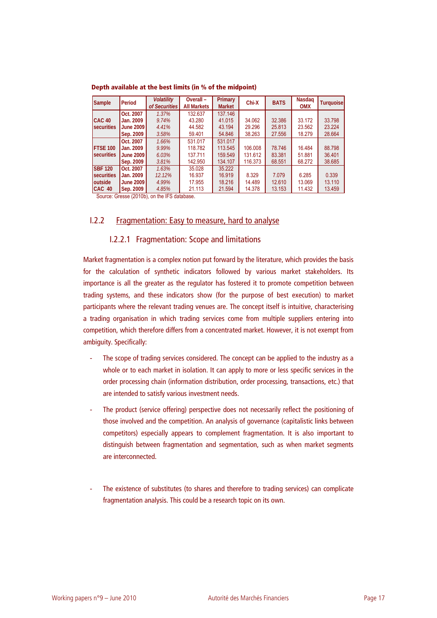| <b>Sample</b>   | Period           | <b>Volatility</b><br>of Securities | Overall-<br><b>All Markets</b> | Primary<br><b>Market</b> | Chi-X   | <b>BATS</b> | Nasdaq<br><b>OMX</b> | <b>Turquoise</b> |
|-----------------|------------------|------------------------------------|--------------------------------|--------------------------|---------|-------------|----------------------|------------------|
|                 | Oct. 2007        | 1.37%                              | 132.637                        | 137.146                  |         |             |                      |                  |
| <b>CAC 40</b>   | Jan. 2009        | 9.74%                              | 43.280                         | 41.015                   | 34.062  | 32.386      | 33.172               | 33.798           |
| securities      | <b>June 2009</b> | 4.41%                              | 44.582                         | 43.194                   | 29.296  | 25.813      | 23.562               | 23.224           |
|                 | Sep. 2009        | 3.58%                              | 59.401                         | 54.846                   | 38.263  | 27.556      | 18.279               | 28.664           |
|                 | Oct. 2007        | 1.66%                              | 531.017                        | 531.017                  |         |             |                      |                  |
| <b>FTSE 100</b> | Jan. 2009        | 9.99%                              | 118.782                        | 113.545                  | 106.008 | 78.746      | 16.484               | 88.798           |
| securities      | <b>June 2009</b> | 6.03%                              | 137.711                        | 159.549                  | 131.612 | 83.381      | 51.881               | 36.401           |
|                 | Sep. 2009        | 3.81%                              | 142.950                        | 134.107                  | 116.373 | 68.551      | 68.272               | 38.685           |
| <b>SBF 120</b>  | Oct. 2007        | 1.63%                              | 35.028                         | 35.222                   |         |             |                      |                  |
| securities      | Jan. 2009        | 12.12%                             | 16.937                         | 16.919                   | 8.329   | 7.079       | 6.285                | 0.339            |
| outside         | <b>June 2009</b> | 4.99%                              | 17.955                         | 18.216                   | 14.489  | 12.610      | 13.069               | 13.110           |
| CAC 40          | Sep. 2009        | 4.85%                              | 21.113                         | 21.594                   | 14.378  | 13.153      | 11.432               | 13.459           |

**Depth available at the best limits (in % of the midpoint)** 

Source: Gresse (2010b), on the IFS database.

### I.2.2 Fragmentation: Easy to measure, hard to analyse

### I.2.2.1 Fragmentation: Scope and limitations

Market fragmentation is a complex notion put forward by the literature, which provides the basis for the calculation of synthetic indicators followed by various market stakeholders. Its importance is all the greater as the regulator has fostered it to promote competition between trading systems, and these indicators show (for the purpose of best execution) to market participants where the relevant trading venues are. The concept itself is intuitive, characterising a trading organisation in which trading services come from multiple suppliers entering into competition, which therefore differs from a concentrated market. However, it is not exempt from ambiguity. Specifically:

- The scope of trading services considered. The concept can be applied to the industry as a whole or to each market in isolation. It can apply to more or less specific services in the order processing chain (information distribution, order processing, transactions, etc.) that are intended to satisfy various investment needs.
- The product (service offering) perspective does not necessarily reflect the positioning of those involved and the competition. An analysis of governance (capitalistic links between competitors) especially appears to complement fragmentation. It is also important to distinguish between fragmentation and segmentation, such as when market segments are interconnected.
- The existence of substitutes (to shares and therefore to trading services) can complicate fragmentation analysis. This could be a research topic on its own.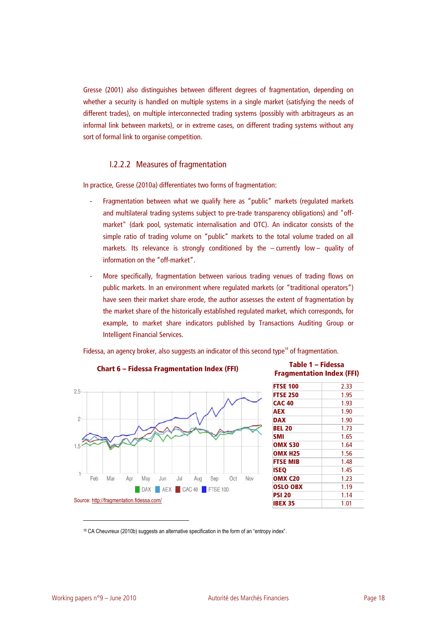Gresse (2001) also distinguishes between different degrees of fragmentation, depending on whether a security is handled on multiple systems in a single market (satisfying the needs of different trades), on multiple interconnected trading systems (possibly with arbitrageurs as an informal link between markets), or in extreme cases, on different trading systems without any sort of formal link to organise competition.

### I.2.2.2 Measures of fragmentation

In practice, Gresse (2010a) differentiates two forms of fragmentation:

- Fragmentation between what we qualify here as "public" markets (regulated markets and multilateral trading systems subject to pre-trade transparency obligations) and "offmarket" (dark pool, systematic internalisation and OTC). An indicator consists of the simple ratio of trading volume on "public" markets to the total volume traded on all markets. Its relevance is strongly conditioned by the – currently low – quality of information on the "off-market".
- More specifically, fragmentation between various trading venues of trading flows on public markets. In an environment where regulated markets (or "traditional operators") have seen their market share erode, the author assesses the extent of fragmentation by the market share of the historically established regulated market, which corresponds, for example, to market share indicators published by Transactions Auditing Group or Intelligent Financial Services.

Fidessa, an agency broker, also suggests an indicator of this second type<sup>18</sup> of fragmentation.



# **Chart 6 – Fidessa Fragmentation Index (FFI) Table 1 – Fidessa**

# **Fragmentation Index (FFI)**

| <b>FTSE 100</b> | 2.33 |
|-----------------|------|
| <b>FTSE 250</b> | 1.95 |
| <b>CAC 40</b>   | 1.93 |
| <b>AEX</b>      | 1.90 |
| <b>DAX</b>      | 1.90 |
| <b>BEL 20</b>   | 1.73 |
| <b>SMI</b>      | 1.65 |
| OMX S30         | 1.64 |
| <b>OMX H25</b>  | 1.56 |
| <b>FTSE MIB</b> | 1.48 |
| <b>ISEO</b>     | 1.45 |
| OMX C20         | 1.23 |
| <b>OSLO OBX</b> | 1.19 |
| <b>PSI 20</b>   | 1.14 |
| <b>IBEX 35</b>  | 1.01 |
|                 |      |

18 CA Cheuvreux (2010b) suggests an alternative specification in the form of an "entropy index".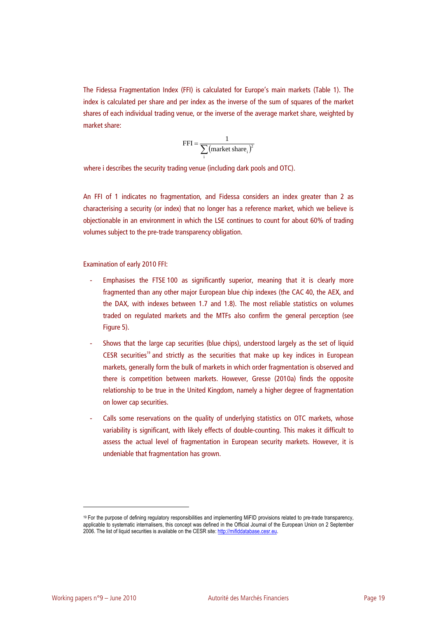The Fidessa Fragmentation Index (FFI) is calculated for Europe's main markets (Table 1). The index is calculated per share and per index as the inverse of the sum of squares of the market shares of each individual trading venue, or the inverse of the average market share, weighted by market share:

$$
FFI = \frac{1}{\sum_{i} (market share_i)^2}
$$

where i describes the security trading venue (including dark pools and OTC).

An FFI of 1 indicates no fragmentation, and Fidessa considers an index greater than 2 as characterising a security (or index) that no longer has a reference market, which we believe is objectionable in an environment in which the LSE continues to count for about 60% of trading volumes subject to the pre-trade transparency obligation.

Examination of early 2010 FFI:

- Emphasises the FTSE 100 as significantly superior, meaning that it is clearly more fragmented than any other major European blue chip indexes (the CAC 40, the AEX, and the DAX, with indexes between 1.7 and 1.8). The most reliable statistics on volumes traded on regulated markets and the MTFs also confirm the general perception (see Figure 5).
- Shows that the large cap securities (blue chips), understood largely as the set of liquid CESR securities<sup>19</sup> and strictly as the securities that make up key indices in European markets, generally form the bulk of markets in which order fragmentation is observed and there is competition between markets. However, Gresse (2010a) finds the opposite relationship to be true in the United Kingdom, namely a higher degree of fragmentation on lower cap securities.
- Calls some reservations on the quality of underlying statistics on OTC markets, whose variability is significant, with likely effects of double-counting. This makes it difficult to assess the actual level of fragmentation in European security markets. However, it is undeniable that fragmentation has grown.

<sup>19</sup> For the purpose of defining regulatory responsibilities and implementing MiFID provisions related to pre-trade transparency, applicable to systematic internalisers, this concept was defined in the Official Journal of the European Union on 2 September 2006. The list of liquid securities is available on the CESR site: http://mifiddatabase.cesr.eu.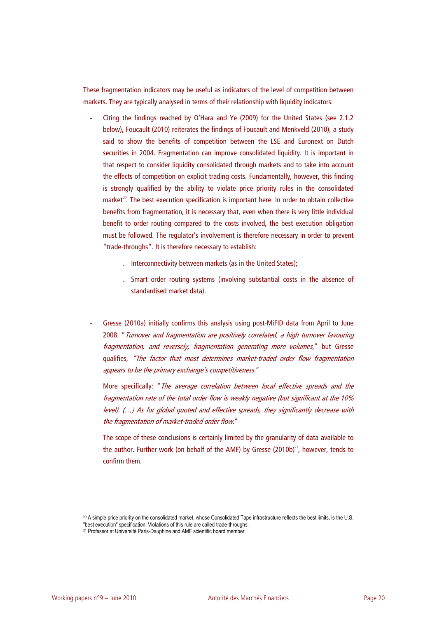These fragmentation indicators may be useful as indicators of the level of competition between markets. They are typically analysed in terms of their relationship with liquidity indicators:

- Citing the findings reached by O'Hara and Ye (2009) for the United States (see 2.1.2 below), Foucault (2010) reiterates the findings of Foucault and Menkveld (2010), a study said to show the benefits of competition between the LSE and Euronext on Dutch securities in 2004. Fragmentation can improve consolidated liquidity. It is important in that respect to consider liquidity consolidated through markets and to take into account the effects of competition on explicit trading costs. Fundamentally, however, this finding is strongly qualified by the ability to violate price priority rules in the consolidated market<sup>20</sup>. The best execution specification is important here. In order to obtain collective benefits from fragmentation, it is necessary that, even when there is very little individual benefit to order routing compared to the costs involved, the best execution obligation must be followed. The regulator's involvement is therefore necessary in order to prevent "trade-throughs". It is therefore necessary to establish:
	- . Interconnectivity between markets (as in the United States);
	- . Smart order routing systems (involving substantial costs in the absence of standardised market data).
- Gresse (2010a) initially confirms this analysis using post-MiFID data from April to June 2008. "Turnover and fragmentation are positively correlated, a high turnover favouring fragmentation, and reversely, fragmentation generating more volumes," but Gresse qualifies, "The factor that most determines market-traded order flow fragmentation appears to be the primary exchange's competitiveness."

More specifically: "The average correlation between local effective spreads and the fragmentation rate of the total order flow is weakly negative (but significant at the 10% level). (…) As for global quoted and effective spreads, they significantly decrease with the fragmentation of market-traded order flow."

The scope of these conclusions is certainly limited by the granularity of data available to the author. Further work (on behalf of the AMF) by Gresse  $(2010b)^{21}$ , however, tends to confirm them.

<sup>20</sup> A simple price priority on the consolidated market, whose Consolidated Tape infrastructure reflects the best limits, is the U.S.

<sup>&</sup>quot;best execution" specification. Violations of this rule are called trade-throughs. 21 Professor at Université Paris-Dauphine and AMF scientific board member.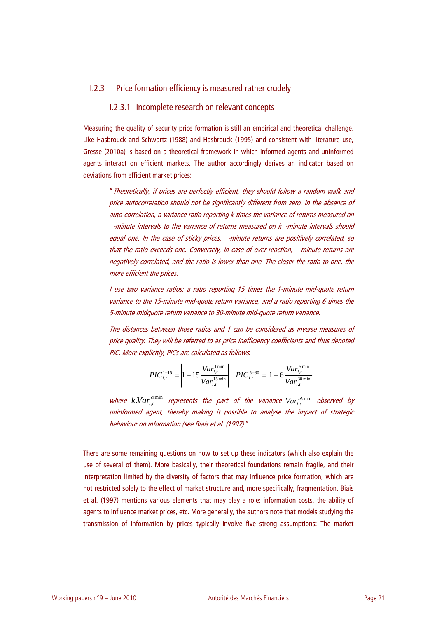### I.2.3 Price formation efficiency is measured rather crudely

### I.2.3.1 Incomplete research on relevant concepts

Measuring the quality of security price formation is still an empirical and theoretical challenge. Like Hasbrouck and Schwartz (1988) and Hasbrouck (1995) and consistent with literature use, Gresse (2010a) is based on a theoretical framework in which informed agents and uninformed agents interact on efficient markets. The author accordingly derives an indicator based on deviations from efficient market prices:

"Theoretically, if prices are perfectly efficient, they should follow a random walk and price autocorrelation should not be significantly different from zero. In the absence of auto-correlation, a variance ratio reporting k times the variance of returns measured on -minute intervals to the variance of returns measured on k -minute intervals should equal one. In the case of sticky prices, -minute returns are positively correlated, so that the ratio exceeds one. Conversely, in case of over-reaction, -minute returns are negatively correlated, and the ratio is lower than one. The closer the ratio to one, the more efficient the prices.

I use two variance ratios: a ratio reporting 15 times the 1-minute mid-quote return variance to the 15-minute mid-quote return variance, and a ratio reporting 6 times the 5-minute midquote return variance to 30-minute mid-quote return variance.

The distances between those ratios and 1 can be considered as inverse measures of price quality. They will be referred to as price inefficiency coefficients and thus denoted PIC. More explicitly, PICs are calculated as follows:

$$
PIC_{i,t}^{1-15} = \left| 1 - 15 \frac{Var_{i,t}^{1\min}}{Var_{i,t}^{15\min}} \right| \quad PIC_{i,t}^{5-30} = \left| 1 - 6 \frac{Var_{i,t}^{5\min}}{Var_{i,t}^{30\min}} \right|
$$

where  $k$ *Nar* $_{i,t}^{\alpha \min}$  represents the part of the variance  $Var_{i,t}^{\alpha k \min}$  observed by uninformed agent, thereby making it possible to analyse the impact of strategic behaviour on information (see Biais et al. (1997)".

There are some remaining questions on how to set up these indicators (which also explain the use of several of them). More basically, their theoretical foundations remain fragile, and their interpretation limited by the diversity of factors that may influence price formation, which are not restricted solely to the effect of market structure and, more specifically, fragmentation. Biais et al. (1997) mentions various elements that may play a role: information costs, the ability of agents to influence market prices, etc. More generally, the authors note that models studying the transmission of information by prices typically involve five strong assumptions: The market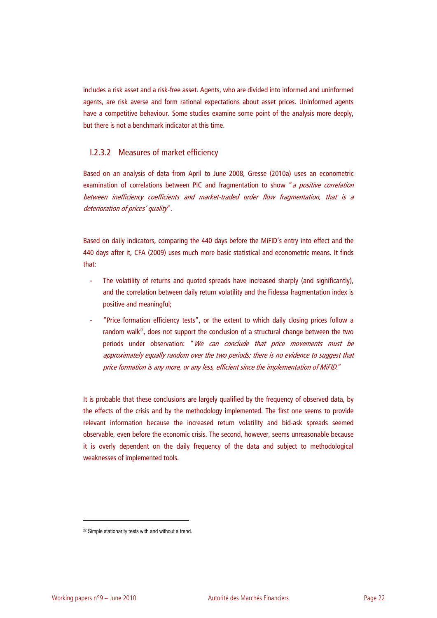includes a risk asset and a risk-free asset. Agents, who are divided into informed and uninformed agents, are risk averse and form rational expectations about asset prices. Uninformed agents have a competitive behaviour. Some studies examine some point of the analysis more deeply, but there is not a benchmark indicator at this time.

### I.2.3.2 Measures of market efficiency

Based on an analysis of data from April to June 2008, Gresse (2010a) uses an econometric examination of correlations between PIC and fragmentation to show "a positive correlation between inefficiency coefficients and market-traded order flow fragmentation, that is a deterioration of prices' quality".

Based on daily indicators, comparing the 440 days before the MiFID's entry into effect and the 440 days after it, CFA (2009) uses much more basic statistical and econometric means. It finds that:

- The volatility of returns and quoted spreads have increased sharply (and significantly), and the correlation between daily return volatility and the Fidessa fragmentation index is positive and meaningful;
- "Price formation efficiency tests", or the extent to which daily closing prices follow a random walk<sup>22</sup>, does not support the conclusion of a structural change between the two periods under observation: "We can conclude that price movements must be approximately equally random over the two periods; there is no evidence to suggest that price formation is any more, or any less, efficient since the implementation of MiFID."

It is probable that these conclusions are largely qualified by the frequency of observed data, by the effects of the crisis and by the methodology implemented. The first one seems to provide relevant information because the increased return volatility and bid-ask spreads seemed observable, even before the economic crisis. The second, however, seems unreasonable because it is overly dependent on the daily frequency of the data and subject to methodological weaknesses of implemented tools.

<sup>22</sup> Simple stationarity tests with and without a trend.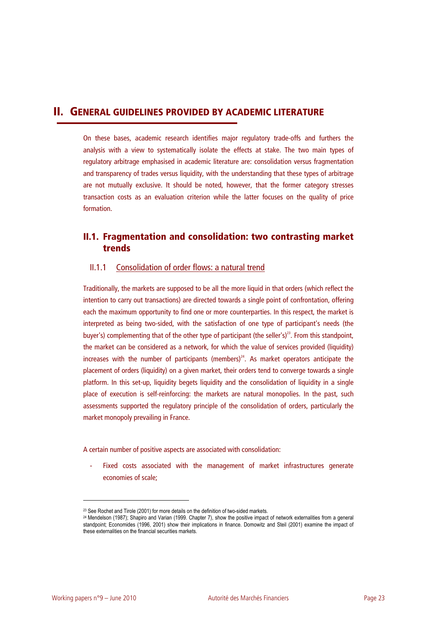## **II. GENERAL GUIDELINES PROVIDED BY ACADEMIC LITERATURE**

On these bases, academic research identifies major regulatory trade-offs and furthers the analysis with a view to systematically isolate the effects at stake. The two main types of regulatory arbitrage emphasised in academic literature are: consolidation versus fragmentation and transparency of trades versus liquidity, with the understanding that these types of arbitrage are not mutually exclusive. It should be noted, however, that the former category stresses transaction costs as an evaluation criterion while the latter focuses on the quality of price formation.

## **II.1. Fragmentation and consolidation: two contrasting market trends**

### II.1.1 Consolidation of order flows: a natural trend

Traditionally, the markets are supposed to be all the more liquid in that orders (which reflect the intention to carry out transactions) are directed towards a single point of confrontation, offering each the maximum opportunity to find one or more counterparties. In this respect, the market is interpreted as being two-sided, with the satisfaction of one type of participant's needs (the buyer's) complementing that of the other type of participant (the seller's)<sup>23</sup>. From this standpoint, the market can be considered as a network, for which the value of services provided (liquidity) increases with the number of participants (members)<sup>24</sup>. As market operators anticipate the placement of orders (liquidity) on a given market, their orders tend to converge towards a single platform. In this set-up, liquidity begets liquidity and the consolidation of liquidity in a single place of execution is self-reinforcing: the markets are natural monopolies. In the past, such assessments supported the regulatory principle of the consolidation of orders, particularly the market monopoly prevailing in France.

A certain number of positive aspects are associated with consolidation:

Fixed costs associated with the management of market infrastructures generate economies of scale;

<sup>&</sup>lt;sup>23</sup> See Rochet and Tirole (2001) for more details on the definition of two-sided markets.

<sup>24</sup> Mendelson (1987); Shapiro and Varian (1999. Chapter 7), show the positive impact of network externalities from a general standpoint; Economides (1996, 2001) show their implications in finance. Domowitz and Steil (2001) examine the impact of these externalities on the financial securities markets.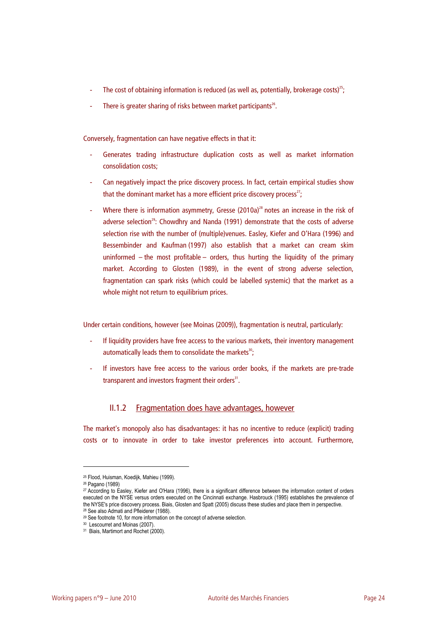- The cost of obtaining information is reduced (as well as, potentially, brokerage costs)<sup>25</sup>;
- There is greater sharing of risks between market participants $26$ .

Conversely, fragmentation can have negative effects in that it:

- Generates trading infrastructure duplication costs as well as market information consolidation costs;
- Can negatively impact the price discovery process. In fact, certain empirical studies show that the dominant market has a more efficient price discovery process<sup>27</sup>;
- Where there is information asymmetry, Gresse (2010a)<sup>28</sup> notes an increase in the risk of adverse selection<sup>29</sup>: Chowdhry and Nanda (1991) demonstrate that the costs of adverse selection rise with the number of (multiple)venues. Easley, Kiefer and O'Hara (1996) and Bessembinder and Kaufman (1997) also establish that a market can cream skim uninformed – the most profitable – orders, thus hurting the liquidity of the primary market. According to Glosten (1989), in the event of strong adverse selection, fragmentation can spark risks (which could be labelled systemic) that the market as a whole might not return to equilibrium prices.

Under certain conditions, however (see Moinas (2009)), fragmentation is neutral, particularly:

- If liquidity providers have free access to the various markets, their inventory management automatically leads them to consolidate the markets<sup>30</sup>;
- If investors have free access to the various order books, if the markets are pre-trade transparent and investors fragment their orders<sup>31</sup>.

### II.1.2 Fragmentation does have advantages, however

The market's monopoly also has disadvantages: it has no incentive to reduce (explicit) trading costs or to innovate in order to take investor preferences into account. Furthermore,

<sup>25</sup> Flood, Huisman, Koedijk, Mahieu (1999).

<sup>26</sup> Pagano (1989)

<sup>27</sup> According to Easley, Kiefer and O'Hara (1996), there is a significant difference between the information content of orders executed on the NYSE versus orders executed on the Cincinnati exchange. Hasbrouck (1995) establishes the prevalence of the NYSE's price discovery process. Biais, Glosten and Spatt (2005) discuss these studies and place them in perspective.<br><sup>28</sup> See also Admati and Pfleiderer (1988).<br><sup>29</sup> See footnote 10, for more information on the concept

<sup>30</sup> Lescourret and Moinas (2007).

<sup>31</sup> Biais, Martimort and Rochet (2000).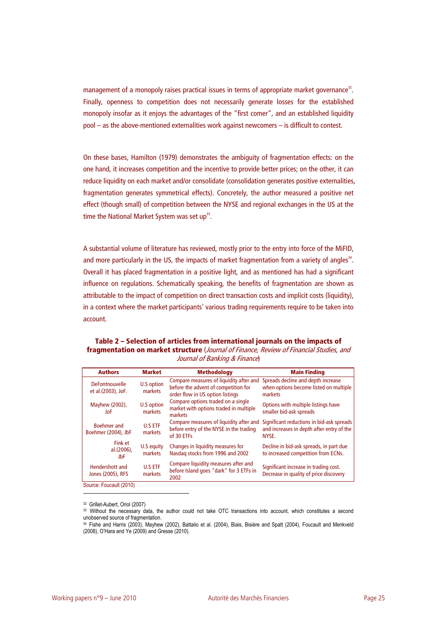management of a monopoly raises practical issues in terms of appropriate market governance $^{32}$ . Finally, openness to competition does not necessarily generate losses for the established monopoly insofar as it enjoys the advantages of the "first comer", and an established liquidity pool – as the above-mentioned externalities work against newcomers – is difficult to contest.

On these bases, Hamilton (1979) demonstrates the ambiguity of fragmentation effects: on the one hand, it increases competition and the incentive to provide better prices; on the other, it can reduce liquidity on each market and/or consolidate (consolidation generates positive externalities, fragmentation generates symmetrical effects). Concretely, the author measured a positive net effect (though small) of competition between the NYSE and regional exchanges in the US at the time the National Market System was set up<sup>33</sup>.

A substantial volume of literature has reviewed, mostly prior to the entry into force of the MiFID, and more particularly in the US, the impacts of market fragmentation from a variety of angles $34$ . Overall it has placed fragmentation in a positive light, and as mentioned has had a significant influence on regulations. Schematically speaking, the benefits of fragmentation are shown as attributable to the impact of competition on direct transaction costs and implicit costs (liquidity), in a context where the market participants' various trading requirements require to be taken into account.

**Table 2 – Selection of articles from international journals on the impacts of fragmentation on market structure** (Journal of Finance, Review of Financial Studies, and Journal of Banking & Finance)

| <b>Authors</b>                              | <b>Market</b>             | <b>Methodology</b>                                                                                                  | <b>Main Finding</b>                                                                             |
|---------------------------------------------|---------------------------|---------------------------------------------------------------------------------------------------------------------|-------------------------------------------------------------------------------------------------|
| <b>DeFontnouvelle</b><br>et al.(2003), JoF. | U.S option<br>markets     | Compare measures of liquidity after and<br>before the advent of competition for<br>order flow in US option listings | Spreads decline and depth increase<br>when options become listed on multiple<br>markets         |
| Mayhew (2002),<br>JoF                       | U.S option<br>markets     | Compare options traded on a single<br>market with options traded in multiple<br>markets                             | Options with multiple listings have<br>smaller bid-ask spreads                                  |
| <b>Boehmer</b> and<br>Boehmer (2004), JbF   | <b>U.S ETF</b><br>markets | Compare measures of liquidity after and<br>before entry of the NYSE in the trading<br>of 30 ETFs                    | Significant reductions in bid-ask spreads<br>and increases in depth after entry of the<br>NYSE. |
| Fink et<br>al.(2006),<br>JbF                | U.S equity<br>markets     | Changes in liquidity measures for<br>Nasdag stocks from 1996 and 2002                                               | Decline in bid-ask spreads, in part due<br>to increased competition from ECNs.                  |
| Hendershott and<br>Jones (2005), RFS        | <b>U.S ETF</b><br>markets | Compare liquidity measures after and<br>before Island goes "dark" for 3 ETFs in<br>2002                             | Significant increase in trading cost.<br>Decrease in quality of price discovery                 |
| Source: Foucault (2010)                     |                           |                                                                                                                     |                                                                                                 |

32 Grillet-Aubert, Oriol (2007)

<sup>33</sup> Without the necessary data, the author could not take OTC transactions into account, which constitutes a second unobserved source of fragmentation.

<sup>34</sup> Fishe and Harris (2003), Mayhew (2002), Battalio et al. (2004), Biais, Bisière and Spatt (2004), Foucault and Menkveld (2008), O'Hara and Ye (2009) and Gresse (2010).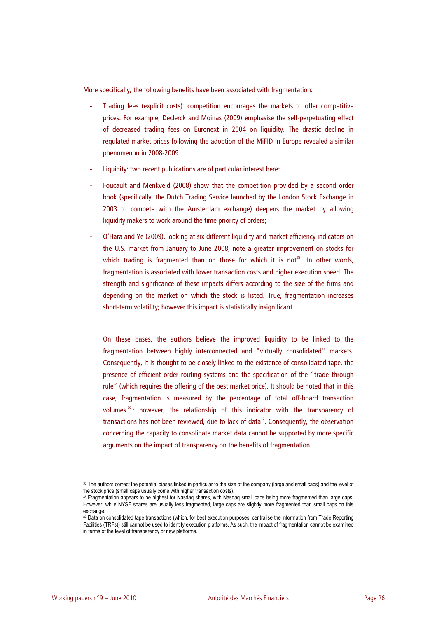More specifically, the following benefits have been associated with fragmentation:

- Trading fees (explicit costs): competition encourages the markets to offer competitive prices. For example, Declerck and Moinas (2009) emphasise the self-perpetuating effect of decreased trading fees on Euronext in 2004 on liquidity. The drastic decline in regulated market prices following the adoption of the MiFID in Europe revealed a similar phenomenon in 2008-2009.
- Liquidity: two recent publications are of particular interest here:
- Foucault and Menkveld (2008) show that the competition provided by a second order book (specifically, the Dutch Trading Service launched by the London Stock Exchange in 2003 to compete with the Amsterdam exchange) deepens the market by allowing liquidity makers to work around the time priority of orders;
- O'Hara and Ye (2009), looking at six different liquidity and market efficiency indicators on the U.S. market from January to June 2008, note a greater improvement on stocks for which trading is fragmented than on those for which it is not<sup>35</sup>. In other words, fragmentation is associated with lower transaction costs and higher execution speed. The strength and significance of these impacts differs according to the size of the firms and depending on the market on which the stock is listed. True, fragmentation increases short-term volatility; however this impact is statistically insignificant.

On these bases, the authors believe the improved liquidity to be linked to the fragmentation between highly interconnected and "virtually consolidated" markets. Consequently, it is thought to be closely linked to the existence of consolidated tape, the presence of efficient order routing systems and the specification of the "trade through rule" (which requires the offering of the best market price). It should be noted that in this case, fragmentation is measured by the percentage of total off-board transaction volumes <sup>36</sup> ; however, the relationship of this indicator with the transparency of transactions has not been reviewed, due to lack of data $37$ . Consequently, the observation concerning the capacity to consolidate market data cannot be supported by more specific arguments on the impact of transparency on the benefits of fragmentation.

<sup>35</sup> The authors correct the potential biases linked in particular to the size of the company (large and small caps) and the level of the stock price (small caps usually come with higher transaction costs).<br><sup>36</sup> Fragmentation appears to be highest for Nasdaq shares, with Nasdaq small caps being more fragmented than large caps.

However, while NYSE shares are usually less fragmented, large caps are slightly more fragmented than small caps on this exchange

<sup>37</sup> Data on consolidated tape transactions (which, for best execution purposes, centralise the information from Trade Reporting Facilities (TRFs)) still cannot be used to identify execution platforms. As such, the impact of fragmentation cannot be examined in terms of the level of transparency of new platforms.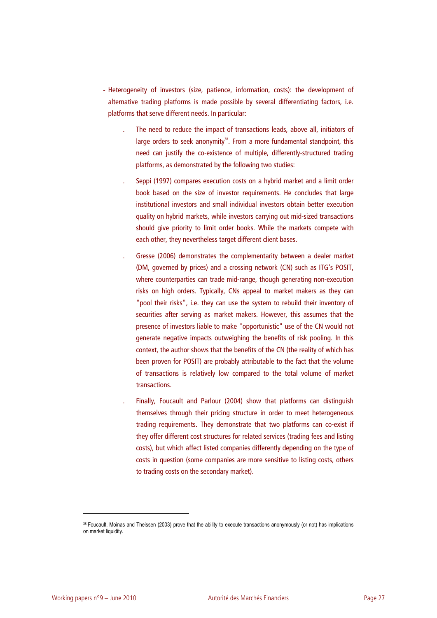- Heterogeneity of investors (size, patience, information, costs): the development of alternative trading platforms is made possible by several differentiating factors, i.e. platforms that serve different needs. In particular:
	- . The need to reduce the impact of transactions leads, above all, initiators of large orders to seek anonymity $38$ . From a more fundamental standpoint, this need can justify the co-existence of multiple, differently-structured trading platforms, as demonstrated by the following two studies:
	- . Seppi (1997) compares execution costs on a hybrid market and a limit order book based on the size of investor requirements. He concludes that large institutional investors and small individual investors obtain better execution quality on hybrid markets, while investors carrying out mid-sized transactions should give priority to limit order books. While the markets compete with each other, they nevertheless target different client bases.
	- . Gresse (2006) demonstrates the complementarity between a dealer market (DM, governed by prices) and a crossing network (CN) such as ITG's POSIT, where counterparties can trade mid-range, though generating non-execution risks on high orders. Typically, CNs appeal to market makers as they can "pool their risks", i.e. they can use the system to rebuild their inventory of securities after serving as market makers. However, this assumes that the presence of investors liable to make "opportunistic" use of the CN would not generate negative impacts outweighing the benefits of risk pooling. In this context, the author shows that the benefits of the CN (the reality of which has been proven for POSIT) are probably attributable to the fact that the volume of transactions is relatively low compared to the total volume of market transactions.
	- . Finally, Foucault and Parlour (2004) show that platforms can distinguish themselves through their pricing structure in order to meet heterogeneous trading requirements. They demonstrate that two platforms can co-exist if they offer different cost structures for related services (trading fees and listing costs), but which affect listed companies differently depending on the type of costs in question (some companies are more sensitive to listing costs, others to trading costs on the secondary market).

<sup>38</sup> Foucault, Moinas and Theissen (2003) prove that the ability to execute transactions anonymously (or not) has implications on market liquidity.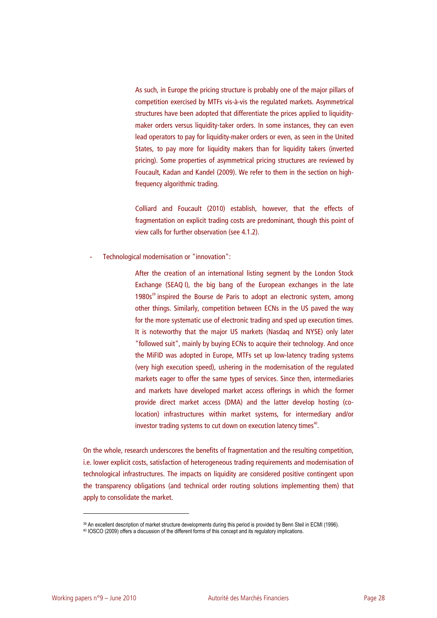As such, in Europe the pricing structure is probably one of the major pillars of competition exercised by MTFs vis-à-vis the regulated markets. Asymmetrical structures have been adopted that differentiate the prices applied to liquiditymaker orders versus liquidity-taker orders. In some instances, they can even lead operators to pay for liquidity-maker orders or even, as seen in the United States, to pay more for liquidity makers than for liquidity takers (inverted pricing). Some properties of asymmetrical pricing structures are reviewed by Foucault, Kadan and Kandel (2009). We refer to them in the section on highfrequency algorithmic trading.

Colliard and Foucault (2010) establish, however, that the effects of fragmentation on explicit trading costs are predominant, though this point of view calls for further observation (see 4.1.2).

- Technological modernisation or "innovation":

After the creation of an international listing segment by the London Stock Exchange (SEAQ I), the big bang of the European exchanges in the late 1980s<sup>39</sup> inspired the Bourse de Paris to adopt an electronic system, among other things. Similarly, competition between ECNs in the US paved the way for the more systematic use of electronic trading and sped up execution times. It is noteworthy that the major US markets (Nasdaq and NYSE) only later "followed suit", mainly by buying ECNs to acquire their technology. And once the MiFID was adopted in Europe, MTFs set up low-latency trading systems (very high execution speed), ushering in the modernisation of the regulated markets eager to offer the same types of services. Since then, intermediaries and markets have developed market access offerings in which the former provide direct market access (DMA) and the latter develop hosting (colocation) infrastructures within market systems, for intermediary and/or investor trading systems to cut down on execution latency times<sup>40</sup>.

On the whole, research underscores the benefits of fragmentation and the resulting competition, i.e. lower explicit costs, satisfaction of heterogeneous trading requirements and modernisation of technological infrastructures. The impacts on liquidity are considered positive contingent upon the transparency obligations (and technical order routing solutions implementing them) that apply to consolidate the market.

<sup>39</sup> An excellent description of market structure developments during this period is provided by Benn Steil in ECMI (1996).<br>40 IOSCO (2009) offers a discussion of the different forms of this concept and its regulatory implic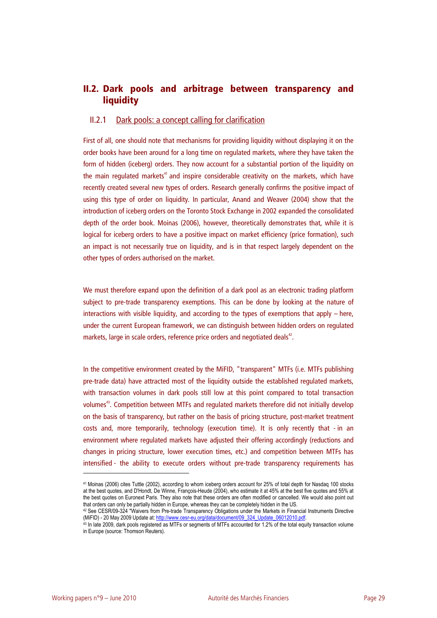## **II.2. Dark pools and arbitrage between transparency and liquidity**

### II.2.1 Dark pools: a concept calling for clarification

First of all, one should note that mechanisms for providing liquidity without displaying it on the order books have been around for a long time on regulated markets, where they have taken the form of hidden (iceberg) orders. They now account for a substantial portion of the liquidity on the main regulated markets<sup>41</sup> and inspire considerable creativity on the markets, which have recently created several new types of orders. Research generally confirms the positive impact of using this type of order on liquidity. In particular, Anand and Weaver (2004) show that the introduction of iceberg orders on the Toronto Stock Exchange in 2002 expanded the consolidated depth of the order book. Moinas (2006), however, theoretically demonstrates that, while it is logical for iceberg orders to have a positive impact on market efficiency (price formation), such an impact is not necessarily true on liquidity, and is in that respect largely dependent on the other types of orders authorised on the market.

We must therefore expand upon the definition of a dark pool as an electronic trading platform subject to pre-trade transparency exemptions. This can be done by looking at the nature of interactions with visible liquidity, and according to the types of exemptions that apply – here, under the current European framework, we can distinguish between hidden orders on regulated markets, large in scale orders, reference price orders and negotiated deals<sup>42</sup>.

In the competitive environment created by the MiFID, "transparent" MTFs (i.e. MTFs publishing pre-trade data) have attracted most of the liquidity outside the established regulated markets, with transaction volumes in dark pools still low at this point compared to total transaction volumes<sup>43</sup>. Competition between MTFs and regulated markets therefore did not initially develop on the basis of transparency, but rather on the basis of pricing structure, post-market treatment costs and, more temporarily, technology (execution time). It is only recently that - in an environment where regulated markets have adjusted their offering accordingly (reductions and changes in pricing structure, lower execution times, etc.) and competition between MTFs has intensified - the ability to execute orders without pre-trade transparency requirements has

<sup>41</sup> Moinas (2006) cites Tuttle (2002), according to whom iceberg orders account for 25% of total depth for Nasdaq 100 stocks at the best quotes, and D'Hondt, De Winne, François-Heude (2004), who estimate it at 45% at the best five quotes and 55% at the best quotes on Euronext Paris. They also note that these orders are often modified or cancelled. We would also point out

that orders can only be partially hidden in Europe, whereas they can be completely hidden in the US.<br><sup>42</sup> See CESR/09-324 "Waivers from Pre-trade Transparency Obligations under the Markets in Financial Instruments Directiv

 $43$  In late 2009, dark pools registered as MTFs or segments of MTFs accounted for 1.2% of the total equity transaction volume in Europe (source: Thomson Reuters).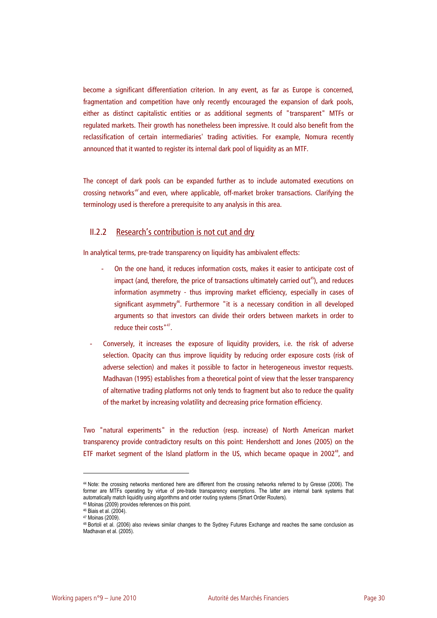become a significant differentiation criterion. In any event, as far as Europe is concerned, fragmentation and competition have only recently encouraged the expansion of dark pools, either as distinct capitalistic entities or as additional segments of "transparent" MTFs or regulated markets. Their growth has nonetheless been impressive. It could also benefit from the reclassification of certain intermediaries' trading activities. For example, Nomura recently announced that it wanted to register its internal dark pool of liquidity as an MTF.

The concept of dark pools can be expanded further as to include automated executions on crossing networks<sup>44</sup> and even, where applicable, off-market broker transactions. Clarifying the terminology used is therefore a prerequisite to any analysis in this area.

### II.2.2 Research's contribution is not cut and dry

In analytical terms, pre-trade transparency on liquidity has ambivalent effects:

- On the one hand, it reduces information costs, makes it easier to anticipate cost of impact (and, therefore, the price of transactions ultimately carried out<sup>45</sup>), and reduces information asymmetry - thus improving market efficiency, especially in cases of significant asymmetry<sup>46</sup>. Furthermore "it is a necessary condition in all developed arguments so that investors can divide their orders between markets in order to reduce their costs"<sup>47</sup>.
- Conversely, it increases the exposure of liquidity providers, i.e. the risk of adverse selection. Opacity can thus improve liquidity by reducing order exposure costs (risk of adverse selection) and makes it possible to factor in heterogeneous investor requests. Madhavan (1995) establishes from a theoretical point of view that the lesser transparency of alternative trading platforms not only tends to fragment but also to reduce the quality of the market by increasing volatility and decreasing price formation efficiency.

Two "natural experiments" in the reduction (resp. increase) of North American market transparency provide contradictory results on this point: Hendershott and Jones (2005) on the ETF market segment of the Island platform in the US, which became opaque in 2002<sup>48</sup>, and

<sup>44</sup> Note: the crossing networks mentioned here are different from the crossing networks referred to by Gresse (2006). The former are MTFs operating by virtue of pre-trade transparency exemptions. The latter are internal bank systems that automatically match liquidity using algorithms and order routing systems (Smart Order Routers). 45 Moinas (2009) provides references on this point. 46 Biais et al. (2004).

<sup>47</sup> Moinas (2009).

<sup>48</sup> Bortoli et al. (2006) also reviews similar changes to the Sydney Futures Exchange and reaches the same conclusion as Madhavan et al. (2005).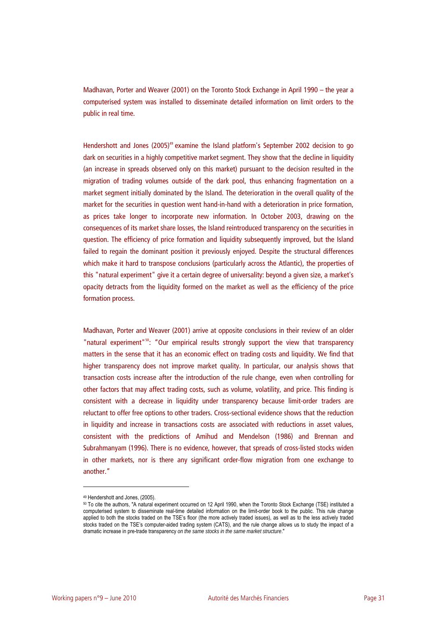Madhavan, Porter and Weaver (2001) on the Toronto Stock Exchange in April 1990 – the year a computerised system was installed to disseminate detailed information on limit orders to the public in real time.

Hendershott and Jones (2005)<sup>49</sup> examine the Island platform's September 2002 decision to go dark on securities in a highly competitive market segment. They show that the decline in liquidity (an increase in spreads observed only on this market) pursuant to the decision resulted in the migration of trading volumes outside of the dark pool, thus enhancing fragmentation on a market segment initially dominated by the Island. The deterioration in the overall quality of the market for the securities in question went hand-in-hand with a deterioration in price formation, as prices take longer to incorporate new information. In October 2003, drawing on the consequences of its market share losses, the Island reintroduced transparency on the securities in question. The efficiency of price formation and liquidity subsequently improved, but the Island failed to regain the dominant position it previously enjoyed. Despite the structural differences which make it hard to transpose conclusions (particularly across the Atlantic), the properties of this "natural experiment" give it a certain degree of universality: beyond a given size, a market's opacity detracts from the liquidity formed on the market as well as the efficiency of the price formation process.

Madhavan, Porter and Weaver (2001) arrive at opposite conclusions in their review of an older "natural experiment"<sup>50</sup>: "Our empirical results strongly support the view that transparency matters in the sense that it has an economic effect on trading costs and liquidity. We find that higher transparency does not improve market quality. In particular, our analysis shows that transaction costs increase after the introduction of the rule change, even when controlling for other factors that may affect trading costs, such as volume, volatility, and price. This finding is consistent with a decrease in liquidity under transparency because limit-order traders are reluctant to offer free options to other traders. Cross-sectional evidence shows that the reduction in liquidity and increase in transactions costs are associated with reductions in asset values, consistent with the predictions of Amihud and Mendelson (1986) and Brennan and Subrahmanyam (1996). There is no evidence, however, that spreads of cross-listed stocks widen in other markets, nor is there any significant order-flow migration from one exchange to another."

<sup>49</sup> Hendershott and Jones, (2005).

<sup>50</sup> To cite the authors, "A natural experiment occurred on 12 April 1990, when the Toronto Stock Exchange (TSE) instituted a computerised system to disseminate real-time detailed information on the limit-order book to the public. This rule change applied to both the stocks traded on the TSE's floor (the more actively traded issues), as well as to the less actively traded stocks traded on the TSE's computer-aided trading system (CATS), and the rule change allows us to study the impact of a dramatic increase in pre-trade transparency *on the same stocks in the same market structure*."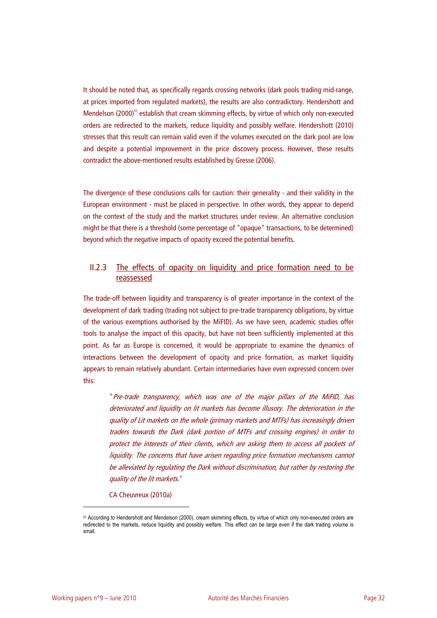It should be noted that, as specifically regards crossing networks (dark pools trading mid-range, at prices imported from regulated markets), the results are also contradictory. Hendershott and Mendelson (2000)<sup>51</sup> establish that cream skimming effects, by virtue of which only non-executed orders are redirected to the markets, reduce liquidity and possibly welfare. Hendershott (2010) stresses that this result can remain valid even if the volumes executed on the dark pool are low and despite a potential improvement in the price discovery process. However, these results contradict the above-mentioned results established by Gresse (2006).

The divergence of these conclusions calls for caution: their generality - and their validity in the European environment - must be placed in perspective. In other words, they appear to depend on the context of the study and the market structures under review. An alternative conclusion might be that there is a threshold (some percentage of "opaque" transactions, to be determined) beyond which the negative impacts of opacity exceed the potential benefits.

### II.2.3 The effects of opacity on liquidity and price formation need to be reassessed

The trade-off between liquidity and transparency is of greater importance in the context of the development of dark trading (trading not subject to pre-trade transparency obligations, by virtue of the various exemptions authorised by the MiFID). As we have seen, academic studies offer tools to analyse the impact of this opacity, but have not been sufficiently implemented at this point. As far as Europe is concerned, it would be appropriate to examine the dynamics of interactions between the development of opacity and price formation, as market liquidity appears to remain relatively abundant. Certain intermediaries have even expressed concern over this:

"Pre-trade transparency, which was one of the major pillars of the MiFID, has deteriorated and liquidity on lit markets has become illusory. The deterioration in the quality of Lit markets on the whole (primary markets and MTFs) has increasingly driven traders towards the Dark (dark portion of MTFs and crossing engines) in order to protect the interests of their clients, which are asking them to access all pockets of liquidity. The concerns that have arisen regarding price formation mechanisms cannot be alleviated by regulating the Dark without discrimination, but rather by restoring the quality of the lit markets."

#### CA Cheuvreux (2010a)

<sup>51</sup> According to Hendershott and Mendelson (2000), cream skimming effects, by virtue of which only non-executed orders are redirected to the markets, reduce liquidity and possibly welfare. This effect can be large even if the dark trading volume is small.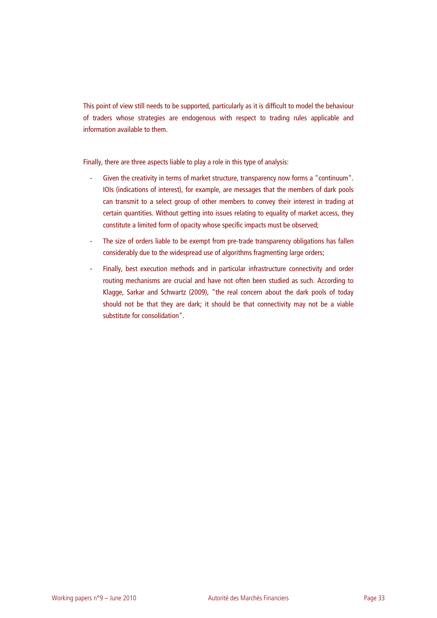This point of view still needs to be supported, particularly as it is difficult to model the behaviour of traders whose strategies are endogenous with respect to trading rules applicable and information available to them.

Finally, there are three aspects liable to play a role in this type of analysis:

- Given the creativity in terms of market structure, transparency now forms a "continuum". IOIs (indications of interest), for example, are messages that the members of dark pools can transmit to a select group of other members to convey their interest in trading at certain quantities. Without getting into issues relating to equality of market access, they constitute a limited form of opacity whose specific impacts must be observed;
- The size of orders liable to be exempt from pre-trade transparency obligations has fallen considerably due to the widespread use of algorithms fragmenting large orders;
- Finally, best execution methods and in particular infrastructure connectivity and order routing mechanisms are crucial and have not often been studied as such. According to Klagge, Sarkar and Schwartz (2009), "the real concern about the dark pools of today should not be that they are dark; it should be that connectivity may not be a viable substitute for consolidation".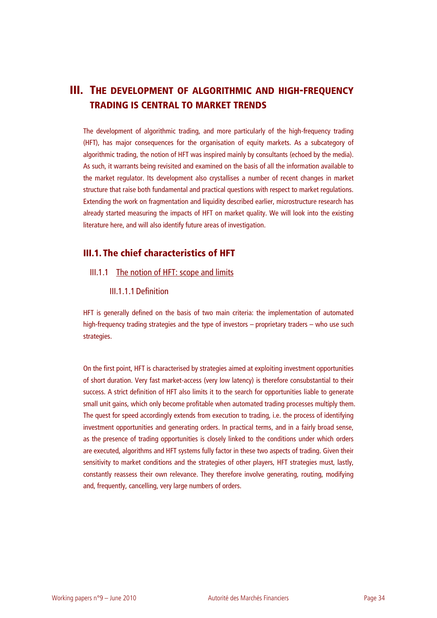# **III. THE DEVELOPMENT OF ALGORITHMIC AND HIGH-FREQUENCY TRADING IS CENTRAL TO MARKET TRENDS**

The development of algorithmic trading, and more particularly of the high-frequency trading (HFT), has major consequences for the organisation of equity markets. As a subcategory of algorithmic trading, the notion of HFT was inspired mainly by consultants (echoed by the media). As such, it warrants being revisited and examined on the basis of all the information available to the market regulator. Its development also crystallises a number of recent changes in market structure that raise both fundamental and practical questions with respect to market regulations. Extending the work on fragmentation and liquidity described earlier, microstructure research has already started measuring the impacts of HFT on market quality. We will look into the existing literature here, and will also identify future areas of investigation.

## **III.1. The chief characteristics of HFT**

### III.1.1 The notion of HFT: scope and limits

III.1.1.1Definition

HFT is generally defined on the basis of two main criteria: the implementation of automated high-frequency trading strategies and the type of investors – proprietary traders – who use such strategies.

On the first point, HFT is characterised by strategies aimed at exploiting investment opportunities of short duration. Very fast market-access (very low latency) is therefore consubstantial to their success. A strict definition of HFT also limits it to the search for opportunities liable to generate small unit gains, which only become profitable when automated trading processes multiply them. The quest for speed accordingly extends from execution to trading, i.e. the process of identifying investment opportunities and generating orders. In practical terms, and in a fairly broad sense, as the presence of trading opportunities is closely linked to the conditions under which orders are executed, algorithms and HFT systems fully factor in these two aspects of trading. Given their sensitivity to market conditions and the strategies of other players, HFT strategies must, lastly, constantly reassess their own relevance. They therefore involve generating, routing, modifying and, frequently, cancelling, very large numbers of orders.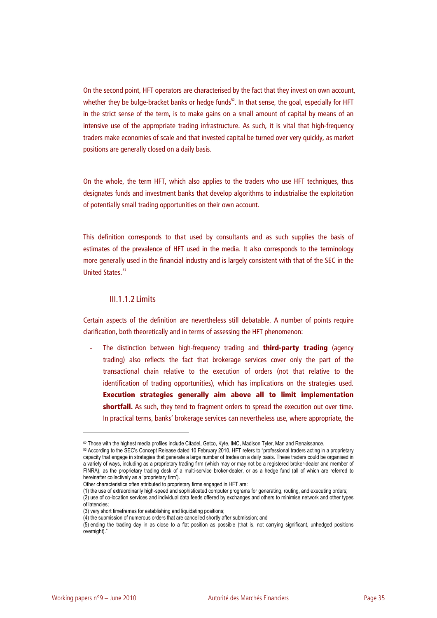On the second point, HFT operators are characterised by the fact that they invest on own account, whether they be bulge-bracket banks or hedge funds $52$ . In that sense, the goal, especially for HFT in the strict sense of the term, is to make gains on a small amount of capital by means of an intensive use of the appropriate trading infrastructure. As such, it is vital that high-frequency traders make economies of scale and that invested capital be turned over very quickly, as market positions are generally closed on a daily basis.

On the whole, the term HFT, which also applies to the traders who use HFT techniques, thus designates funds and investment banks that develop algorithms to industrialise the exploitation of potentially small trading opportunities on their own account.

This definition corresponds to that used by consultants and as such supplies the basis of estimates of the prevalence of HFT used in the media. It also corresponds to the terminology more generally used in the financial industry and is largely consistent with that of the SEC in the United States.<sup>53</sup>

### III.1.1.2Limits

Certain aspects of the definition are nevertheless still debatable. A number of points require clarification, both theoretically and in terms of assessing the HFT phenomenon:

- The distinction between high-frequency trading and **third-party trading** (agency trading) also reflects the fact that brokerage services cover only the part of the transactional chain relative to the execution of orders (not that relative to the identification of trading opportunities), which has implications on the strategies used. **Execution strategies generally aim above all to limit implementation**  shortfall. As such, they tend to fragment orders to spread the execution out over time. In practical terms, banks' brokerage services can nevertheless use, where appropriate, the

<sup>52</sup> Those with the highest media profiles include Citadel, Getco, Kyte, IMC, Madison Tyler, Man and Renaissance.<br>53 According to the SEC's Concept Release dated 10 February 2010, HFT refers to "professional traders acting i capacity that engage in strategies that generate a large number of trades on a daily basis. These traders could be organised in a variety of ways, including as a proprietary trading firm (which may or may not be a registered broker-dealer and member of FINRA), as the proprietary trading desk of a multi-service broker-dealer, or as a hedge fund (all of which are referred to hereinafter collectively as a 'proprietary firm').

Other characteristics often attributed to proprietary firms engaged in HFT are:

<sup>(1)</sup> the use of extraordinarily high-speed and sophisticated computer programs for generating, routing, and executing orders; (2) use of co-location services and individual data feeds offered by exchanges and others to minimise network and other types of latencies;

<sup>(3)</sup> very short timeframes for establishing and liquidating positions;

<sup>(4)</sup> the submission of numerous orders that are cancelled shortly after submission; and

<sup>(5)</sup> ending the trading day in as close to a flat position as possible (that is, not carrying significant, unhedged positions overnight)."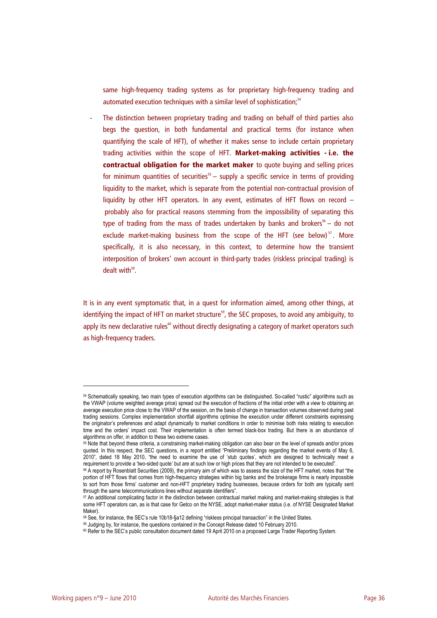same high-frequency trading systems as for proprietary high-frequency trading and automated execution techniques with a similar level of sophistication;<sup>54</sup>

The distinction between proprietary trading and trading on behalf of third parties also begs the question, in both fundamental and practical terms (for instance when quantifying the scale of HFT), of whether it makes sense to include certain proprietary trading activities within the scope of HFT. **Market-making activities - i.e. the contractual obligation for the market maker** to quote buying and selling prices for minimum quantities of securities<sup>55</sup> – supply a specific service in terms of providing liquidity to the market, which is separate from the potential non-contractual provision of liquidity by other HFT operators. In any event, estimates of HFT flows on record – probably also for practical reasons stemming from the impossibility of separating this type of trading from the mass of trades undertaken by banks and brokers<sup>56</sup> – do not exclude market-making business from the scope of the HFT (see below)<sup>57</sup>. More specifically, it is also necessary, in this context, to determine how the transient interposition of brokers' own account in third-party trades (riskless principal trading) is dealt with $^{58}$ .

It is in any event symptomatic that, in a quest for information aimed, among other things, at identifying the impact of HFT on market structure<sup>59</sup>, the SEC proposes, to avoid any ambiguity, to apply its new declarative rules $<sup>60</sup>$  without directly designating a category of market operators such</sup> as high-frequency traders.

<sup>54</sup> Schematically speaking, two main types of execution algorithms can be distinguished. So-called "rustic" algorithms such as the VWAP (volume weighted average price) spread out the execution of fractions of the initial order with a view to obtaining an average execution price close to the VWAP of the session, on the basis of change in transaction volumes observed during past trading sessions. Complex implementation shortfall algorithms optimise the execution under different constraints expressing the originator's preferences and adapt dynamically to market conditions in order to minimise both risks relating to execution time and the orders' impact cost. Their implementation is often termed black-box trading. But there is an abundance of algorithms on offer, in addition to these two extreme cases.

<sup>55</sup> Note that beyond these criteria, a constraining market-making obligation can also bear on the level of spreads and/or prices quoted. In this respect, the SEC questions, in a report entitled "Preliminary findings regarding the market events of May 6, 2010", dated 18 May 2010, "the need to examine the use of 'stub quotes', which are designed to technically meet a requirement to provide a 'two-sided quote' but are at such low or high prices that they are not intended to

<sup>56</sup> A report by Rosenblatt Securities (2009), the primary aim of which was to assess the size of the HFT market, notes that "the portion of HFT flows that comes from high-frequency strategies within big banks and the brokerage firms is nearly impossible to sort from those firms' customer and non-HFT proprietary trading businesses, because orders for both are typically sent through the same telecommunications lines without separate identifiers".

<sup>57</sup> An additional complicating factor in the distinction between contractual market making and market-making strategies is that some HFT operators can, as is that case for Getco on the NYSE, adopt market-maker status (i.e. of NYSE Designated Market Maker).<br><sup>58</sup> See, for instance, the SEC's rule 10b18-§a12 defining "riskless principal transaction" in the United States.

<sup>59</sup> Judging by, for instance, the questions contained in the Concept Release dated 10 February 2010.<br><sup>60</sup> Refer to the SEC's public consultation document dated 19 April 2010 on a proposed Large Trader Reporting System.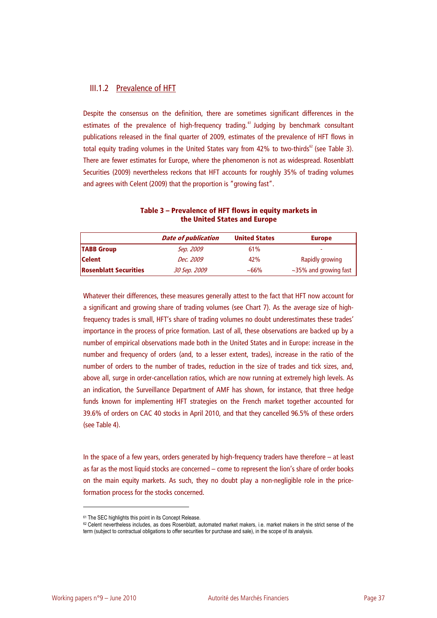## III.1.2 Prevalence of HFT

Despite the consensus on the definition, there are sometimes significant differences in the estimates of the prevalence of high-frequency trading.<sup>61</sup> Judging by benchmark consultant publications released in the final quarter of 2009, estimates of the prevalence of HFT flows in total equity trading volumes in the United States vary from 42% to two-thirds<sup>62</sup> (see Table 3). There are fewer estimates for Europe, where the phenomenon is not as widespread. Rosenblatt Securities (2009) nevertheless reckons that HFT accounts for roughly 35% of trading volumes and agrees with Celent (2009) that the proportion is "growing fast".

|                              | <b>Date of publication</b> | <b>United States</b> | <b>Europe</b>         |
|------------------------------|----------------------------|----------------------|-----------------------|
| <b>TABB Group</b>            | Sep. 2009                  | 61%                  |                       |
| <b>Celent</b>                | Dec. 2009                  | 42%                  | Rapidly growing       |
| <b>Rosenblatt Securities</b> | 30 Sep. 2009               | ~100                 | ~35% and growing fast |

**Table 3 – Prevalence of HFT flows in equity markets in the United States and Europe** 

Whatever their differences, these measures generally attest to the fact that HFT now account for a significant and growing share of trading volumes (see Chart 7). As the average size of highfrequency trades is small, HFT's share of trading volumes no doubt underestimates these trades' importance in the process of price formation. Last of all, these observations are backed up by a number of empirical observations made both in the United States and in Europe: increase in the number and frequency of orders (and, to a lesser extent, trades), increase in the ratio of the number of orders to the number of trades, reduction in the size of trades and tick sizes, and, above all, surge in order-cancellation ratios, which are now running at extremely high levels. As an indication, the Surveillance Department of AMF has shown, for instance, that three hedge funds known for implementing HFT strategies on the French market together accounted for 39.6% of orders on CAC 40 stocks in April 2010, and that they cancelled 96.5% of these orders (see Table 4).

In the space of a few years, orders generated by high-frequency traders have therefore – at least as far as the most liquid stocks are concerned – come to represent the lion's share of order books on the main equity markets. As such, they no doubt play a non-negligible role in the priceformation process for the stocks concerned.

<sup>61</sup> The SEC highlights this point in its Concept Release.

<sup>62</sup> Celent nevertheless includes, as does Rosenblatt, automated market makers, i.e. market makers in the strict sense of the term (subject to contractual obligations to offer securities for purchase and sale), in the scope of its analysis.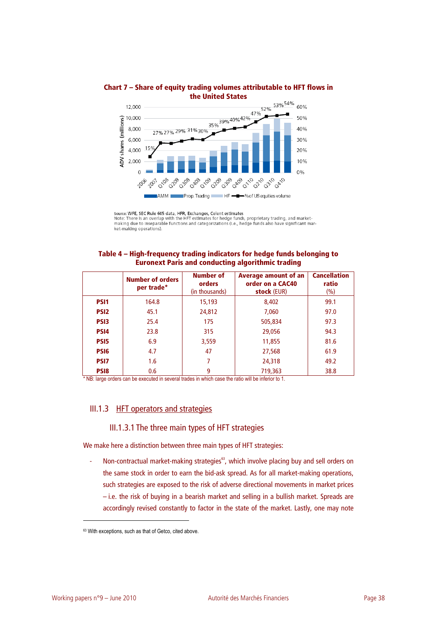

## **Chart 7 – Share of equity trading volumes attributable to HFT flows in the United States**

Source: WFE, SEC Rule 605 data, HFR, Exchanges, Celent estimates<br>Note: There is an overlap with the HFT estimates for hedge funds, proprietary trading, and market-<br>making due to inseparable functions and categorizations (i ket-making operations).

## **Table 4 – High-frequency trading indicators for hedge funds belonging to Euronext Paris and conducting algorithmic trading**

|                  | <b>Number of orders</b><br>per trade* | <b>Number of</b><br>orders<br>(in thousands) | <b>Average amount of an</b><br>order on a CAC40<br>stock (EUR) | <b>Cancellation</b><br>ratio<br>(% ) |
|------------------|---------------------------------------|----------------------------------------------|----------------------------------------------------------------|--------------------------------------|
| <b>PSI1</b>      | 164.8                                 | 15,193                                       | 8,402                                                          | 99.1                                 |
| <b>PSI2</b>      | 45.1                                  | 24,812                                       | 7,060                                                          | 97.0                                 |
| <b>PSI3</b>      | 25.4                                  | 175                                          | 505,834                                                        | 97.3                                 |
| PS <sub>14</sub> | 23.8                                  | 315                                          | 29,056                                                         | 94.3                                 |
| PS <sub>I5</sub> | 6.9                                   | 3,559                                        | 11,855                                                         | 81.6                                 |
| PS <sub>16</sub> | 4.7                                   | 47                                           | 27,568                                                         | 61.9                                 |
| <b>PSI7</b>      | 1.6                                   | 7                                            | 24,318                                                         | 49.2                                 |
| <b>PSI8</b>      | 0.6                                   | 9                                            | 719,363                                                        | 38.8                                 |

\* NB: large orders can be executed in several trades in which case the ratio will be inferior to 1.

# III.1.3 HFT operators and strategies

## III.1.3.1The three main types of HFT strategies

We make here a distinction between three main types of HFT strategies:

Non-contractual market-making strategies<sup>63</sup>, which involve placing buy and sell orders on the same stock in order to earn the bid-ask spread. As for all market-making operations, such strategies are exposed to the risk of adverse directional movements in market prices – i.e. the risk of buying in a bearish market and selling in a bullish market. Spreads are accordingly revised constantly to factor in the state of the market. Lastly, one may note

<sup>63</sup> With exceptions, such as that of Getco, cited above.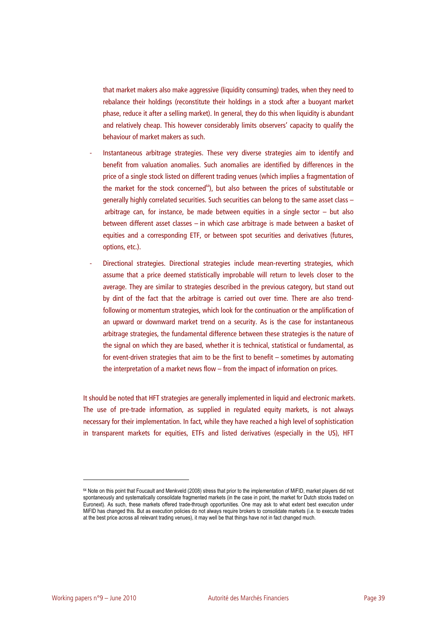that market makers also make aggressive (liquidity consuming) trades, when they need to rebalance their holdings (reconstitute their holdings in a stock after a buoyant market phase, reduce it after a selling market). In general, they do this when liquidity is abundant and relatively cheap. This however considerably limits observers' capacity to qualify the behaviour of market makers as such.

- Instantaneous arbitrage strategies. These very diverse strategies aim to identify and benefit from valuation anomalies. Such anomalies are identified by differences in the price of a single stock listed on different trading venues (which implies a fragmentation of the market for the stock concerned $64$ ), but also between the prices of substitutable or generally highly correlated securities. Such securities can belong to the same asset class – arbitrage can, for instance, be made between equities in a single sector  $-$  but also between different asset classes – in which case arbitrage is made between a basket of equities and a corresponding ETF, or between spot securities and derivatives (futures, options, etc.).
- Directional strategies. Directional strategies include mean-reverting strategies, which assume that a price deemed statistically improbable will return to levels closer to the average. They are similar to strategies described in the previous category, but stand out by dint of the fact that the arbitrage is carried out over time. There are also trendfollowing or momentum strategies, which look for the continuation or the amplification of an upward or downward market trend on a security. As is the case for instantaneous arbitrage strategies, the fundamental difference between these strategies is the nature of the signal on which they are based, whether it is technical, statistical or fundamental, as for event-driven strategies that aim to be the first to benefit – sometimes by automating the interpretation of a market news flow – from the impact of information on prices.

It should be noted that HFT strategies are generally implemented in liquid and electronic markets. The use of pre-trade information, as supplied in regulated equity markets, is not always necessary for their implementation. In fact, while they have reached a high level of sophistication in transparent markets for equities, ETFs and listed derivatives (especially in the US), HFT

<sup>64</sup> Note on this point that Foucault and Menkveld (2008) stress that prior to the implementation of MiFID, market players did not spontaneously and systematically consolidate fragmented markets (in the case in point, the market for Dutch stocks traded on Euronext). As such, these markets offered trade-through opportunities. One may ask to what extent best execution under MiFID has changed this. But as execution policies do not always require brokers to consolidate markets (i.e. to execute trades at the best price across all relevant trading venues), it may well be that things have not in fact changed much.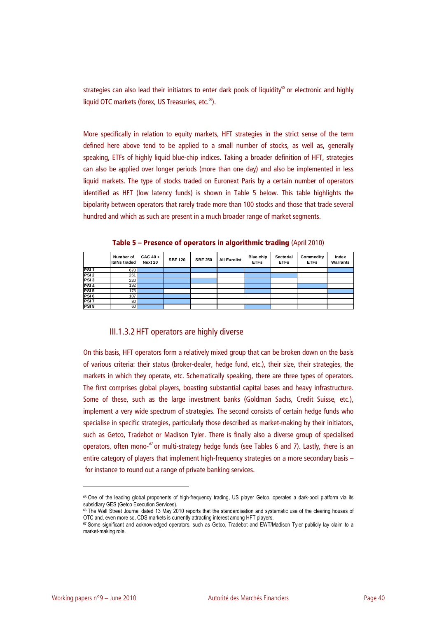strategies can also lead their initiators to enter dark pools of liquidity<sup>65</sup> or electronic and highly liquid OTC markets (forex, US Treasuries, etc.<sup>66</sup>).

More specifically in relation to equity markets, HFT strategies in the strict sense of the term defined here above tend to be applied to a small number of stocks, as well as, generally speaking, ETFs of highly liquid blue-chip indices. Taking a broader definition of HFT, strategies can also be applied over longer periods (more than one day) and also be implemented in less liquid markets. The type of stocks traded on Euronext Paris by a certain number of operators identified as HFT (low latency funds) is shown in Table 5 below. This table highlights the bipolarity between operators that rarely trade more than 100 stocks and those that trade several hundred and which as such are present in a much broader range of market segments.

|                  | Number of<br><b>ISINs traded</b> | $CAC 40 +$<br>Next 20 | <b>SBF120</b> | <b>SBF 250</b> | <b>All Eurolist</b> | Blue chip<br><b>ETFs</b> | Sectorial<br><b>ETFs</b> | Commodity<br><b>ETFs</b> | Index<br><b>Warrants</b> |
|------------------|----------------------------------|-----------------------|---------------|----------------|---------------------|--------------------------|--------------------------|--------------------------|--------------------------|
| PSI <sub>1</sub> | 670                              |                       |               |                |                     |                          |                          |                          |                          |
| PSI <sub>2</sub> | 261                              |                       |               |                |                     |                          |                          |                          |                          |
| PSI <sub>3</sub> | 220                              |                       |               |                |                     |                          |                          |                          |                          |
| PSI <sub>4</sub> | 192                              |                       |               |                |                     |                          |                          |                          |                          |
| PSI <sub>5</sub> | 175                              |                       |               |                |                     |                          |                          |                          |                          |
| PSI <sub>6</sub> | 107                              |                       |               |                |                     |                          |                          |                          |                          |
| PSI <sub>7</sub> | 80                               |                       |               |                |                     |                          |                          |                          |                          |
| PSI8             | 60                               |                       |               |                |                     |                          |                          |                          |                          |

**Table 5 – Presence of operators in algorithmic trading** (April 2010)

## III.1.3.2HFT operators are highly diverse

On this basis, HFT operators form a relatively mixed group that can be broken down on the basis of various criteria: their status (broker-dealer, hedge fund, etc.), their size, their strategies, the markets in which they operate, etc. Schematically speaking, there are three types of operators. The first comprises global players, boasting substantial capital bases and heavy infrastructure. Some of these, such as the large investment banks (Goldman Sachs, Credit Suisse, etc.), implement a very wide spectrum of strategies. The second consists of certain hedge funds who specialise in specific strategies, particularly those described as market-making by their initiators, such as Getco, Tradebot or Madison Tyler. There is finally also a diverse group of specialised operators, often mono- $67$  or multi-strategy hedge funds (see Tables 6 and 7). Lastly, there is an entire category of players that implement high-frequency strategies on a more secondary basis – for instance to round out a range of private banking services.

<sup>65</sup> One of the leading global proponents of high-frequency trading, US player Getco, operates a dark-pool platform via its subsidiary GES (Getco Execution Services).<br><sup>66</sup> The Wall Street Journal dated 13 May 2010 reports that the standardisation and systematic use of the clearing houses of

OTC and, even more so, CDS markets is currently attracting interest among HFT players.

<sup>67</sup> Some significant and acknowledged operators, such as Getco, Tradebot and EWT/Madison Tyler publicly lay claim to a market-making role.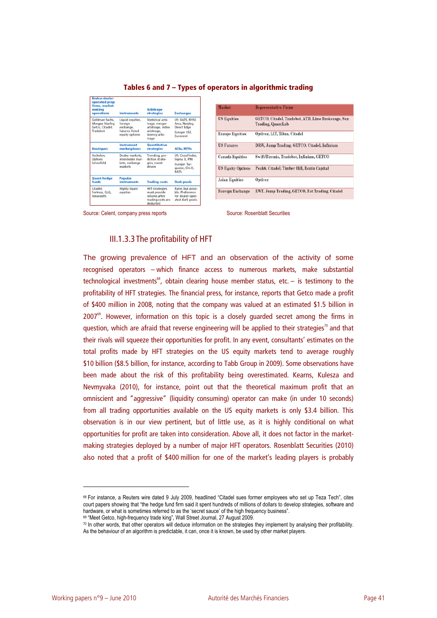| <b>Broker-dealer-</b><br>operated prop<br>firms, market-<br>making<br>operations | Instruments                              | <b>Arbitrage</b><br><b>strategies</b>                                                   | <b>Exchanges</b>                                                            |  |
|----------------------------------------------------------------------------------|------------------------------------------|-----------------------------------------------------------------------------------------|-----------------------------------------------------------------------------|--|
| Goldman Sachs.<br>Morgan Stanley,<br>Getco, Citadel,                             | Liquid equities,<br>foreign<br>exchange. | Statistical arbi-<br>trage, merger<br>arbitrage, index                                  | US: BATS, NYSE<br>Arca, Nasdaq,<br><b>Direct Edge</b>                       |  |
| Tradebot                                                                         | futures, listed<br>equity options        | arbitrage.<br>latency arbi-<br>trage                                                    | Europe: LSE.<br>Euronext                                                    |  |
| <b>Boutiques</b>                                                                 | <b>Instrument</b><br>marketplaces        | <b>Ouantitative</b><br><b>strategies</b>                                                | <b>ATSs. MTFs</b>                                                           |  |
| Archelon.<br>Optiver.                                                            | Dealer markets.<br>interdealer mar-      | Trending, pre-<br>dictive strate-                                                       | US: CrossFinder.<br>Sigma X, PIN                                            |  |
| Schonfeld                                                                        | kets, exchange<br>markets                | gies, event-<br>driven                                                                  | Europe: Tur-<br>quoise, Chi-X,<br><b>BATS</b>                               |  |
| <b>Quant hedge</b><br>funds                                                      | Popular<br><i>instruments</i>            | <b>Trading costs</b>                                                                    | <b>Dark pools</b>                                                           |  |
| Citadel.<br>Fortress, GLG.<br>Amaranth                                           | Highly liquid<br>equities                | <b>HFT</b> strategies<br>must provide<br>returns after<br>trading costs are<br>deducted | Rarer, but possi-<br>ble Preference<br>for dealer-oper-<br>ated dark pools. |  |

#### **Tables 6 and 7 – Types of operators in algorithmic trading**

| Market                   | <b>Representative Firms</b>                                             |
|--------------------------|-------------------------------------------------------------------------|
| <b>US Equities</b>       | GETCO, Citadel, Tradebot, ATD, Lime Brokerage, Sun<br>Trading, QuantLab |
| <b>Europe Equities</b>   | Optiver, IAT, Tibra, Citadel                                            |
| <b>US Futures</b>        | DRW, Jump Trading, GETCO, Citadel, Infinium                             |
| <b>Canada Equities</b>   | Swift/Biremis, Tradebot, Infinium, GETCO                                |
| <b>US Equity Options</b> | Peak6, Citadel, Timber Hill, Ronin Capital                              |
| <b>Asian Equities</b>    | Optiver                                                                 |
| Foreign Exchange         | EWT, Jump Trading, GETCO, Fat Trading, Citadel                          |

Source: Celent, company press reports Source: Rosenblatt Securities

## III.1.3.3The profitability of HFT

The growing prevalence of HFT and an observation of the activity of some recognised operators – which finance access to numerous markets, make substantial technological investments<sup>68</sup>, obtain clearing house member status, etc.  $-$  is testimony to the profitability of HFT strategies. The financial press, for instance, reports that Getco made a profit of \$400 million in 2008, noting that the company was valued at an estimated \$1.5 billion in  $2007<sup>69</sup>$ . However, information on this topic is a closely guarded secret among the firms in question, which are afraid that reverse engineering will be applied to their strategies<sup>70</sup> and that their rivals will squeeze their opportunities for profit. In any event, consultants' estimates on the total profits made by HFT strategies on the US equity markets tend to average roughly \$10 billion (\$8.5 billion, for instance, according to Tabb Group in 2009). Some observations have been made about the risk of this profitability being overestimated. Kearns, Kulesza and Nevmyvaka (2010), for instance, point out that the theoretical maximum profit that an omniscient and "aggressive" (liquidity consuming) operator can make (in under 10 seconds) from all trading opportunities available on the US equity markets is only \$3.4 billion. This observation is in our view pertinent, but of little use, as it is highly conditional on what opportunities for profit are taken into consideration. Above all, it does not factor in the marketmaking strategies deployed by a number of major HFT operators. Rosenblatt Securities (2010) also noted that a profit of \$400 million for one of the market's leading players is probably

<sup>68</sup> For instance, a Reuters wire dated 9 July 2009, headlined "Citadel sues former employees who set up Teza Tech", cites court papers showing that "the hedge fund firm said it spent hundreds of millions of dollars to develop strategies, software and<br>hardware, or what is sometimes referred to as the 'secret sauce' of the high frequency busine

<sup>&</sup>lt;sup>69</sup> "Meet Getco, high-frequency trade king", Wall Street Journal, 27 August 2009.<br><sup>70</sup> In other words, that other operators will deduce information on the strategies they implement by analysing their profitability. As the behaviour of an algorithm is predictable, it can, once it is known, be used by other market players.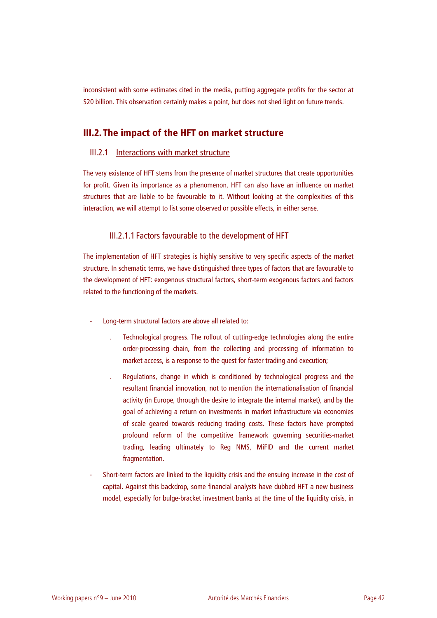inconsistent with some estimates cited in the media, putting aggregate profits for the sector at \$20 billion. This observation certainly makes a point, but does not shed light on future trends.

# **III.2. The impact of the HFT on market structure**

## III.2.1 Interactions with market structure

The very existence of HFT stems from the presence of market structures that create opportunities for profit. Given its importance as a phenomenon, HFT can also have an influence on market structures that are liable to be favourable to it. Without looking at the complexities of this interaction, we will attempt to list some observed or possible effects, in either sense.

## III.2.1.1Factors favourable to the development of HFT

The implementation of HFT strategies is highly sensitive to very specific aspects of the market structure. In schematic terms, we have distinguished three types of factors that are favourable to the development of HFT: exogenous structural factors, short-term exogenous factors and factors related to the functioning of the markets.

- Long-term structural factors are above all related to:
	- . Technological progress. The rollout of cutting-edge technologies along the entire order-processing chain, from the collecting and processing of information to market access, is a response to the quest for faster trading and execution;
	- . Regulations, change in which is conditioned by technological progress and the resultant financial innovation, not to mention the internationalisation of financial activity (in Europe, through the desire to integrate the internal market), and by the goal of achieving a return on investments in market infrastructure via economies of scale geared towards reducing trading costs. These factors have prompted profound reform of the competitive framework governing securities-market trading, leading ultimately to Reg NMS, MiFID and the current market fragmentation.
- Short-term factors are linked to the liquidity crisis and the ensuing increase in the cost of capital. Against this backdrop, some financial analysts have dubbed HFT a new business model, especially for bulge-bracket investment banks at the time of the liquidity crisis, in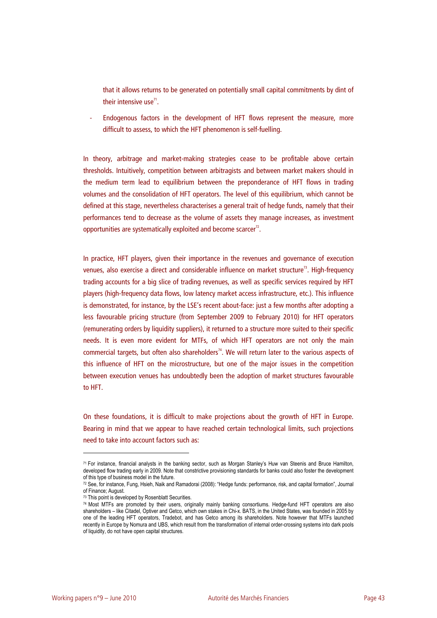that it allows returns to be generated on potentially small capital commitments by dint of their intensive use $^{\prime\prime}$ .

Endogenous factors in the development of HFT flows represent the measure, more difficult to assess, to which the HFT phenomenon is self-fuelling.

In theory, arbitrage and market-making strategies cease to be profitable above certain thresholds. Intuitively, competition between arbitragists and between market makers should in the medium term lead to equilibrium between the preponderance of HFT flows in trading volumes and the consolidation of HFT operators. The level of this equilibrium, which cannot be defined at this stage, nevertheless characterises a general trait of hedge funds, namely that their performances tend to decrease as the volume of assets they manage increases, as investment opportunities are systematically exploited and become scarcer $^{\prime 2}$ .

In practice, HFT players, given their importance in the revenues and governance of execution venues, also exercise a direct and considerable influence on market structure<sup>73</sup>. High-frequency trading accounts for a big slice of trading revenues, as well as specific services required by HFT players (high-frequency data flows, low latency market access infrastructure, etc.). This influence is demonstrated, for instance, by the LSE's recent about-face: just a few months after adopting a less favourable pricing structure (from September 2009 to February 2010) for HFT operators (remunerating orders by liquidity suppliers), it returned to a structure more suited to their specific needs. It is even more evident for MTFs, of which HFT operators are not only the main commercial targets, but often also shareholders<sup>74</sup>. We will return later to the various aspects of this influence of HFT on the microstructure, but one of the major issues in the competition between execution venues has undoubtedly been the adoption of market structures favourable to HFT.

On these foundations, it is difficult to make projections about the growth of HFT in Europe. Bearing in mind that we appear to have reached certain technological limits, such projections need to take into account factors such as:

<sup>71</sup> For instance, financial analysts in the banking sector, such as Morgan Stanley's Huw van Steenis and Bruce Hamilton, developed flow trading early in 2009. Note that constrictive provisioning standards for banks could also foster the development of this type of business model in the future.

<sup>72</sup> See, for instance, Fung, Hsieh, Naik and Ramadorai (2008): "Hedge funds: performance, risk, and capital formation", Journal of Finance; August.

<sup>73</sup> This point is developed by Rosenblatt Securities.

<sup>74</sup> Most MTFs are promoted by their users, originally mainly banking consortiums. Hedge-fund HFT operators are also shareholders – like Citadel, Optiver and Getco, which own stakes in Chi-x. BATS, in the United States, was founded in 2005 by one of the leading HFT operators, Tradebot, and has Getco among its shareholders. Note however that MTFs launched recently in Europe by Nomura and UBS, which result from the transformation of internal order-crossing systems into dark pools of liquidity, do not have open capital structures.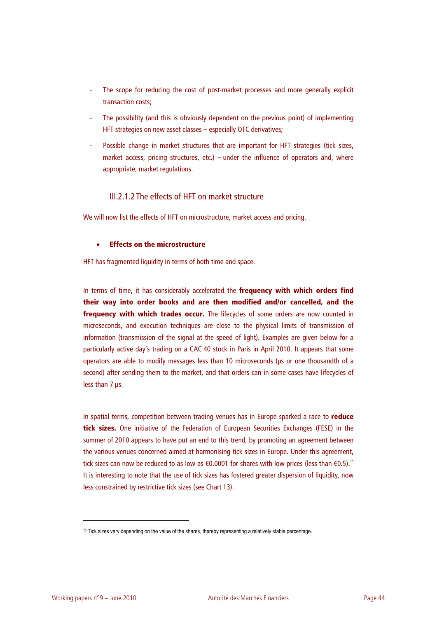- The scope for reducing the cost of post-market processes and more generally explicit transaction costs;
- The possibility (and this is obviously dependent on the previous point) of implementing HFT strategies on new asset classes – especially OTC derivatives;
- Possible change in market structures that are important for HFT strategies (tick sizes, market access, pricing structures, etc.) – under the influence of operators and, where appropriate, market regulations.

## III.2.1.2The effects of HFT on market structure

We will now list the effects of HFT on microstructure, market access and pricing.

## • **Effects on the microstructure**

HFT has fragmented liquidity in terms of both time and space.

In terms of time, it has considerably accelerated the **frequency with which orders find their way into order books and are then modified and/or cancelled, and the frequency with which trades occur.** The lifecycles of some orders are now counted in microseconds, and execution techniques are close to the physical limits of transmission of information (transmission of the signal at the speed of light). Examples are given below for a particularly active day's trading on a CAC 40 stock in Paris in April 2010. It appears that some operators are able to modify messages less than 10 microseconds (μs or one thousandth of a second) after sending them to the market, and that orders can in some cases have lifecycles of less than 7 μs.

In spatial terms, competition between trading venues has in Europe sparked a race to **reduce tick sizes.** One initiative of the Federation of European Securities Exchanges (FESE) in the summer of 2010 appears to have put an end to this trend, by promoting an agreement between the various venues concerned aimed at harmonising tick sizes in Europe. Under this agreement, tick sizes can now be reduced to as low as €0.0001 for shares with low prices (less than €0.5).<sup>75</sup> It is interesting to note that the use of tick sizes has fostered greater dispersion of liquidity, now less constrained by restrictive tick sizes (see Chart 13).

<sup>75</sup> Tick sizes vary depending on the value of the shares, thereby representing a relatively stable percentage.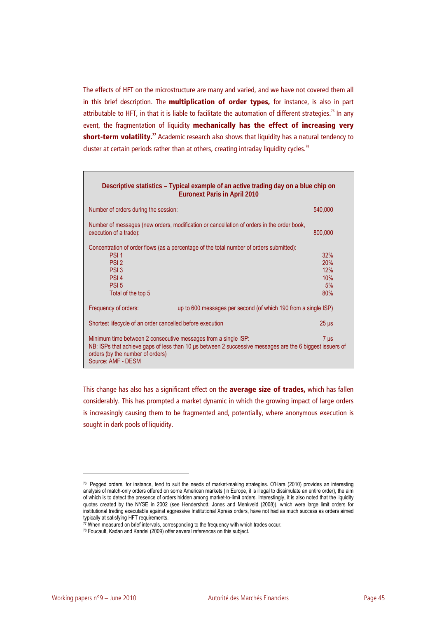The effects of HFT on the microstructure are many and varied, and we have not covered them all in this brief description. The **multiplication of order types,** for instance, is also in part attributable to HFT, in that it is liable to facilitate the automation of different strategies.<sup>76</sup> In any event, the fragmentation of liquidity **mechanically has the effect of increasing very**  short-term volatility.<sup>77</sup> Academic research also shows that liquidity has a natural tendency to cluster at certain periods rather than at others, creating intraday liquidity cycles.<sup>78</sup>

| Descriptive statistics – Typical example of an active trading day on a blue chip on<br><b>Euronext Paris in April 2010</b> |                                                                                                          |                                       |  |  |  |  |
|----------------------------------------------------------------------------------------------------------------------------|----------------------------------------------------------------------------------------------------------|---------------------------------------|--|--|--|--|
| Number of orders during the session:                                                                                       |                                                                                                          | 540,000                               |  |  |  |  |
| execution of a trade):                                                                                                     | Number of messages (new orders, modification or cancellation of orders in the order book,                | 800,000                               |  |  |  |  |
| PSI <sub>1</sub><br>PSI <sub>2</sub><br>PSI <sub>3</sub><br>PSI <sub>4</sub><br>PSI <sub>5</sub><br>Total of the top 5     | Concentration of order flows (as a percentage of the total number of orders submitted):                  | 32%<br>20%<br>12%<br>10%<br>5%<br>80% |  |  |  |  |
| Frequency of orders:                                                                                                       | up to 600 messages per second (of which 190 from a single ISP)                                           |                                       |  |  |  |  |
| Shortest lifecycle of an order cancelled before execution                                                                  |                                                                                                          | $25 \mu s$                            |  |  |  |  |
| Minimum time between 2 consecutive messages from a single ISP:<br>orders (by the number of orders)<br>Source: AMF - DESM   | NB: ISPs that achieve gaps of less than 10 us between 2 successive messages are the 6 biggest issuers of | $7 \mu s$                             |  |  |  |  |

This change has also has a significant effect on the **average size of trades,** which has fallen considerably. This has prompted a market dynamic in which the growing impact of large orders is increasingly causing them to be fragmented and, potentially, where anonymous execution is sought in dark pools of liquidity.

<sup>76</sup> Pegged orders, for instance, tend to suit the needs of market-making strategies. O'Hara (2010) provides an interesting analysis of match-only orders offered on some American markets (in Europe, it is illegal to dissimulate an entire order), the aim of which is to detect the presence of orders hidden among market-to-limit orders. Interestingly, it is also noted that the liquidity quotes created by the NYSE in 2002 (see Hendershott, Jones and Menkveld (2008)), which were large limit orders for institutional trading executable against aggressive Institutional Xpress orders, have not had as much success as orders aimed typically at satisfying HFT requirements.

 $\frac{77}{10}$  When measured on brief intervals, corresponding to the frequency with which trades occur. 78 Foucault, Kadan and Kandel (2009) offer several references on this subject.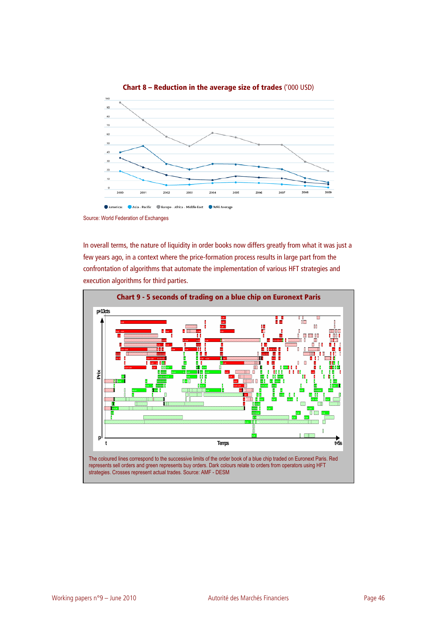

**Chart 8 – Reduction in the average size of trades** ('000 USD)

In overall terms, the nature of liquidity in order books now differs greatly from what it was just a few years ago, in a context where the price-formation process results in large part from the confrontation of algorithms that automate the implementation of various HFT strategies and execution algorithms for third parties.



Source: World Federation of Exchanges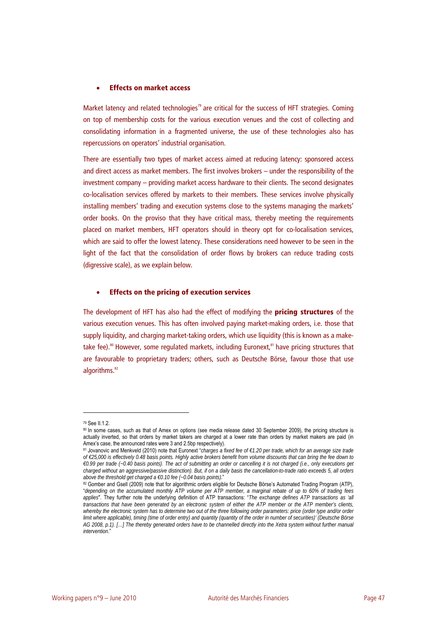#### • **Effects on market access**

Market latency and related technologies<sup>79</sup> are critical for the success of HFT strategies. Coming on top of membership costs for the various execution venues and the cost of collecting and consolidating information in a fragmented universe, the use of these technologies also has repercussions on operators' industrial organisation.

There are essentially two types of market access aimed at reducing latency: sponsored access and direct access as market members. The first involves brokers – under the responsibility of the investment company – providing market access hardware to their clients. The second designates co-localisation services offered by markets to their members. These services involve physically installing members' trading and execution systems close to the systems managing the markets' order books. On the proviso that they have critical mass, thereby meeting the requirements placed on market members, HFT operators should in theory opt for co-localisation services, which are said to offer the lowest latency. These considerations need however to be seen in the light of the fact that the consolidation of order flows by brokers can reduce trading costs (digressive scale), as we explain below.

#### • **Effects on the pricing of execution services**

The development of HFT has also had the effect of modifying the **pricing structures** of the various execution venues. This has often involved paying market-making orders, i.e. those that supply liquidity, and charging market-taking orders, which use liquidity (this is known as a maketake fee).<sup>80</sup> However, some regulated markets, including Euronext,<sup>81</sup> have pricing structures that are favourable to proprietary traders; others, such as Deutsche Börse, favour those that use algorithms.<sup>82</sup>

<sup>79</sup> See II.1.2.

<sup>80</sup> In some cases, such as that of Amex on options (see media release dated 30 September 2009), the pricing structure is actually inverted, so that orders by market takers are charged at a lower rate than orders by market makers are paid (in Amex's case, the announced rates were 3 and 2.5bp respectively).

<sup>81</sup> Jovanovic and Menkveld (2010) note that Euronext "*charges a fixed fee of €1.20 per trade, which for an average size trade of €25,000 is effectively 0.48 basis points. Highly active brokers benefit from volume discounts that can bring the fee down to €0.99 per trade (~0.40 basis points). The act of submitting an order or cancelling it is not charged (i.e., only executions get charged without an aggressive/passive distinction). But, if on a daily basis the cancellation-to-trade ratio exceeds 5, all orders*  above the threshold get charged a €0.10 fee (~0.04 basis points)."<br><sup>82</sup> Gomber and Gsell (2009) note that for algorithmic orders eligible for Deutsche Börse's Automated Trading Program (ATP),

<sup>&</sup>quot;*depending on the accumulated monthly ATP volume per ATP member, a marginal rebate of up to 60% of trading fees applies*". They further note the underlying definition of ATP transactions: "*The exchange defines ATP transactions as 'all transactions that have been generated by an electronic system of either the ATP member or the ATP member's clients, whereby the electronic system has to determine two out of the three following order parameters: price (order type and/or order limit where applicable), timing (time of order entry) and quantity (quantity of the order in number of securities)' (Deutsche Börse AG 2008, p.1). […] The thereby generated orders have to be channelled directly into the Xetra system without further manual intervention*."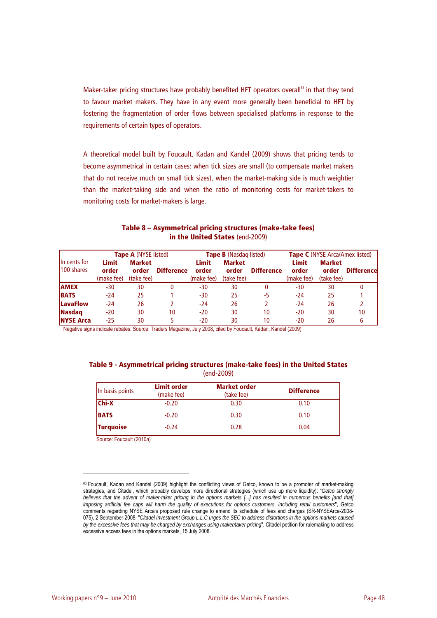Maker-taker pricing structures have probably benefited HFT operators overall<sup>83</sup> in that they tend to favour market makers. They have in any event more generally been beneficial to HFT by fostering the fragmentation of order flows between specialised platforms in response to the requirements of certain types of operators.

A theoretical model built by Foucault, Kadan and Kandel (2009) shows that pricing tends to become asymmetrical in certain cases: when tick sizes are small (to compensate market makers that do not receive much on small tick sizes), when the market-making side is much weightier than the market-taking side and when the ratio of monitoring costs for market-takers to monitoring costs for market-makers is large.

| <b>Tape A (NYSE listed)</b>       |                                     | <b>Tape B</b> (Nasdag listed)        |                   |                              | <b>Tape C</b> (NYSE Arca/Amex listed) |                   |                              |                                      |                   |
|-----------------------------------|-------------------------------------|--------------------------------------|-------------------|------------------------------|---------------------------------------|-------------------|------------------------------|--------------------------------------|-------------------|
| In cents for<br><b>100 shares</b> | <b>Limit</b><br>order<br>(make fee) | <b>Market</b><br>order<br>(take fee) | <b>Difference</b> | Limit<br>order<br>(make fee) | <b>Market</b><br>order<br>(take fee)  | <b>Difference</b> | Limit<br>order<br>(make fee) | <b>Market</b><br>order<br>(take fee) | <b>Difference</b> |
| <b>AMEX</b>                       | $-30$                               | 30                                   | 0                 | -30                          | 30                                    | 0                 | $-30$                        | 30                                   |                   |
| <b>BATS</b>                       | $-24$                               | 25                                   |                   | -30                          | 25                                    | -5                | $-24$                        | 25                                   |                   |
| <b>LavaFlow</b>                   | $-24$                               | 26                                   |                   | $-24$                        | 26                                    |                   | $-24$                        | 26                                   |                   |
| <b>Nasdag</b>                     | $-20$                               | 30                                   | 10                | $-20$                        | 30                                    | 10                | $-20$                        | 30                                   | 10                |
| <b>INYSE Arca</b>                 | $-25$                               | 30                                   |                   | -20                          | 30                                    | 10                | $-20$                        | 26                                   |                   |

### **Table 8 – Asymmetrical pricing structures (make-take fees) in the United States** (end-2009)

Negative signs indicate rebates. Source: Traders Magazine, July 2008, cited by Foucault, Kadan, Kandel (2009)

#### **Table 9 - Asymmetrical pricing structures (make-take fees) in the United States**  (end-2009)

| In basis points  | <b>Limit order</b><br>(make fee) | <b>Market order</b><br>(take fee) | <b>Difference</b> |
|------------------|----------------------------------|-----------------------------------|-------------------|
| <b>Chi-X</b>     | $-0.20$                          | 0.30                              | 0.10              |
| <b>BATS</b>      | $-0.20$                          | 0.30                              | 0.10              |
| <b>Turquoise</b> | $-0.24$                          | 0.28                              | 0.04              |

Source: Foucault (2010a)

<sup>83</sup> Foucault, Kadan and Kandel (2009) highlight the conflicting views of Getco, known to be a promoter of market-making strategies, and Citadel, which probably develops more directional strategies (which use up more liquidity): "*Getco strongly*  believes that the advent of maker-taker pricing in the options markets [...] has resulted in numerous benefits [and that] *imposing artificial fee caps will harm the quality of executions for options customers, including retail customers*", Getco comments regarding NYSE Arca's proposed rule change to amend its schedule of fees and charges (SR-NYSEArca-2008- 075), 2 September 2008. "*Citadel Investment Group L.L.C urges the SEC to address distortions in the options markets caused by the excessive fees that may be charged by exchanges using maker/taker pricing*", Citadel petition for rulemaking to address excessive access fees in the options markets, 15 July 2008.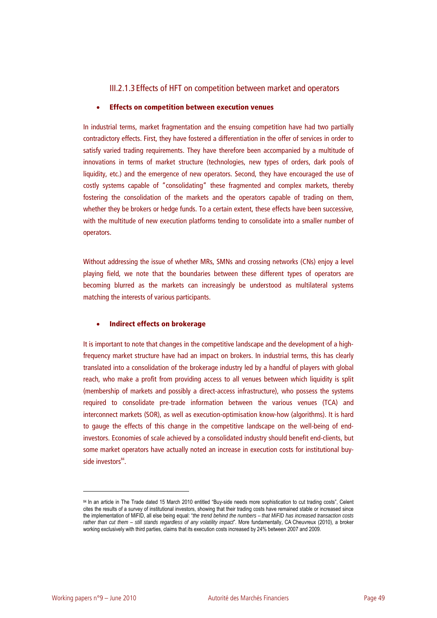## III.2.1.3Effects of HFT on competition between market and operators

#### • **Effects on competition between execution venues**

In industrial terms, market fragmentation and the ensuing competition have had two partially contradictory effects. First, they have fostered a differentiation in the offer of services in order to satisfy varied trading requirements. They have therefore been accompanied by a multitude of innovations in terms of market structure (technologies, new types of orders, dark pools of liquidity, etc.) and the emergence of new operators. Second, they have encouraged the use of costly systems capable of "consolidating" these fragmented and complex markets, thereby fostering the consolidation of the markets and the operators capable of trading on them, whether they be brokers or hedge funds. To a certain extent, these effects have been successive, with the multitude of new execution platforms tending to consolidate into a smaller number of operators.

Without addressing the issue of whether MRs, SMNs and crossing networks (CNs) enjoy a level playing field, we note that the boundaries between these different types of operators are becoming blurred as the markets can increasingly be understood as multilateral systems matching the interests of various participants.

#### • **Indirect effects on brokerage**

It is important to note that changes in the competitive landscape and the development of a highfrequency market structure have had an impact on brokers. In industrial terms, this has clearly translated into a consolidation of the brokerage industry led by a handful of players with global reach, who make a profit from providing access to all venues between which liquidity is split (membership of markets and possibly a direct-access infrastructure), who possess the systems required to consolidate pre-trade information between the various venues (TCA) and interconnect markets (SOR), as well as execution-optimisation know-how (algorithms). It is hard to gauge the effects of this change in the competitive landscape on the well-being of endinvestors. Economies of scale achieved by a consolidated industry should benefit end-clients, but some market operators have actually noted an increase in execution costs for institutional buyside investors<sup>84</sup>.

<sup>84</sup> In an article in The Trade dated 15 March 2010 entitled "Buy-side needs more sophistication to cut trading costs", Celent cites the results of a survey of institutional investors, showing that their trading costs have remained stable or increased since the implementation of MiFID, all else being equal: "*the trend behind the numbers – that MiFID has increased transaction costs rather than cut them – still stands regardless of any volatility impact*". More fundamentally, CA Cheuvreux (2010), a broker working exclusively with third parties, claims that its execution costs increased by 24% between 2007 and 2009.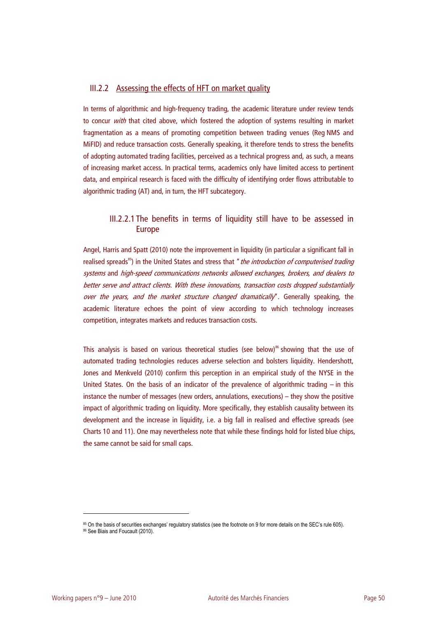## III.2.2 Assessing the effects of HFT on market quality

In terms of algorithmic and high-frequency trading, the academic literature under review tends to concur with that cited above, which fostered the adoption of systems resulting in market fragmentation as a means of promoting competition between trading venues (Reg NMS and MiFID) and reduce transaction costs. Generally speaking, it therefore tends to stress the benefits of adopting automated trading facilities, perceived as a technical progress and, as such, a means of increasing market access. In practical terms, academics only have limited access to pertinent data, and empirical research is faced with the difficulty of identifying order flows attributable to algorithmic trading (AT) and, in turn, the HFT subcategory.

# III.2.2.1The benefits in terms of liquidity still have to be assessed in Europe

Angel, Harris and Spatt (2010) note the improvement in liquidity (in particular a significant fall in realised spreads<sup>85</sup>) in the United States and stress that "*the introduction of computerised trading* systems and high-speed communications networks allowed exchanges, brokers, and dealers to better serve and attract clients. With these innovations, transaction costs dropped substantially over the years, and the market structure changed dramatically". Generally speaking, the academic literature echoes the point of view according to which technology increases competition, integrates markets and reduces transaction costs.

This analysis is based on various theoretical studies (see below)<sup>86</sup> showing that the use of automated trading technologies reduces adverse selection and bolsters liquidity. Hendershott, Jones and Menkveld (2010) confirm this perception in an empirical study of the NYSE in the United States. On the basis of an indicator of the prevalence of algorithmic trading – in this instance the number of messages (new orders, annulations, executions) – they show the positive impact of algorithmic trading on liquidity. More specifically, they establish causality between its development and the increase in liquidity, i.e. a big fall in realised and effective spreads (see Charts 10 and 11). One may nevertheless note that while these findings hold for listed blue chips, the same cannot be said for small caps.

<sup>85</sup> On the basis of securities exchanges' regulatory statistics (see the footnote on 9 for more details on the SEC's rule 605).<br>86 See Biais and Foucault (2010).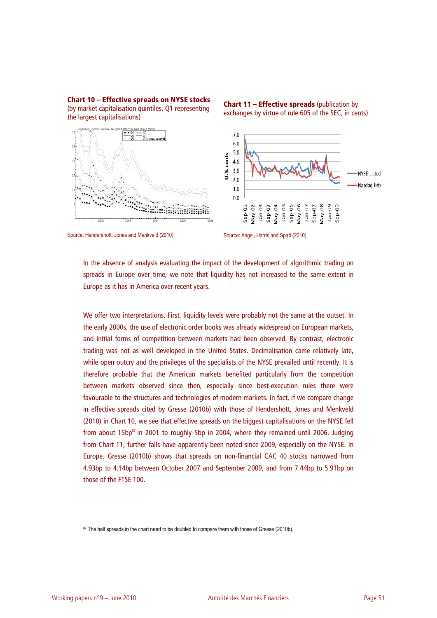

**Chart 10 – Effective spreads on NYSE stocks**  (by market capitalisation quintiles, Q1 representing the largest capitalisations)

Source: Hendershott, Jones and Menkveld (2010) Source: Angel, Harris and Spatt (2010)

**Chart 11 – Effective spreads** (publication by exchanges by virtue of rule 605 of the SEC, in cents)

In the absence of analysis evaluating the impact of the development of algorithmic trading on spreads in Europe over time, we note that liquidity has not increased to the same extent in Europe as it has in America over recent years.

We offer two interpretations. First, liquidity levels were probably not the same at the outset. In the early 2000s, the use of electronic order books was already widespread on European markets, and initial forms of competition between markets had been observed. By contrast, electronic trading was not as well developed in the United States. Decimalisation came relatively late, while open outcry and the privileges of the specialists of the NYSE prevailed until recently. It is therefore probable that the American markets benefited particularly from the competition between markets observed since then, especially since best-execution rules there were favourable to the structures and technologies of modern markets. In fact, if we compare change in effective spreads cited by Gresse (2010b) with those of Hendershott, Jones and Menkveld (2010) in Chart 10, we see that effective spreads on the biggest capitalisations on the NYSE fell from about  $15bp^{87}$  in 2001 to roughly 5bp in 2004, where they remained until 2006. Judging from Chart 11, further falls have apparently been noted since 2009, especially on the NYSE. In Europe, Gresse (2010b) shows that spreads on non-financial CAC 40 stocks narrowed from 4.93bp to 4.14bp between October 2007 and September 2009, and from 7.44bp to 5.91bp on those of the FTSE 100.

<sup>87</sup> The half spreads in the chart need to be doubled to compare them with those of Gresse (2010b).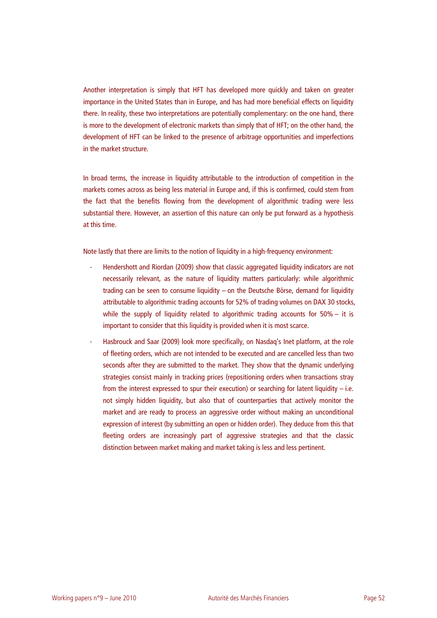Another interpretation is simply that HFT has developed more quickly and taken on greater importance in the United States than in Europe, and has had more beneficial effects on liquidity there. In reality, these two interpretations are potentially complementary: on the one hand, there is more to the development of electronic markets than simply that of HFT; on the other hand, the development of HFT can be linked to the presence of arbitrage opportunities and imperfections in the market structure.

In broad terms, the increase in liquidity attributable to the introduction of competition in the markets comes across as being less material in Europe and, if this is confirmed, could stem from the fact that the benefits flowing from the development of algorithmic trading were less substantial there. However, an assertion of this nature can only be put forward as a hypothesis at this time.

Note lastly that there are limits to the notion of liquidity in a high-frequency environment:

- Hendershott and Riordan (2009) show that classic aggregated liquidity indicators are not necessarily relevant, as the nature of liquidity matters particularly: while algorithmic trading can be seen to consume liquidity – on the Deutsche Börse, demand for liquidity attributable to algorithmic trading accounts for 52% of trading volumes on DAX 30 stocks, while the supply of liquidity related to algorithmic trading accounts for  $50\% -$  it is important to consider that this liquidity is provided when it is most scarce.
- Hasbrouck and Saar (2009) look more specifically, on Nasdaq's Inet platform, at the role of fleeting orders, which are not intended to be executed and are cancelled less than two seconds after they are submitted to the market. They show that the dynamic underlying strategies consist mainly in tracking prices (repositioning orders when transactions stray from the interest expressed to spur their execution) or searching for latent liquidity – i.e. not simply hidden liquidity, but also that of counterparties that actively monitor the market and are ready to process an aggressive order without making an unconditional expression of interest (by submitting an open or hidden order). They deduce from this that fleeting orders are increasingly part of aggressive strategies and that the classic distinction between market making and market taking is less and less pertinent.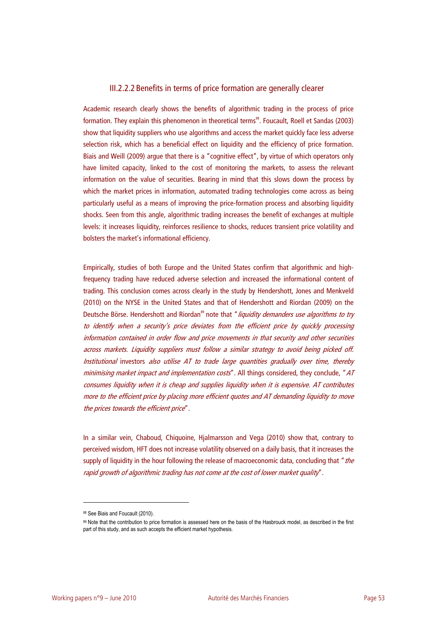## III.2.2.2Benefits in terms of price formation are generally clearer

Academic research clearly shows the benefits of algorithmic trading in the process of price formation. They explain this phenomenon in theoretical terms<sup>88</sup>. Foucault, Roell et Sandas (2003) show that liquidity suppliers who use algorithms and access the market quickly face less adverse selection risk, which has a beneficial effect on liquidity and the efficiency of price formation. Biais and Weill (2009) argue that there is a "cognitive effect", by virtue of which operators only have limited capacity, linked to the cost of monitoring the markets, to assess the relevant information on the value of securities. Bearing in mind that this slows down the process by which the market prices in information, automated trading technologies come across as being particularly useful as a means of improving the price-formation process and absorbing liquidity shocks. Seen from this angle, algorithmic trading increases the benefit of exchanges at multiple levels: it increases liquidity, reinforces resilience to shocks, reduces transient price volatility and bolsters the market's informational efficiency.

Empirically, studies of both Europe and the United States confirm that algorithmic and highfrequency trading have reduced adverse selection and increased the informational content of trading. This conclusion comes across clearly in the study by Hendershott, Jones and Menkveld (2010) on the NYSE in the United States and that of Hendershott and Riordan (2009) on the Deutsche Börse. Hendershott and Riordan<sup>89</sup> note that " liquidity demanders use algorithms to try to identify when a security's price deviates from the efficient price by quickly processing information contained in order flow and price movements in that security and other securities across markets. Liquidity suppliers must follow a similar strategy to avoid being picked off. Institutional investors also utilise AT to trade large quantities gradually over time, thereby minimising market impact and implementation costs". All things considered, they conclude, "AT consumes liquidity when it is cheap and supplies liquidity when it is expensive. AT contributes more to the efficient price by placing more efficient quotes and AT demanding liquidity to move the prices towards the efficient price".

In a similar vein, Chaboud, Chiquoine, Hjalmarsson and Vega (2010) show that, contrary to perceived wisdom, HFT does not increase volatility observed on a daily basis, that it increases the supply of liquidity in the hour following the release of macroeconomic data, concluding that "the rapid growth of algorithmic trading has not come at the cost of lower market quality".

<sup>88</sup> See Biais and Foucault (2010).

<sup>89</sup> Note that the contribution to price formation is assessed here on the basis of the Hasbrouck model, as described in the first part of this study, and as such accepts the efficient market hypothesis.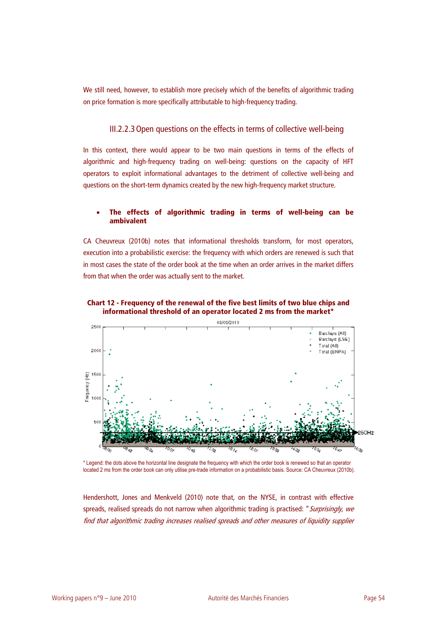We still need, however, to establish more precisely which of the benefits of algorithmic trading on price formation is more specifically attributable to high-frequency trading.

## III.2.2.3Open questions on the effects in terms of collective well-being

In this context, there would appear to be two main questions in terms of the effects of algorithmic and high-frequency trading on well-being: questions on the capacity of HFT operators to exploit informational advantages to the detriment of collective well-being and questions on the short-term dynamics created by the new high-frequency market structure.

### • **The effects of algorithmic trading in terms of well-being can be ambivalent**

CA Cheuvreux (2010b) notes that informational thresholds transform, for most operators, execution into a probabilistic exercise: the frequency with which orders are renewed is such that in most cases the state of the order book at the time when an order arrives in the market differs from that when the order was actually sent to the market.





\* Legend: the dots above the horizontal line designate the frequency with which the order book is renewed so that an operator located 2 ms from the order book can only utilise pre-trade information on a probabilistic basis. Source: CA Cheuvreux (2010b).

Hendershott, Jones and Menkveld (2010) note that, on the NYSE, in contrast with effective spreads, realised spreads do not narrow when algorithmic trading is practised: " Surprisingly, we find that algorithmic trading increases realised spreads and other measures of liquidity supplier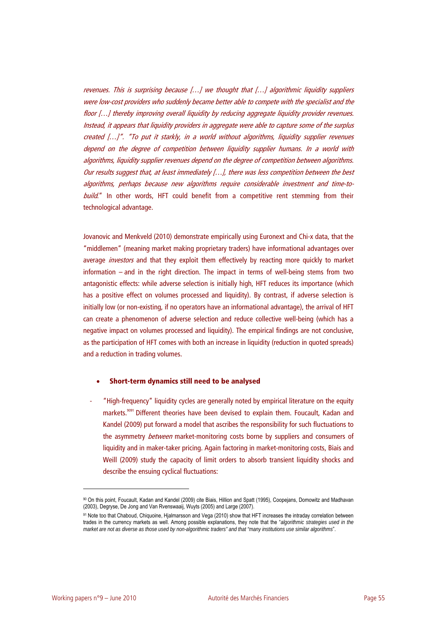revenues. This is surprising because […] we thought that […] algorithmic liquidity suppliers were low-cost providers who suddenly became better able to compete with the specialist and the floor […] thereby improving overall liquidity by reducing aggregate liquidity provider revenues. Instead, it appears that liquidity providers in aggregate were able to capture some of the surplus created […]". "To put it starkly, in a world without algorithms, liquidity supplier revenues depend on the degree of competition between liquidity supplier humans. In a world with algorithms, liquidity supplier revenues depend on the degree of competition between algorithms. Our results suggest that, at least immediately [...], there was less competition between the best algorithms, perhaps because new algorithms require considerable investment and time-tobuild." In other words, HFT could benefit from a competitive rent stemming from their technological advantage.

Jovanovic and Menkveld (2010) demonstrate empirically using Euronext and Chi-x data, that the "middlemen" (meaning market making proprietary traders) have informational advantages over average *investors* and that they exploit them effectively by reacting more quickly to market information – and in the right direction. The impact in terms of well-being stems from two antagonistic effects: while adverse selection is initially high, HFT reduces its importance (which has a positive effect on volumes processed and liquidity). By contrast, if adverse selection is initially low (or non-existing, if no operators have an informational advantage), the arrival of HFT can create a phenomenon of adverse selection and reduce collective well-being (which has a negative impact on volumes processed and liquidity). The empirical findings are not conclusive, as the participation of HFT comes with both an increase in liquidity (reduction in quoted spreads) and a reduction in trading volumes.

#### • **Short-term dynamics still need to be analysed**

- "High-frequency" liquidity cycles are generally noted by empirical literature on the equity markets.<sup>9091</sup> Different theories have been devised to explain them. Foucault, Kadan and Kandel (2009) put forward a model that ascribes the responsibility for such fluctuations to the asymmetry *between* market-monitoring costs borne by suppliers and consumers of liquidity and in maker-taker pricing. Again factoring in market-monitoring costs, Biais and Weill (2009) study the capacity of limit orders to absorb transient liquidity shocks and describe the ensuing cyclical fluctuations:

<sup>90</sup> On this point, Foucault, Kadan and Kandel (2009) cite Biais, Hillion and Spatt (1995), Coopejans, Domowitz and Madhavan (2003), Degryse, De Jong and Van Rvenswaaij, Wuyts (2005) and Large (2007).

<sup>91</sup> Note too that Chaboud, Chiquoine, Hjalmarsson and Vega (2010) show that HFT increases the intraday correlation between trades in the currency markets as well. Among possible explanations, they note that the "*algorithmic strategies used in the market are not as diverse as those used by non-algorithmic traders" and that "many institutions use similar algorithms*".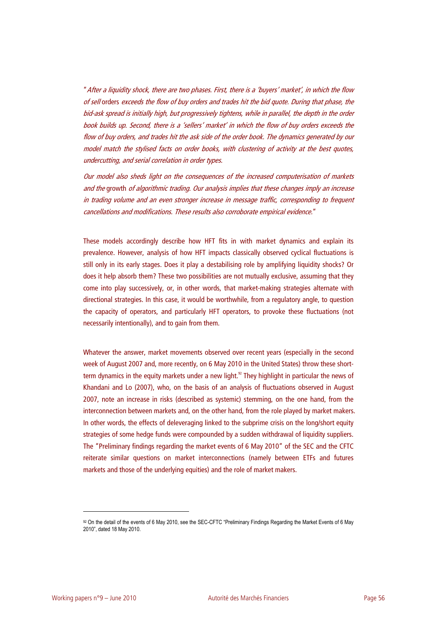"After a liquidity shock, there are two phases. First, there is a 'buyers' market', in which the flow of sell orders exceeds the flow of buy orders and trades hit the bid quote. During that phase, the bid-ask spread is initially high, but progressively tightens, while in parallel, the depth in the order book builds up. Second, there is a 'sellers' market' in which the flow of buy orders exceeds the flow of buy orders, and trades hit the ask side of the order book. The dynamics generated by our model match the stylised facts on order books, with clustering of activity at the best quotes, undercutting, and serial correlation in order types.

Our model also sheds light on the consequences of the increased computerisation of markets and the growth of algorithmic trading. Our analysis implies that these changes imply an increase in trading volume and an even stronger increase in message traffic, corresponding to frequent cancellations and modifications. These results also corroborate empirical evidence."

These models accordingly describe how HFT fits in with market dynamics and explain its prevalence. However, analysis of how HFT impacts classically observed cyclical fluctuations is still only in its early stages. Does it play a destabilising role by amplifying liquidity shocks? Or does it help absorb them? These two possibilities are not mutually exclusive, assuming that they come into play successively, or, in other words, that market-making strategies alternate with directional strategies. In this case, it would be worthwhile, from a regulatory angle, to question the capacity of operators, and particularly HFT operators, to provoke these fluctuations (not necessarily intentionally), and to gain from them.

Whatever the answer, market movements observed over recent years (especially in the second week of August 2007 and, more recently, on 6 May 2010 in the United States) throw these shortterm dynamics in the equity markets under a new light.<sup>92</sup> They highlight in particular the news of Khandani and Lo (2007), who, on the basis of an analysis of fluctuations observed in August 2007, note an increase in risks (described as systemic) stemming, on the one hand, from the interconnection between markets and, on the other hand, from the role played by market makers. In other words, the effects of deleveraging linked to the subprime crisis on the long/short equity strategies of some hedge funds were compounded by a sudden withdrawal of liquidity suppliers. The "Preliminary findings regarding the market events of 6 May 2010" of the SEC and the CFTC reiterate similar questions on market interconnections (namely between ETFs and futures markets and those of the underlying equities) and the role of market makers.

<sup>92</sup> On the detail of the events of 6 May 2010, see the SEC-CFTC "Preliminary Findings Regarding the Market Events of 6 May 2010", dated 18 May 2010.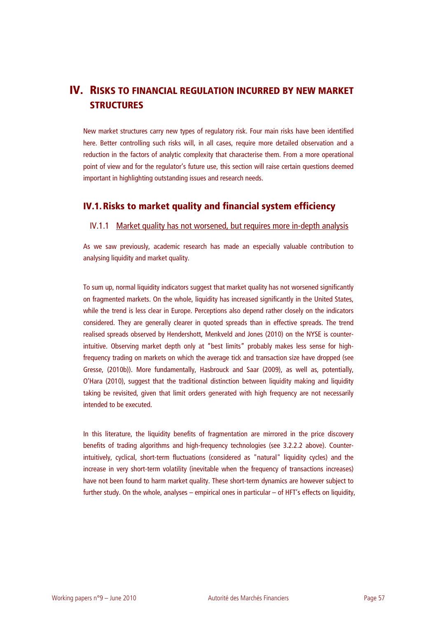# **IV. RISKS TO FINANCIAL REGULATION INCURRED BY NEW MARKET STRUCTURES**

New market structures carry new types of regulatory risk. Four main risks have been identified here. Better controlling such risks will, in all cases, require more detailed observation and a reduction in the factors of analytic complexity that characterise them. From a more operational point of view and for the regulator's future use, this section will raise certain questions deemed important in highlighting outstanding issues and research needs.

# **IV.1.Risks to market quality and financial system efficiency**

## IV.1.1 Market quality has not worsened, but requires more in-depth analysis

As we saw previously, academic research has made an especially valuable contribution to analysing liquidity and market quality.

To sum up, normal liquidity indicators suggest that market quality has not worsened significantly on fragmented markets. On the whole, liquidity has increased significantly in the United States, while the trend is less clear in Europe. Perceptions also depend rather closely on the indicators considered. They are generally clearer in quoted spreads than in effective spreads. The trend realised spreads observed by Hendershott, Menkveld and Jones (2010) on the NYSE is counterintuitive. Observing market depth only at "best limits" probably makes less sense for highfrequency trading on markets on which the average tick and transaction size have dropped (see Gresse, (2010b)). More fundamentally, Hasbrouck and Saar (2009), as well as, potentially, O'Hara (2010), suggest that the traditional distinction between liquidity making and liquidity taking be revisited, given that limit orders generated with high frequency are not necessarily intended to be executed.

In this literature, the liquidity benefits of fragmentation are mirrored in the price discovery benefits of trading algorithms and high-frequency technologies (see 3.2.2.2 above). Counterintuitively, cyclical, short-term fluctuations (considered as "natural" liquidity cycles) and the increase in very short-term volatility (inevitable when the frequency of transactions increases) have not been found to harm market quality. These short-term dynamics are however subject to further study. On the whole, analyses – empirical ones in particular – of HFT's effects on liquidity,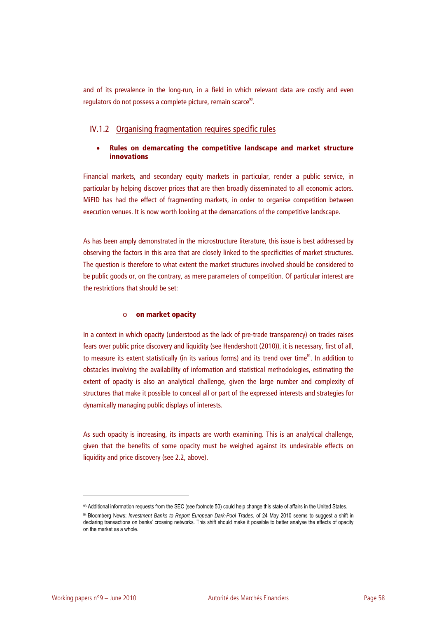and of its prevalence in the long-run, in a field in which relevant data are costly and even regulators do not possess a complete picture, remain scarce<sup>93</sup>.

## IV.1.2 Organising fragmentation requires specific rules

## • **Rules on demarcating the competitive landscape and market structure innovations**

Financial markets, and secondary equity markets in particular, render a public service, in particular by helping discover prices that are then broadly disseminated to all economic actors. MiFID has had the effect of fragmenting markets, in order to organise competition between execution venues. It is now worth looking at the demarcations of the competitive landscape.

As has been amply demonstrated in the microstructure literature, this issue is best addressed by observing the factors in this area that are closely linked to the specificities of market structures. The question is therefore to what extent the market structures involved should be considered to be public goods or, on the contrary, as mere parameters of competition. Of particular interest are the restrictions that should be set:

#### o **on market opacity**

In a context in which opacity (understood as the lack of pre-trade transparency) on trades raises fears over public price discovery and liquidity (see Hendershott (2010)), it is necessary, first of all, to measure its extent statistically (in its various forms) and its trend over time $^{94}$ . In addition to obstacles involving the availability of information and statistical methodologies, estimating the extent of opacity is also an analytical challenge, given the large number and complexity of structures that make it possible to conceal all or part of the expressed interests and strategies for dynamically managing public displays of interests.

As such opacity is increasing, its impacts are worth examining. This is an analytical challenge, given that the benefits of some opacity must be weighed against its undesirable effects on liquidity and price discovery (see 2.2, above).

<sup>93</sup> Additional information requests from the SEC (see footnote 50) could help change this state of affairs in the United States.

<sup>94</sup> Bloomberg News; *Investment Banks to Report European Dark-Pool Trades*, of 24 May 2010 seems to suggest a shift in declaring transactions on banks' crossing networks. This shift should make it possible to better analyse the effects of opacity on the market as a whole.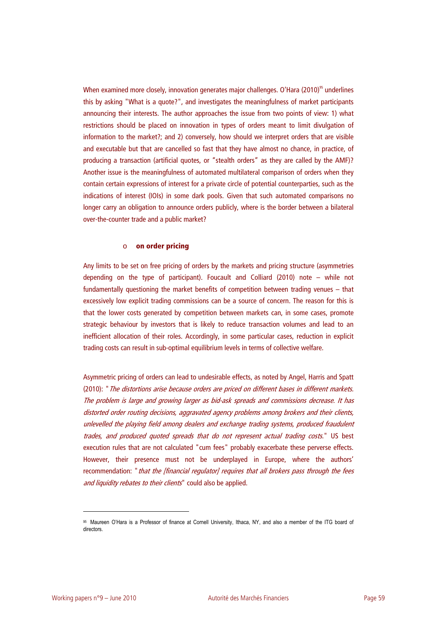When examined more closely, innovation generates major challenges. O'Hara (2010)<sup>95</sup> underlines this by asking "What is a quote?", and investigates the meaningfulness of market participants announcing their interests. The author approaches the issue from two points of view: 1) what restrictions should be placed on innovation in types of orders meant to limit divulgation of information to the market?; and 2) conversely, how should we interpret orders that are visible and executable but that are cancelled so fast that they have almost no chance, in practice, of producing a transaction (artificial quotes, or "stealth orders" as they are called by the AMF)? Another issue is the meaningfulness of automated multilateral comparison of orders when they contain certain expressions of interest for a private circle of potential counterparties, such as the indications of interest (IOIs) in some dark pools. Given that such automated comparisons no longer carry an obligation to announce orders publicly, where is the border between a bilateral over-the-counter trade and a public market?

#### o **on order pricing**

Any limits to be set on free pricing of orders by the markets and pricing structure (asymmetries depending on the type of participant). Foucault and Colliard (2010) note – while not fundamentally questioning the market benefits of competition between trading venues – that excessively low explicit trading commissions can be a source of concern. The reason for this is that the lower costs generated by competition between markets can, in some cases, promote strategic behaviour by investors that is likely to reduce transaction volumes and lead to an inefficient allocation of their roles. Accordingly, in some particular cases, reduction in explicit trading costs can result in sub-optimal equilibrium levels in terms of collective welfare.

Asymmetric pricing of orders can lead to undesirable effects, as noted by Angel, Harris and Spatt (2010): "The distortions arise because orders are priced on different bases in different markets. The problem is large and growing larger as bid-ask spreads and commissions decrease. It has distorted order routing decisions, aggravated agency problems among brokers and their clients, unlevelled the playing field among dealers and exchange trading systems, produced fraudulent trades, and produced quoted spreads that do not represent actual trading costs." US best execution rules that are not calculated "cum fees" probably exacerbate these perverse effects. However, their presence must not be underplayed in Europe, where the authors' recommendation: "that the [financial regulator] requires that all brokers pass through the fees and liquidity rebates to their clients" could also be applied.

<sup>95</sup> Maureen O'Hara is a Professor of finance at Cornell University, Ithaca, NY, and also a member of the ITG board of directors.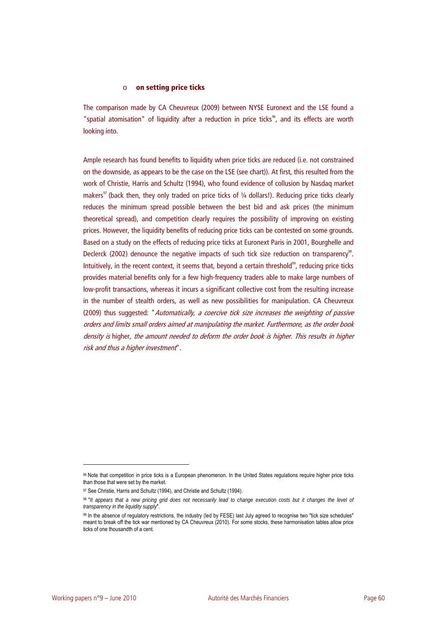#### o **on setting price ticks**

The comparison made by CA Cheuvreux (2009) between NYSE Euronext and the LSE found a "spatial atomisation" of liquidity after a reduction in price ticks<sup>96</sup>, and its effects are worth looking into.

Ample research has found benefits to liquidity when price ticks are reduced (i.e. not constrained on the downside, as appears to be the case on the LSE (see chart)). At first, this resulted from the work of Christie, Harris and Schultz (1994), who found evidence of collusion by Nasdaq market makers<sup>97</sup> (back then, they only traded on price ticks of  $\frac{1}{4}$  dollars!). Reducing price ticks clearly reduces the minimum spread possible between the best bid and ask prices (the minimum theoretical spread), and competition clearly requires the possibility of improving on existing prices. However, the liquidity benefits of reducing price ticks can be contested on some grounds. Based on a study on the effects of reducing price ticks at Euronext Paris in 2001, Bourghelle and Declerck (2002) denounce the negative impacts of such tick size reduction on transparency<sup>98</sup>. Intuitively, in the recent context, it seems that, beyond a certain threshold $^{99}$ , reducing price ticks provides material benefits only for a few high-frequency traders able to make large numbers of low-profit transactions, whereas it incurs a significant collective cost from the resulting increase in the number of stealth orders, as well as new possibilities for manipulation. CA Cheuvreux (2009) thus suggested: "Automatically, a coercive tick size increases the weighting of passive orders and limits small orders aimed at manipulating the market. Furthermore, as the order book density is higher, the amount needed to deform the order book is higher. This results in higher risk and thus a higher investment".

<sup>96</sup> Note that competition in price ticks is a European phenomenon. In the United States regulations require higher price ticks than those that were set by the market.

<sup>97</sup> See Christie, Harris and Schultz (1994), and Christie and Schultz (1994).

<sup>98 &</sup>quot;*It appears that a new pricing grid does not necessarily lead to change execution costs but it changes the level of transparency in the liquidity supply*".

<sup>99</sup> In the absence of regulatory restrictions, the industry (led by FESE) last July agreed to recognise two "tick size schedules" meant to break off the tick war mentioned by CA Cheuvreux (2010). For some stocks, these harmonisation tables allow price ticks of one thousandth of a cent.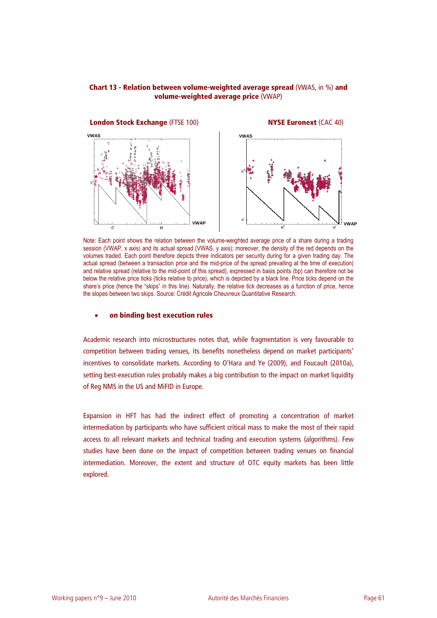### **Chart 13 - Relation between volume-weighted average spread** (VWAS, in %) **and volume-weighted average price** (VWAP)



Note: Each point shows the relation between the volume-weighted average price of a share during a trading session (VWAP, x axis) and its actual spread (VWAS, y axis); moreover, the density of the red depends on the volumes traded. Each point therefore depicts three indicators per security during for a given trading day. The actual spread (between a transaction price and the mid-price of the spread prevailing at the time of execution) and relative spread (relative to the mid-point of this spread), expressed in basis points (bp) can therefore not be below the relative price ticks (ticks relative to price), which is depicted by a black line. Price ticks depend on the share's price (hence the "skips" in this line). Naturally, the relative tick decreases as a function of price, hence the slopes between two skips. Source: Crédit Agricole Cheuvreux Quantitative Research.

#### • **on binding best execution rules**

Academic research into microstructures notes that, while fragmentation is very favourable to competition between trading venues, its benefits nonetheless depend on market participants' incentives to consolidate markets. According to O'Hara and Ye (2009), and Foucault (2010a), setting best-execution rules probably makes a big contribution to the impact on market liquidity of Reg NMS in the US and MiFID in Europe.

Expansion in HFT has had the indirect effect of promoting a concentration of market intermediation by participants who have sufficient critical mass to make the most of their rapid access to all relevant markets and technical trading and execution systems (algorithms). Few studies have been done on the impact of competition between trading venues on financial intermediation. Moreover, the extent and structure of OTC equity markets has been little explored.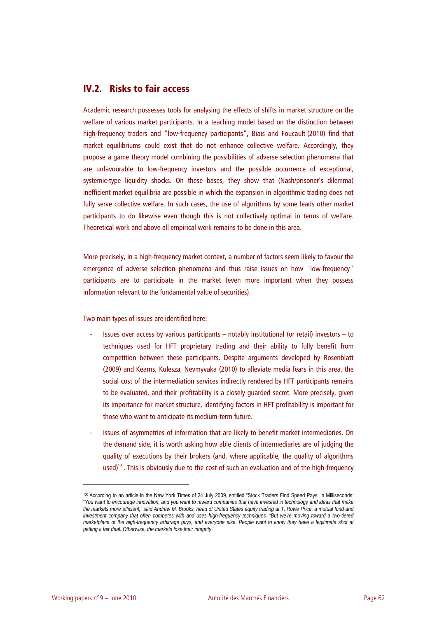# **IV.2. Risks to fair access**

Academic research possesses tools for analysing the effects of shifts in market structure on the welfare of various market participants. In a teaching model based on the distinction between high-frequency traders and "low-frequency participants", Biais and Foucault (2010) find that market equilibriums could exist that do not enhance collective welfare. Accordingly, they propose a game theory model combining the possibilities of adverse selection phenomena that are unfavourable to low-frequency investors and the possible occurrence of exceptional, systemic-type liquidity shocks. On these bases, they show that (Nash/prisoner's dilemma) inefficient market equilibria are possible in which the expansion in algorithmic trading does not fully serve collective welfare. In such cases, the use of algorithms by some leads other market participants to do likewise even though this is not collectively optimal in terms of welfare. Theoretical work and above all empirical work remains to be done in this area.

More precisely, in a high-frequency market context, a number of factors seem likely to favour the emergence of adverse selection phenomena and thus raise issues on how "low-frequency" participants are to participate in the market (even more important when they possess information relevant to the fundamental value of securities).

Two main types of issues are identified here:

- Issues over access by various participants notably institutional (or retail) investors to techniques used for HFT proprietary trading and their ability to fully benefit from competition between these participants. Despite arguments developed by Rosenblatt (2009) and Kearns, Kulesza, Nevmyvaka (2010) to alleviate media fears in this area, the social cost of the intermediation services indirectly rendered by HFT participants remains to be evaluated, and their profitability is a closely guarded secret. More precisely, given its importance for market structure, identifying factors in HFT profitability is important for those who want to anticipate its medium-term future.
- Issues of asymmetries of information that are likely to benefit market intermediaries. On the demand side, it is worth asking how able clients of intermediaries are of judging the quality of executions by their brokers (and, where applicable, the quality of algorithms used)<sup>100</sup>. This is obviously due to the cost of such an evaluation and of the high-frequency

<sup>100</sup> According to an article in the New York Times of 24 July 2009, entitled "Stock Traders Find Speed Pays, in Milliseconds: "*You want to encourage innovation, and you want to reward companies that have invested in technology and ideas that make the markets more efficient," said Andrew M. Brooks, head of United States equity trading at T. Rowe Price, a mutual fund and investment company that often competes with and uses high-frequency techniques. "But we're moving toward a two-tiered marketplace of the high-frequency arbitrage guys, and everyone else. People want to know they have a legitimate shot at getting a fair deal. Otherwise, the markets lose their integrity*."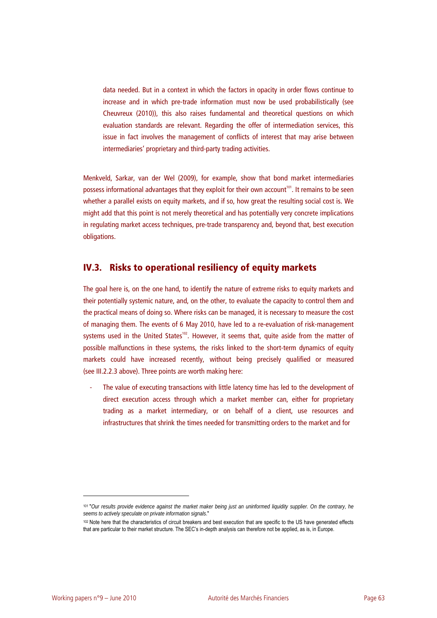data needed. But in a context in which the factors in opacity in order flows continue to increase and in which pre-trade information must now be used probabilistically (see Cheuvreux (2010)), this also raises fundamental and theoretical questions on which evaluation standards are relevant. Regarding the offer of intermediation services, this issue in fact involves the management of conflicts of interest that may arise between intermediaries' proprietary and third-party trading activities.

Menkveld, Sarkar, van der Wel (2009), for example, show that bond market intermediaries possess informational advantages that they exploit for their own account<sup>101</sup>. It remains to be seen whether a parallel exists on equity markets, and if so, how great the resulting social cost is. We might add that this point is not merely theoretical and has potentially very concrete implications in regulating market access techniques, pre-trade transparency and, beyond that, best execution obligations.

# **IV.3. Risks to operational resiliency of equity markets**

The goal here is, on the one hand, to identify the nature of extreme risks to equity markets and their potentially systemic nature, and, on the other, to evaluate the capacity to control them and the practical means of doing so. Where risks can be managed, it is necessary to measure the cost of managing them. The events of 6 May 2010, have led to a re-evaluation of risk-management systems used in the United States<sup>102</sup>. However, it seems that, quite aside from the matter of possible malfunctions in these systems, the risks linked to the short-term dynamics of equity markets could have increased recently, without being precisely qualified or measured (see III.2.2.3 above). Three points are worth making here:

The value of executing transactions with little latency time has led to the development of direct execution access through which a market member can, either for proprietary trading as a market intermediary, or on behalf of a client, use resources and infrastructures that shrink the times needed for transmitting orders to the market and for

<sup>101 &</sup>quot;*Our results provide evidence against the market maker being just an uninformed liquidity supplier. On the contrary, he seems to actively speculate on private information signals*."

<sup>102</sup> Note here that the characteristics of circuit breakers and best execution that are specific to the US have generated effects that are particular to their market structure. The SEC's in-depth analysis can therefore not be applied, as is, in Europe.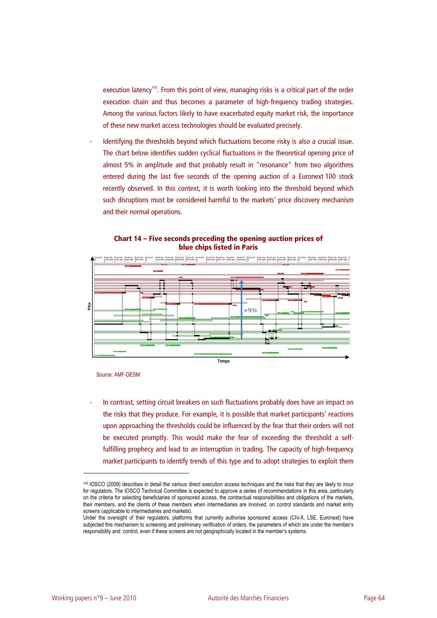execution latency<sup>103</sup>. From this point of view, managing risks is a critical part of the order execution chain and thus becomes a parameter of high-frequency trading strategies. Among the various factors likely to have exacerbated equity market risk, the importance of these new market access technologies should be evaluated precisely.

Identifying the thresholds beyond which fluctuations become risky is also a crucial issue. The chart below identifies sudden cyclical fluctuations in the theoretical opening price of almost 5% in amplitude and that probably result in "resonance" from two algorithms entered during the last five seconds of the opening auction of a Euronext 100 stock recently observed. In this context, it is worth looking into the threshold beyond which such disruptions must be considered harmful to the markets' price discovery mechanism and their normal operations.





Source: AMF-DESM

In contrast, setting circuit breakers on such fluctuations probably does have an impact on the risks that they produce. For example, it is possible that market participants' reactions upon approaching the thresholds could be influenced by the fear that their orders will not be executed promptly. This would make the fear of exceeding the threshold a selffulfilling prophecy and lead to an interruption in trading. The capacity of high-frequency market participants to identify trends of this type and to adopt strategies to exploit them

<sup>103</sup> IOSCO (2009) describes in detail the various direct execution access techniques and the risks that they are likely to incur for regulators. The IOSCO Technical Committee is expected to approve a series of recommendations in this area, particularly on the criteria for selecting beneficiaries of sponsored access, the contractual responsibilities and obligations of the markets, their members, and the clients of these members when intermediaries are involved, on control standards and market entry screens (applicable to intermediaries and markets).

Under the oversight of their regulators, platforms that currently authorise sponsored access (Chi-X, LSE, Euronext) have subjected this mechanism to screening and preliminary verification of orders, the parameters of which are under the member's responsibility and control, even if these screens are not geographically located in the member's systems.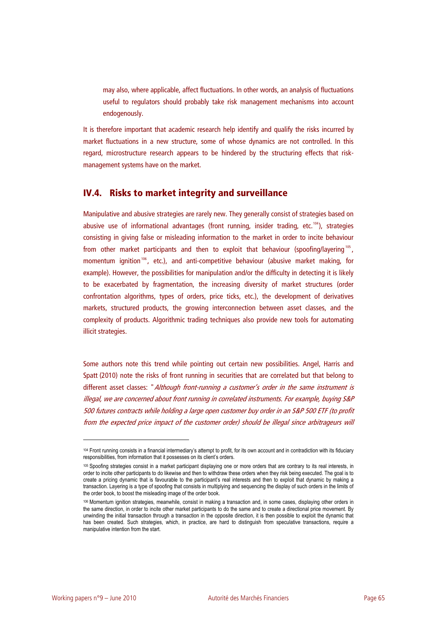may also, where applicable, affect fluctuations. In other words, an analysis of fluctuations useful to regulators should probably take risk management mechanisms into account endogenously.

It is therefore important that academic research help identify and qualify the risks incurred by market fluctuations in a new structure, some of whose dynamics are not controlled. In this regard, microstructure research appears to be hindered by the structuring effects that riskmanagement systems have on the market.

# **IV.4. Risks to market integrity and surveillance**

Manipulative and abusive strategies are rarely new. They generally consist of strategies based on abusive use of informational advantages (front running, insider trading, etc.<sup>104</sup>), strategies consisting in giving false or misleading information to the market in order to incite behaviour from other market participants and then to exploit that behaviour (spoofing/layering<sup>105</sup>, momentum ignition<sup>106</sup>, etc.), and anti-competitive behaviour (abusive market making, for example). However, the possibilities for manipulation and/or the difficulty in detecting it is likely to be exacerbated by fragmentation, the increasing diversity of market structures (order confrontation algorithms, types of orders, price ticks, etc.), the development of derivatives markets, structured products, the growing interconnection between asset classes, and the complexity of products. Algorithmic trading techniques also provide new tools for automating illicit strategies.

Some authors note this trend while pointing out certain new possibilities. Angel, Harris and Spatt (2010) note the risks of front running in securities that are correlated but that belong to different asset classes: "Although front-running a customer's order in the same instrument is illegal, we are concerned about front running in correlated instruments. For example, buying S&P 500 futures contracts while holding a large open customer buy order in an S&P 500 ETF (to profit from the expected price impact of the customer order) should be illegal since arbitrageurs will

<sup>104</sup> Front running consists in a financial intermediary's attempt to profit, for its own account and in contradiction with its fiduciary responsibilities, from information that it possesses on its client's orders.

<sup>105</sup> Spoofing strategies consist in a market participant displaying one or more orders that are contrary to its real interests, in order to incite other participants to do likewise and then to withdraw these orders when they risk being executed. The goal is to create a pricing dynamic that is favourable to the participant's real interests and then to exploit that dynamic by making a transaction. Layering is a type of spoofing that consists in multiplying and sequencing the display of such orders in the limits of the order book, to boost the misleading image of the order book.

<sup>106</sup> Momentum ignition strategies, meanwhile, consist in making a transaction and, in some cases, displaying other orders in the same direction, in order to incite other market participants to do the same and to create a directional price movement. By unwinding the initial transaction through a transaction in the opposite direction, it is then possible to exploit the dynamic that has been created. Such strategies, which, in practice, are hard to distinguish from speculative transactions, require a manipulative intention from the start.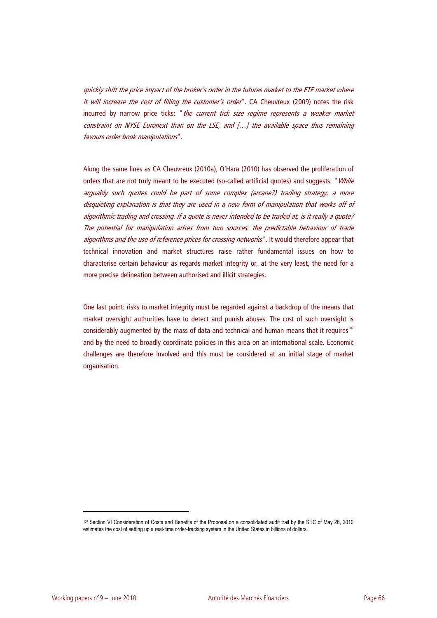quickly shift the price impact of the broker's order in the futures market to the ETF market where it will increase the cost of filling the customer's order". CA Cheuvreux (2009) notes the risk incurred by narrow price ticks: "the current tick size regime represents a weaker market constraint on NYSE Euronext than on the LSE, and […] the available space thus remaining favours order book manipulations".

Along the same lines as CA Cheuvreux (2010a), O'Hara (2010) has observed the proliferation of orders that are not truly meant to be executed (so-called artificial quotes) and suggests: "While arguably such quotes could be part of some complex (arcane?) trading strategy, a more disquieting explanation is that they are used in a new form of manipulation that works off of algorithmic trading and crossing. If a quote is never intended to be traded at, is it really a quote? The potential for manipulation arises from two sources: the predictable behaviour of trade algorithms and the use of reference prices for crossing networks". It would therefore appear that technical innovation and market structures raise rather fundamental issues on how to characterise certain behaviour as regards market integrity or, at the very least, the need for a more precise delineation between authorised and illicit strategies.

One last point: risks to market integrity must be regarded against a backdrop of the means that market oversight authorities have to detect and punish abuses. The cost of such oversight is considerably augmented by the mass of data and technical and human means that it requires<sup>107</sup> and by the need to broadly coordinate policies in this area on an international scale. Economic challenges are therefore involved and this must be considered at an initial stage of market organisation.

<sup>107</sup> Section VI Consideration of Costs and Benefits of the Proposal on a consolidated audit trail by the SEC of May 26, 2010 estimates the cost of setting up a real-time order-tracking system in the United States in billions of dollars.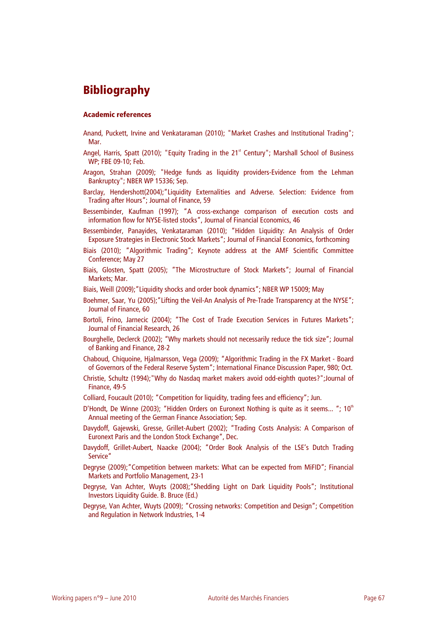# **Bibliography**

#### **Academic references**

- Anand, Puckett, Irvine and Venkataraman (2010); "Market Crashes and Institutional Trading"; Mar.
- Angel, Harris, Spatt (2010); "Equity Trading in the 21<sup>st</sup> Century"; Marshall School of Business WP; FBE 09-10; Feb.
- Aragon, Strahan (2009); "Hedge funds as liquidity providers-Evidence from the Lehman Bankruptcy"; NBER WP 15336; Sep.
- Barclay, Hendershott(2004);"Liquidity Externalities and Adverse. Selection: Evidence from Trading after Hours"; Journal of Finance, 59
- Bessembinder, Kaufman (1997); "A cross-exchange comparison of execution costs and information flow for NYSE-listed stocks", Journal of Financial Economics, 46
- Bessembinder, Panayides, Venkataraman (2010); "Hidden Liquidity: An Analysis of Order Exposure Strategies in Electronic Stock Markets"; Journal of Financial Economics, forthcoming
- Biais (2010); "Algorithmic Trading"; Keynote address at the AMF Scientific Committee Conference; May 27
- Biais, Glosten, Spatt (2005); "The Microstructure of Stock Markets"; Journal of Financial Markets; Mar.
- Biais, Weill (2009);"Liquidity shocks and order book dynamics"; NBER WP 15009; May
- Boehmer, Saar, Yu (2005); "Lifting the Veil-An Analysis of Pre-Trade Transparency at the NYSE"; Journal of Finance, 60
- Bortoli, Frino, Jarnecic (2004); "The Cost of Trade Execution Services in Futures Markets"; Journal of Financial Research, 26
- Bourghelle, Declerck (2002); "Why markets should not necessarily reduce the tick size"; Journal of Banking and Finance, 28-2
- Chaboud, Chiquoine, Hjalmarsson, Vega (2009); "Algorithmic Trading in the FX Market Board of Governors of the Federal Reserve System"; International Finance Discussion Paper, 980; Oct.
- Christie, Schultz (1994);"Why do Nasdaq market makers avoid odd-eighth quotes?";Journal of Finance, 49-5
- Colliard, Foucault (2010); "Competition for liquidity, trading fees and efficiency"; Jun.
- D'Hondt, De Winne (2003); "Hidden Orders on Euronext Nothing is quite as it seems..."; 10<sup>th</sup> Annual meeting of the German Finance Association; Sep.
- Davydoff, Gajewski, Gresse, Grillet-Aubert (2002); "Trading Costs Analysis: A Comparison of Euronext Paris and the London Stock Exchange", Dec.
- Davydoff, Grillet-Aubert, Naacke (2004); "Order Book Analysis of the LSE's Dutch Trading Service"
- Degryse (2009);"Competition between markets: What can be expected from MiFID"; Financial Markets and Portfolio Management, 23-1
- Degryse, Van Achter, Wuyts (2008);"Shedding Light on Dark Liquidity Pools"; Institutional Investors Liquidity Guide. B. Bruce (Ed.)
- Degryse, Van Achter, Wuyts (2009); "Crossing networks: Competition and Design"; Competition and Regulation in Network Industries, 1-4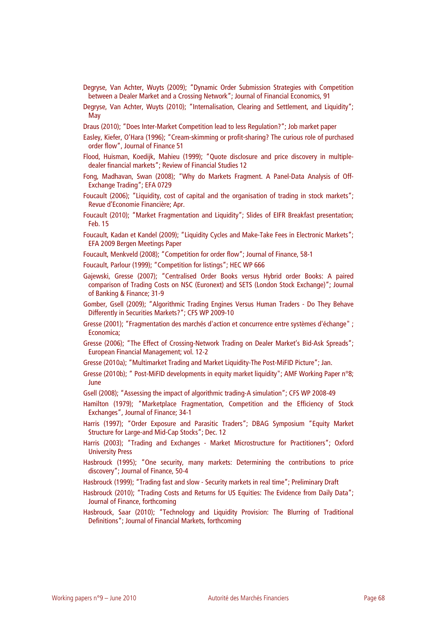- Degryse, Van Achter, Wuyts (2009); "Dynamic Order Submission Strategies with Competition between a Dealer Market and a Crossing Network"; Journal of Financial Economics, 91
- Degryse, Van Achter, Wuyts (2010); "Internalisation, Clearing and Settlement, and Liquidity"; May
- Draus (2010); "Does Inter-Market Competition lead to less Regulation?"; Job market paper
- Easley, Kiefer, O'Hara (1996); "Cream-skimming or profit-sharing? The curious role of purchased order flow", Journal of Finance 51
- Flood, Huisman, Koedijk, Mahieu (1999); "Quote disclosure and price discovery in multipledealer financial markets"; Review of Financial Studies 12
- Fong, Madhavan, Swan (2008); "Why do Markets Fragment. A Panel-Data Analysis of Off-Exchange Trading"; EFA 0729
- Foucault (2006); "Liquidity, cost of capital and the organisation of trading in stock markets"; Revue d'Economie Financière; Apr.
- Foucault (2010); "Market Fragmentation and Liquidity"; Slides of EIFR Breakfast presentation; Feb. 15
- Foucault, Kadan et Kandel (2009); "Liquidity Cycles and Make-Take Fees in Electronic Markets"; EFA 2009 Bergen Meetings Paper
- Foucault, Menkveld (2008); "Competition for order flow"; Journal of Finance, 58-1
- Foucault, Parlour (1999); "Competition for listings"; HEC WP 666
- Gajewski, Gresse (2007); "Centralised Order Books versus Hybrid order Books: A paired comparison of Trading Costs on NSC (Euronext) and SETS (London Stock Exchange)"; Journal of Banking & Finance; 31-9
- Gomber, Gsell (2009); "Algorithmic Trading Engines Versus Human Traders Do They Behave Differently in Securities Markets?"; CFS WP 2009-10
- Gresse (2001); "Fragmentation des marchés d'action et concurrence entre systèmes d'échange" ; Economica;
- Gresse (2006); "The Effect of Crossing-Network Trading on Dealer Market's Bid-Ask Spreads"; European Financial Management; vol. 12-2
- Gresse (2010a); "Multimarket Trading and Market Liquidity-The Post-MiFID Picture"; Jan.
- Gresse (2010b); " Post-MiFID developments in equity market liquidity"; AMF Working Paper n°8; June
- Gsell (2008); "Assessing the impact of algorithmic trading-A simulation"; CFS WP 2008-49
- Hamilton (1979); "Marketplace Fragmentation, Competition and the Efficiency of Stock Exchanges", Journal of Finance; 34-1
- Harris (1997); "Order Exposure and Parasitic Traders"; DBAG Symposium "Equity Market Structure for Large-and Mid-Cap Stocks"; Dec. 12
- Harris (2003); "Trading and Exchanges Market Microstructure for Practitioners"; Oxford University Press
- Hasbrouck (1995); "One security, many markets: Determining the contributions to price discovery"; Journal of Finance, 50-4
- Hasbrouck (1999); "Trading fast and slow Security markets in real time"; Preliminary Draft
- Hasbrouck (2010); "Trading Costs and Returns for US Equities: The Evidence from Daily Data"; Journal of Finance, forthcoming
- Hasbrouck, Saar (2010); "Technology and Liquidity Provision: The Blurring of Traditional Definitions"; Journal of Financial Markets, forthcoming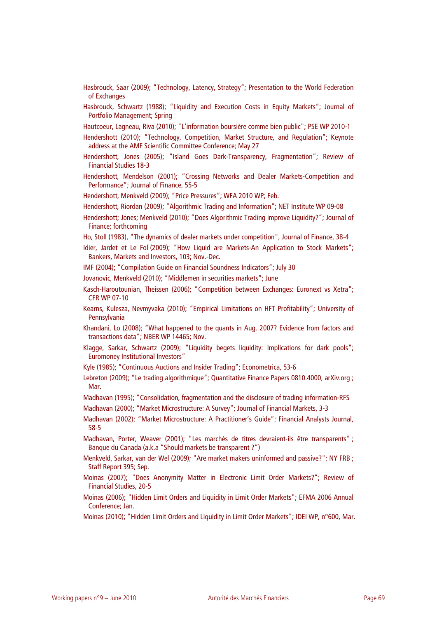- Hasbrouck, Saar (2009); "Technology, Latency, Strategy"; Presentation to the World Federation of Exchanges
- Hasbrouck, Schwartz (1988); "Liquidity and Execution Costs in Equity Markets"; Journal of Portfolio Management; Spring
- Hautcoeur, Lagneau, Riva (2010); "L'information boursière comme bien public"; PSE WP 2010-1
- Hendershott (2010); "Technology, Competition, Market Structure, and Regulation"; Keynote address at the AMF Scientific Committee Conference; May 27
- Hendershott, Jones (2005); "Island Goes Dark-Transparency, Fragmentation"; Review of Financial Studies 18-3
- Hendershott, Mendelson (2001); "Crossing Networks and Dealer Markets-Competition and Performance"; Journal of Finance, 55-5
- Hendershott, Menkveld (2009); "Price Pressures"; WFA 2010 WP; Feb.
- Hendershott, Riordan (2009); "Algorithmic Trading and Information"; NET Institute WP 09-08
- Hendershott; Jones; Menkveld (2010); "Does Algorithmic Trading improve Liquidity?"; Journal of Finance; forthcoming
- Ho, Stoll (1983), "The dynamics of dealer markets under competition", Journal of Finance, 38-4
- Idier, Jardet et Le Fol (2009); "How Liquid are Markets-An Application to Stock Markets"; Bankers, Markets and Investors, 103; Nov.-Dec.
- IMF (2004); "Compilation Guide on Financial Soundness Indicators"; July 30
- Jovanovic, Menkveld (2010); "Middlemen in securities markets"; June
- Kasch-Haroutounian, Theissen (2006); "Competition between Exchanges: Euronext vs Xetra"; CFR WP 07-10
- Kearns, Kulesza, Nevmyvaka (2010); "Empirical Limitations on HFT Profitability"; University of Pennsylvania
- Khandani, Lo (2008); "What happened to the quants in Aug. 2007? Evidence from factors and transactions data"; NBER WP 14465; Nov.
- Klagge, Sarkar, Schwartz (2009); "Liquidity begets liquidity: Implications for dark pools"; Euromoney Institutional Investors"
- Kyle (1985); "Continuous Auctions and Insider Trading"; Econometrica, 53-6
- Lebreton (2009); "Le trading algorithmique"; Quantitative Finance Papers 0810.4000, arXiv.org ; Mar.
- Madhavan (1995); "Consolidation, fragmentation and the disclosure of trading information-RFS
- Madhavan (2000); "Market Microstructure: A Survey"; Journal of Financial Markets, 3-3
- Madhavan (2002); "Market Microstructure: A Practitioner's Guide"; Financial Analysts Journal, 58-5
- Madhavan, Porter, Weaver (2001); "Les marchés de titres devraient-ils être transparents" ; Banque du Canada (a.k.a "Should markets be transparent ?")
- Menkveld, Sarkar, van der Wel (2009); "Are market makers uninformed and passive?"; NY FRB ; Staff Report 395; Sep.
- Moinas (2007); "Does Anonymity Matter in Electronic Limit Order Markets?"; Review of Financial Studies, 20-5
- Moinas (2006); "Hidden Limit Orders and Liquidity in Limit Order Markets"; EFMA 2006 Annual Conference; Jan.
- Moinas (2010); "Hidden Limit Orders and Liquidity in Limit Order Markets"; IDEI WP, n°600, Mar.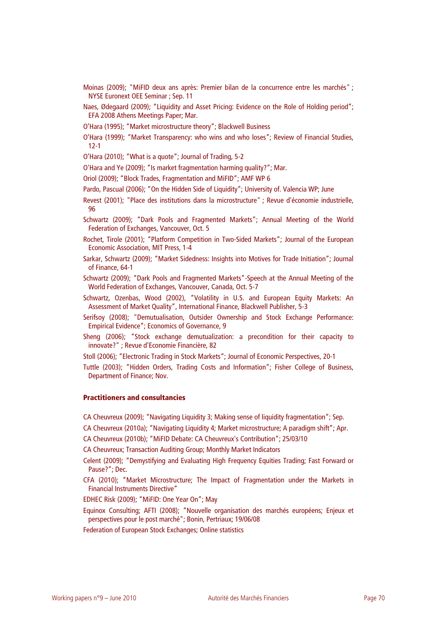- Moinas (2009); "MiFID deux ans après: Premier bilan de la concurrence entre les marchés" ; NYSE Euronext OEE Seminar ; Sep. 11
- Naes, Ødegaard (2009); "Liquidity and Asset Pricing: Evidence on the Role of Holding period"; EFA 2008 Athens Meetings Paper; Mar.
- O'Hara (1995); "Market microstructure theory"; Blackwell Business
- O'Hara (1999); "Market Transparency: who wins and who loses"; Review of Financial Studies, 12-1

O'Hara (2010); "What is a quote"; Journal of Trading, 5-2

O'Hara and Ye (2009); "Is market fragmentation harming quality?"; Mar.

Oriol (2009); "Block Trades, Fragmentation and MiFID"; AMF WP 6

- Pardo, Pascual (2006); "On the Hidden Side of Liquidity"; University of. Valencia WP; June
- Revest (2001); "Place des institutions dans la microstructure" ; Revue d'économie industrielle, 96
- Schwartz (2009); "Dark Pools and Fragmented Markets"; Annual Meeting of the World Federation of Exchanges, Vancouver, Oct. 5
- Rochet, Tirole (2001); "Platform Competition in Two-Sided Markets"; Journal of the European Economic Association, MIT Press, 1-4
- Sarkar, Schwartz (2009); "Market Sidedness: Insights into Motives for Trade Initiation"; Journal of Finance, 64-1
- Schwartz (2009); "Dark Pools and Fragmented Markets"-Speech at the Annual Meeting of the World Federation of Exchanges, Vancouver, Canada, Oct. 5-7
- Schwartz, Ozenbas, Wood (2002), "Volatility in U.S. and European Equity Markets: An Assessment of Market Quality", International Finance, Blackwell Publisher, 5-3
- Serifsoy (2008); "Demutualisation, Outsider Ownership and Stock Exchange Performance: Empirical Evidence"; Economics of Governance, 9
- Sheng (2006); "Stock exchange demutualization: a precondition for their capacity to innovate?" ; Revue d'Economie Financière, 82
- Stoll (2006); "Electronic Trading in Stock Markets"; Journal of Economic Perspectives, 20-1
- Tuttle (2003); "Hidden Orders, Trading Costs and Information"; Fisher College of Business, Department of Finance; Nov.

### **Practitioners and consultancies**

- CA Cheuvreux (2009); "Navigating Liquidity 3; Making sense of liquidity fragmentation"; Sep.
- CA Cheuvreux (2010a); "Navigating Liquidity 4; Market microstructure; A paradigm shift"; Apr.
- CA Cheuvreux (2010b); "MiFID Debate: CA Cheuvreux's Contribution"; 25/03/10

CA Cheuvreux; Transaction Auditing Group; Monthly Market Indicators

- Celent (2009); "Demystifying and Evaluating High Frequency Equities Trading; Fast Forward or Pause?"; Dec.
- CFA (2010); "Market Microstructure; The Impact of Fragmentation under the Markets in Financial Instruments Directive"

EDHEC Risk (2009); "MiFID: One Year On"; May

- Equinox Consulting; AFTI (2008); "Nouvelle organisation des marchés européens; Enjeux et perspectives pour le post marché"; Bonin, Pertriaux; 19/06/08
- Federation of European Stock Exchanges; Online statistics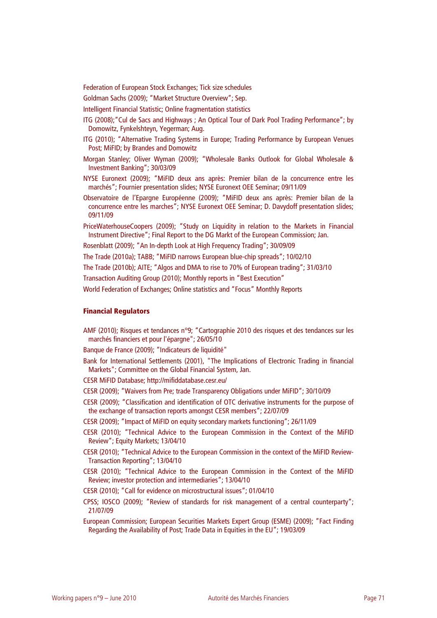Federation of European Stock Exchanges; Tick size schedules

Goldman Sachs (2009); "Market Structure Overview"; Sep.

Intelligent Financial Statistic; Online fragmentation statistics

ITG (2008);"Cul de Sacs and Highways ; An Optical Tour of Dark Pool Trading Performance"; by Domowitz, Fynkelshteyn, Yegerman; Aug.

- ITG (2010); "Alternative Trading Systems in Europe; Trading Performance by European Venues Post; MiFID; by Brandes and Domowitz
- Morgan Stanley; Oliver Wyman (2009); "Wholesale Banks Outlook for Global Wholesale & Investment Banking"; 30/03/09
- NYSE Euronext (2009); "MiFID deux ans après: Premier bilan de la concurrence entre les marchés"; Fournier presentation slides; NYSE Euronext OEE Seminar; 09/11/09
- Observatoire de l'Epargne Européenne (2009); "MiFID deux ans après: Premier bilan de la concurrence entre les marches"; NYSE Euronext OEE Seminar; D. Davydoff presentation slides; 09/11/09

PriceWaterhouseCoopers (2009); "Study on Liquidity in relation to the Markets in Financial Instrument Directive"; Final Report to the DG Markt of the European Commission; Jan.

Rosenblatt (2009); "An In-depth Look at High Frequency Trading"; 30/09/09

The Trade (2010a); TABB; "MiFID narrows European blue-chip spreads"; 10/02/10

The Trade (2010b); AITE; "Algos and DMA to rise to 70% of European trading"; 31/03/10

Transaction Auditing Group (2010); Monthly reports in "Best Execution"

World Federation of Exchanges; Online statistics and "Focus" Monthly Reports

#### **Financial Regulators**

AMF (2010); Risques et tendances n°9; "Cartographie 2010 des risques et des tendances sur les marchés financiers et pour l'épargne"; 26/05/10

Banque de France (2009); "Indicateurs de liquidité"

- Bank for International Settlements (2001), "The Implications of Electronic Trading in financial Markets"; Committee on the Global Financial System, Jan.
- CESR MiFID Database; http://mifiddatabase.cesr.eu/
- CESR (2009); "Waivers from Pre; trade Transparency Obligations under MiFID"; 30/10/09
- CESR (2009); "Classification and identification of OTC derivative instruments for the purpose of the exchange of transaction reports amongst CESR members"; 22/07/09
- CESR (2009); "Impact of MiFID on equity secondary markets functioning"; 26/11/09
- CESR (2010); "Technical Advice to the European Commission in the Context of the MiFID Review"; Equity Markets; 13/04/10
- CESR (2010); "Technical Advice to the European Commission in the context of the MiFID Review-Transaction Reporting"; 13/04/10
- CESR (2010); "Technical Advice to the European Commission in the Context of the MiFID Review; investor protection and intermediaries"; 13/04/10
- CESR (2010); "Call for evidence on microstructural issues"; 01/04/10
- CPSS; IOSCO (2009); "Review of standards for risk management of a central counterparty"; 21/07/09
- European Commission; European Securities Markets Expert Group (ESME) (2009); "Fact Finding Regarding the Availability of Post; Trade Data in Equities in the EU"; 19/03/09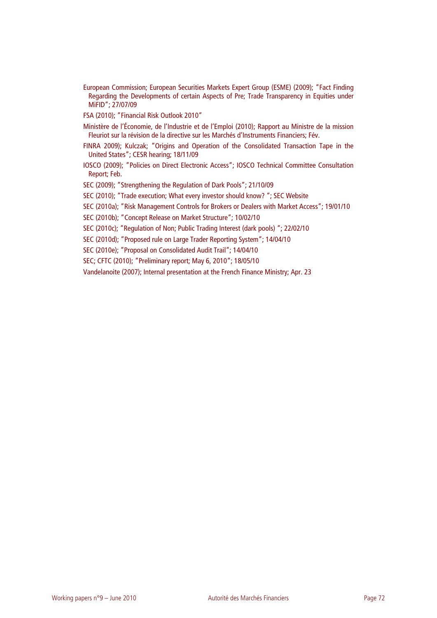European Commission; European Securities Markets Expert Group (ESME) (2009); "Fact Finding Regarding the Developments of certain Aspects of Pre; Trade Transparency in Equities under MiFID"; 27/07/09

FSA (2010); "Financial Risk Outlook 2010"

- Ministère de l'Économie, de l'Industrie et de l'Emploi (2010); Rapport au Ministre de la mission Fleuriot sur la révision de la directive sur les Marchés d'Instruments Financiers; Fév.
- FINRA 2009); Kulczak; "Origins and Operation of the Consolidated Transaction Tape in the United States"; CESR hearing; 18/11/09
- IOSCO (2009); "Policies on Direct Electronic Access"; IOSCO Technical Committee Consultation Report; Feb.
- SEC (2009); "Strengthening the Regulation of Dark Pools"; 21/10/09
- SEC (2010); "Trade execution; What every investor should know? "; SEC Website
- SEC (2010a); "Risk Management Controls for Brokers or Dealers with Market Access"; 19/01/10

SEC (2010b); "Concept Release on Market Structure"; 10/02/10

- SEC (2010c); "Regulation of Non; Public Trading Interest (dark pools) "; 22/02/10
- SEC (2010d); "Proposed rule on Large Trader Reporting System"; 14/04/10
- SEC (2010e); "Proposal on Consolidated Audit Trail"; 14/04/10
- SEC; CFTC (2010); "Preliminary report; May 6, 2010"; 18/05/10

Vandelanoite (2007); Internal presentation at the French Finance Ministry; Apr. 23